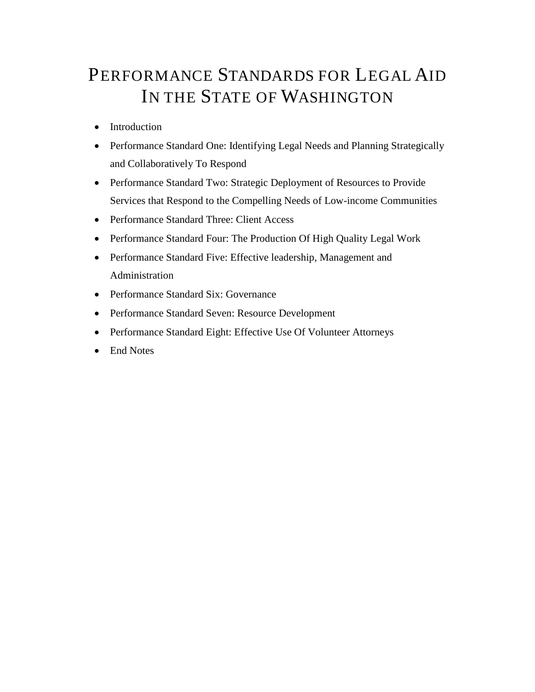# PERFORMANCE STANDARDS FOR LEGAL AID IN THE STATE OF WASHINGTON

- [Introduction](#page-1-0)
- [Performance Standard One: Identifying Legal Needs and Planning Strategically](#page-4-0)  [and Collaboratively To Respond](#page-4-0)
- [Performance Standard Two: Strategic Deployment of Resources to Provide](#page-7-0)  [Services that Respond to the Compelling Needs of Low-income](#page-7-0) Communities
- [Performance Standard Three: Client Access](#page-11-0)
- [Performance Standard Four: The Production Of High Quality Legal Work](#page-18-0)
- [Performance Standard Five: Effective leadership, Management and](#page-24-0)  [Administration](#page-24-0)
- [Performance Standard Six: Governance](#page-27-0)
- [Performance Standard Seven: Resource Development](#page-32-0)
- [Performance Standard Eight: Effective Use Of](#page-35-0) Volunteer Attorneys
- [End Notes](#page-46-0)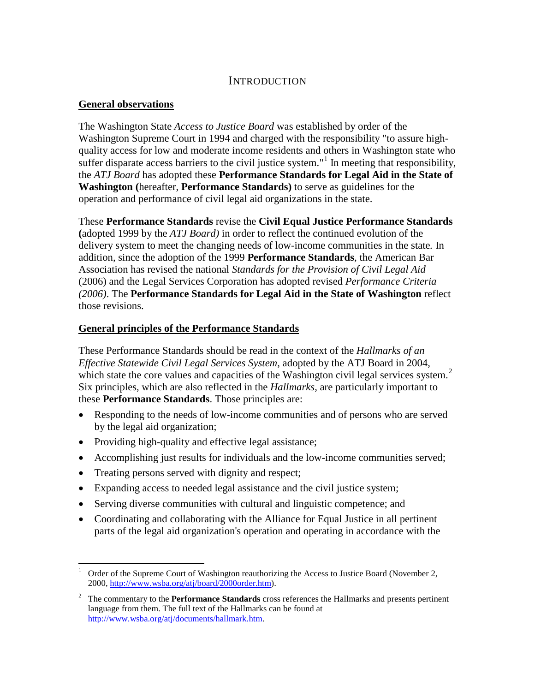## **INTRODUCTION**

### <span id="page-1-0"></span>**General observations**

The Washington State *Access to Justice Board* was established by order of the Washington Supreme Court in 1994 and charged with the responsibility "to assure highquality access for low and moderate income residents and others in Washington state who suffer disparate access barriers to the civil justice system."<sup>[1](#page-1-1)</sup> In meeting that responsibility, the *ATJ Board* has adopted these **Performance Standards for Legal Aid in the State of Washington (**hereafter, **Performance Standards)** to serve as guidelines for the operation and performance of civil legal aid organizations in the state.

These **Performance Standards** revise the **Civil Equal Justice Performance Standards (**adopted 1999 by the *ATJ Board)* in order to reflect the continued evolution of the delivery system to meet the changing needs of low-income communities in the state*.* In addition, since the adoption of the 1999 **Performance Standards**, the American Bar Association has revised the national *Standards for the Provision of Civil Legal Aid* (2006) and the Legal Services Corporation has adopted revised *Performance Criteria (2006)*. The **Performance Standards for Legal Aid in the State of Washington** reflect those revisions.

### **General principles of the Performance Standards**

These Performance Standards should be read in the context of the *Hallmarks of an Effective Statewide Civil Legal Services System*, adopted by the ATJ Board in 2004, which state the core values and capacities of the Washington civil legal services system.<sup>[2](#page-1-2)</sup> Six principles, which are also reflected in the *Hallmarks*, are particularly important to these **Performance Standards**. Those principles are:

- Responding to the needs of low-income communities and of persons who are served by the legal aid organization;
- Providing high-quality and effective legal assistance;
- Accomplishing just results for individuals and the low-income communities served;
- Treating persons served with dignity and respect;
- Expanding access to needed legal assistance and the civil justice system;
- Serving diverse communities with cultural and linguistic competence; and
- Coordinating and collaborating with the Alliance for Equal Justice in all pertinent parts of the legal aid organization's operation and operating in accordance with the

<span id="page-1-1"></span> <sup>1</sup> Order of the Supreme Court of Washington reauthorizing the Access to Justice Board (November 2, 2000, [http://www.wsba.org/atj/board/2000order.htm\)](http://www.wsba.org/atj/board/2000order.htm).

<span id="page-1-2"></span><sup>2</sup> The commentary to the **Performance Standards** cross references the Hallmarks and presents pertinent language from them. The full text of the Hallmarks can be found at [http://www.wsba.org/atj/documents/hallmark.htm.](http://www.wsba.org/atj/documents/hallmark.htm)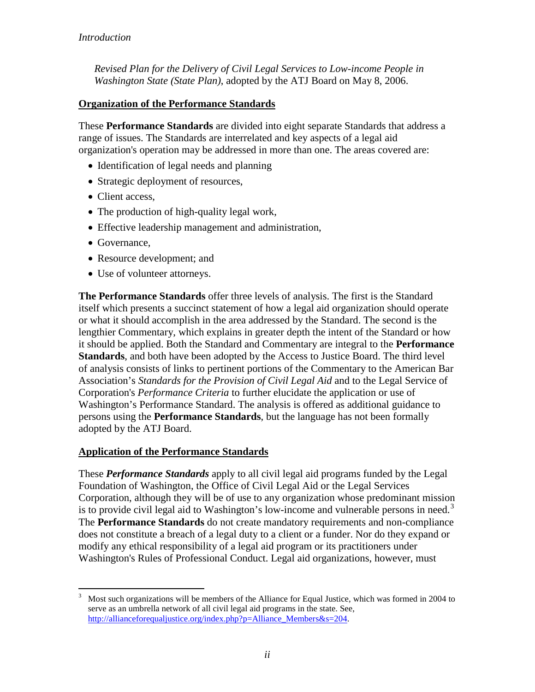*[Revised Plan for the Delivery of Civil Legal Services to Low-income](http://www.wsba.org/atj/committees/resdev/stateplan.doc) People in [Washington State \(State Plan\)](http://www.wsba.org/atj/committees/resdev/stateplan.doc)*, adopted by the ATJ Board on May 8, 2006.

## **Organization of the Performance Standards**

These **Performance Standards** are divided into eight separate Standards that address a range of issues. The Standards are interrelated and key aspects of a legal aid organization's operation may be addressed in more than one. The areas covered are:

- Identification of legal needs and planning
- Strategic deployment of resources,
- Client access,
- The production of high-quality legal work,
- Effective leadership management and administration,
- Governance,
- Resource development; and
- Use of volunteer attorneys.

**The Performance Standards** offer three levels of analysis. The first is the Standard itself which presents a succinct statement of how a legal aid organization should operate or what it should accomplish in the area addressed by the Standard. The second is the lengthier Commentary, which explains in greater depth the intent of the Standard or how it should be applied. Both the Standard and Commentary are integral to the **Performance Standards**, and both have been adopted by the Access to Justice Board. The third level of analysis consists of links to pertinent portions of the Commentary to the American Bar Association's *Standards for the Provision of Civil Legal Aid* and to the Legal Service of Corporation's *Performance Criteria* to further elucidate the application or use of Washington's Performance Standard. The analysis is offered as additional guidance to persons using the **Performance Standards**, but the language has not been formally adopted by the ATJ Board.

## **Application of the Performance Standards**

These *Performance Standards* apply to all civil legal aid programs funded by the Legal Foundation of Washington, the Office of Civil Legal Aid or the Legal Services Corporation, although they will be of use to any organization whose predominant mission is to provide civil legal aid to Washington's low-income and vulnerable persons in need.<sup>[3](#page-2-0)</sup> The **Performance Standards** do not create mandatory requirements and non-compliance does not constitute a breach of a legal duty to a client or a funder. Nor do they expand or modify any ethical responsibility of a legal aid program or its practitioners under Washington's Rules of Professional Conduct. Legal aid organizations, however, must

<span id="page-2-0"></span> <sup>3</sup> Most such organizations will be members of the Alliance for Equal Justice, which was formed in 2004 to serve as an umbrella network of all civil legal aid programs in the state. See, [http://allianceforequaljustice.org/index.php?p=Alliance\\_Members&s=204.](http://allianceforequaljustice.org/index.php?p=Alliance_Members&s=204)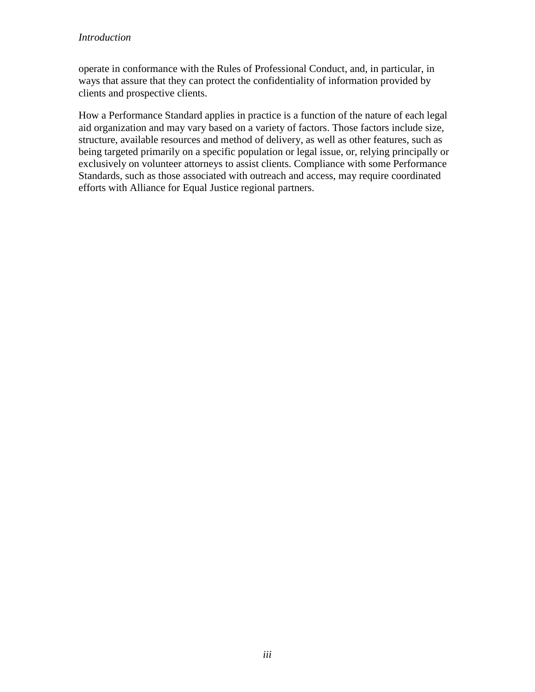### *Introduction*

operate in conformance with the Rules of Professional Conduct, and, in particular, in ways that assure that they can protect the confidentiality of information provided by clients and prospective clients.

How a Performance Standard applies in practice is a function of the nature of each legal aid organization and may vary based on a variety of factors. Those factors include size, structure, available resources and method of delivery, as well as other features, such as being targeted primarily on a specific population or legal issue, or, relying principally or exclusively on volunteer attorneys to assist clients. Compliance with some Performance Standards, such as those associated with outreach and access, may require coordinated efforts with Alliance for Equal Justice regional partners.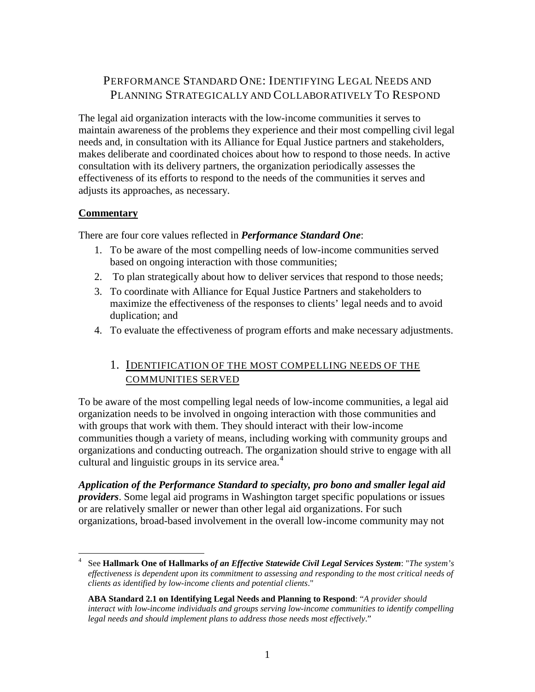## <span id="page-4-0"></span>PERFORMANCE STANDARD ONE: IDENTIFYING LEGAL NEEDS AND PLANNING STRATEGICALLY AND COLLABORATIVELY TO RESPOND

The legal aid organization interacts with the low-income communities it serves to maintain awareness of the problems they experience and their most compelling civil legal needs and, in consultation with its Alliance for Equal Justice partners and stakeholders, makes deliberate and coordinated choices about how to respond to those needs. In active consultation with its delivery partners, the organization periodically assesses the effectiveness of its efforts to respond to the needs of the communities it serves and adjusts its approaches, as necessary.

## **Commentary**

There are four core values reflected in *Performance Standard One*:

- 1. To be aware of the most compelling needs of low-income communities served based on ongoing interaction with those communities;
- 2. To plan strategically about how to deliver services that respond to those needs;
- 3. To coordinate with Alliance for Equal Justice Partners and stakeholders to maximize the effectiveness of the responses to clients' legal needs and to avoid duplication; and
- 4. To evaluate the effectiveness of program efforts and make necessary adjustments.

## 1. IDENTIFICATION OF THE MOST COMPELLING NEEDS OF THE COMMUNITIES SERVED

To be aware of the most compelling legal needs of low-income communities, a legal aid organization needs to be involved in ongoing interaction with those communities and with groups that work with them. They should interact with their low-income communities though a variety of means, including working with community groups and organizations and conducting outreach. The organization should strive to engage with all cultural and linguistic groups in its service area. $4$ 

*Application of the Performance Standard to specialty, pro bono and smaller legal aid providers*. Some legal aid programs in Washington target specific populations or issues or are relatively smaller or newer than other legal aid organizations. For such organizations, broad-based involvement in the overall low-income community may not

<span id="page-4-1"></span> <sup>4</sup> See **Hallmark One of Hallmarks** *of an Effective Statewide Civil Legal Services System*: "*The system's effectiveness is dependent upon its commitment to assessing and responding to the most critical needs of clients as identified by low-income clients and potential clients*."

**ABA Standard 2.1 on Identifying Legal Needs and Planning to Respond**: "*A provider should interact with low-income individuals and groups serving low-income communities to identify compelling legal needs and should implement plans to address those needs most effectively*."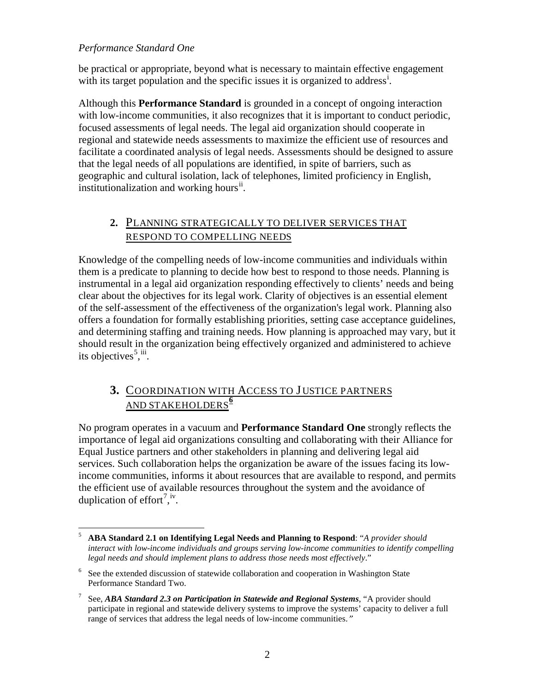### *Performance Standard One*

be practical or appropriate, beyond what is necessary to maintain effective engagement w[i](#page-46-1)th its target population and the specific issues it is organized to address<sup>i</sup>.

Although this **Performance Standard** is grounded in a concept of ongoing interaction with low-income communities, it also recognizes that it is important to conduct periodic, focused assessments of legal needs. The legal aid organization should cooperate in regional and statewide needs assessments to maximize the efficient use of resources and facilitate a coordinated analysis of legal needs. Assessments should be designed to assure that the legal needs of all populations are identified, in spite of barriers, such as geographic and cultural isolation, lack of telephones, limited proficiency in English, institutionalization and working hours<sup>[ii](#page-46-2)</sup>.

## **2.** PLANNING STRATEGICALLY TO DELIVER SERVICES THAT RESPOND TO COMPELLING NEEDS

Knowledge of the compelling needs of low-income communities and individuals within them is a predicate to planning to decide how best to respond to those needs. Planning is instrumental in a legal aid organization responding effectively to clients' needs and being clear about the objectives for its legal work. Clarity of objectives is an essential element of the self-assessment of the effectiveness of the organization's legal work. Planning also offers a foundation for formally establishing priorities, setting case acceptance guidelines, and determining staffing and training needs. How planning is approached may vary, but it should result in the organization being effectively organized and administered to achieve its objectives<sup>[5](#page-5-0)</sup>,<sup>[iii](#page-47-0)</sup>.

## **3.** COORDINATION WITH ACCESS TO J USTICE PARTNERS AND STAKEHOLDERS **[6](#page-5-1)**

No program operates in a vacuum and **Performance Standard One** strongly reflects the importance of legal aid organizations consulting and collaborating with their Alliance for Equal Justice partners and other stakeholders in planning and delivering legal aid services. Such collaboration helps the organization be aware of the issues facing its lowincome communities, informs it about resources that are available to respond, and permits the efficient use of available resources throughout the system and the avoidance of duplication of effort<sup>[7](#page-5-2)</sup>,<sup>[iv](#page-47-1)</sup>.

<span id="page-5-0"></span> <sup>5</sup> **ABA Standard 2.1 on Identifying Legal Needs and Planning to Respond**: "*A provider should interact with low-income individuals and groups serving low-income communities to identify compelling legal needs and should implement plans to address those needs most effectively*."

<span id="page-5-1"></span> $6\degree$  See the extended discussion of statewide collaboration and cooperation in Washington State Performance Standard Two.

<span id="page-5-2"></span><sup>7</sup> See, *ABA Standard 2.3 on Participation in Statewide and Regional Systems*, "A provider should participate in regional and statewide delivery systems to improve the systems' capacity to deliver a full range of services that address the legal needs of low-income communities."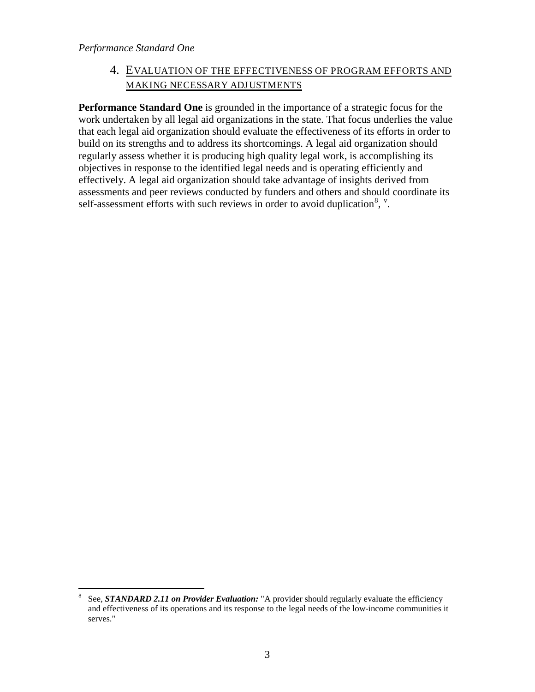*Performance Standard One*

## 4. EVALUATION OF THE EFFECTIVENESS OF PROGRAM EFFORTS AND MAKING NECESSARY ADJUSTMENTS

**Performance Standard One** is grounded in the importance of a strategic focus for the work undertaken by all legal aid organizations in the state. That focus underlies the value that each legal aid organization should evaluate the effectiveness of its efforts in order to build on its strengths and to address its shortcomings. A legal aid organization should regularly assess whether it is producing high quality legal work, is accomplishing its objectives in response to the identified legal needs and is operating efficiently and effectively. A legal aid organization should take advantage of insights derived from assessments and peer reviews conducted by funders and others and should coordinate its self-assessment efforts with such reviews in order to avoid duplication<sup>[8](#page-6-0)</sup>,  $\cdot$ .

<span id="page-6-0"></span> <sup>8</sup> See, *STANDARD 2.11 on Provider Evaluation:* "A provider should regularly evaluate the efficiency and effectiveness of its operations and its response to the legal needs of the low-income communities it serves."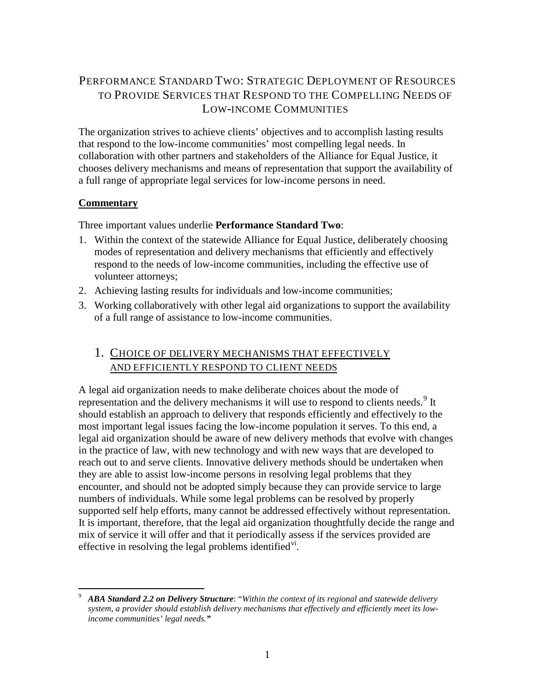## <span id="page-7-0"></span>PERFORMANCE STANDARD TWO: STRATEGIC DEPLOYMENT OF RESOURCES TO PROVIDE SERVICES THAT RESPOND TO THE COMPELLING NEEDS OF LOW-INCOME COMMUNITIES

The organization strives to achieve clients' objectives and to accomplish lasting results that respond to the low-income communities' most compelling legal needs. In collaboration with other partners and stakeholders of the Alliance for Equal Justice, it chooses delivery mechanisms and means of representation that support the availability of a full range of appropriate legal services for low-income persons in need.

### **Commentary**

Three important values underlie **Performance Standard Two**:

- 1. Within the context of the statewide Alliance for Equal Justice, deliberately choosing modes of representation and delivery mechanisms that efficiently and effectively respond to the needs of low-income communities, including the effective use of volunteer attorneys;
- 2. Achieving lasting results for individuals and low-income communities;
- 3. Working collaboratively with other legal aid organizations to support the availability of a full range of assistance to low-income communities.

## 1. CHOICE OF DELIVERY MECHANISMS THAT EFFECTIVELY AND EFFICIENTLY RESPOND TO CLIENT NEEDS

A legal aid organization needs to make deliberate choices about the mode of representation and the delivery mechanisms it will use to respond to clients needs.<sup>[9](#page-7-1)</sup> It should establish an approach to delivery that responds efficiently and effectively to the most important legal issues facing the low-income population it serves. To this end, a legal aid organization should be aware of new delivery methods that evolve with changes in the practice of law, with new technology and with new ways that are developed to reach out to and serve clients. Innovative delivery methods should be undertaken when they are able to assist low-income persons in resolving legal problems that they encounter, and should not be adopted simply because they can provide service to large numbers of individuals. While some legal problems can be resolved by properly supported self help efforts, many cannot be addressed effectively without representation. It is important, therefore, that the legal aid organization thoughtfully decide the range and mix of service it will offer and that it periodically assess if the services provided are effective in resol[vi](#page-48-0)ng the legal problems identified<sup>vi</sup>.

<span id="page-7-1"></span> <sup>9</sup> *ABA Standard 2.2 on Delivery Structure*: "*Within the context of its regional and statewide delivery system, a provider should establish delivery mechanisms that effectively and efficiently meet its lowincome communities' legal needs."*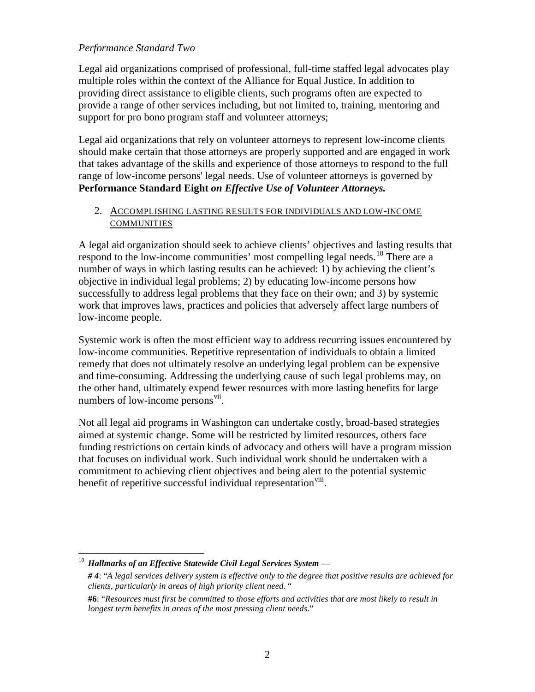### *Performance Standard Two*

Legal aid organizations comprised of professional, full-time staffed legal advocates play multiple roles within the context of the Alliance for Equal Justice. In addition to providing direct assistance to eligible clients, such programs often are expected to provide a range of other services including, but not limited to, training, mentoring and support for pro bono program staff and volunteer attorneys;

Legal aid organizations that rely on volunteer attorneys to represent low-income clients should make certain that those attorneys are properly supported and are engaged in work that takes advantage of the skills and experience of those attorneys to respond to the full range of low-income persons' legal needs. Use of volunteer attorneys is governed by **Performance Standard Eight** *on Effective Use of Volunteer Attorneys.* 

### 2. ACCOMPLISHING LASTING RESULTS FOR INDIVIDUALS AND LOW-INCOME COMMUNITIES

A legal aid organization should seek to achieve clients' objectives and lasting results that respond to the low-income communities' most compelling legal needs.<sup>[10](#page-8-0)</sup> There are a number of ways in which lasting results can be achieved: 1) by achieving the client's objective in individual legal problems; 2) by educating low-income persons how successfully to address legal problems that they face on their own; and 3) by systemic work that improves laws, practices and policies that adversely affect large numbers of low-income people.

Systemic work is often the most efficient way to address recurring issues encountered by low-income communities. Repetitive representation of individuals to obtain a limited remedy that does not ultimately resolve an underlying legal problem can be expensive and time-consuming. Addressing the underlying cause of such legal problems may, on the other hand, ultimately expend fewer resources with more lasting benefits for large numbers of low-income persons<sup>[vii](#page-48-1)</sup>.

Not all legal aid programs in Washington can undertake costly, broad-based strategies aimed at systemic change. Some will be restricted by limited resources, others face funding restrictions on certain kinds of advocacy and others will have a program mission that focuses on individual work. Such individual work should be undertaken with a commitment to achieving client objectives and being alert to the potential systemic benefit of repetitive successful individual representation<sup>[viii](#page-49-0)</sup>.

<span id="page-8-0"></span> <sup>10</sup> *Hallmarks of an Effective Statewide Civil Legal Services System —*

*<sup># 4</sup>*: "*A legal services delivery system is effective only to the degree that positive results are achieved for clients, particularly in areas of high priority client need.* "

**<sup>#6</sup>**: "*Resources must first be committed to those efforts and activities that are most likely to result in longest term benefits in areas of the most pressing client needs*."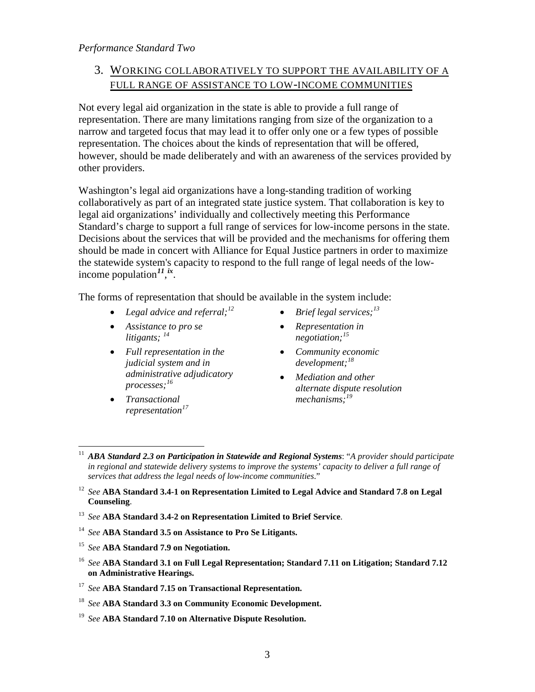## 3. WORKING COLLABORATIVELY TO SUPPORT THE AVAILABILITY OF A FULL RANGE OF ASSISTANCE TO LOW-INCOME COMMUNITIES

Not every legal aid organization in the state is able to provide a full range of representation. There are many limitations ranging from size of the organization to a narrow and targeted focus that may lead it to offer only one or a few types of possible representation. The choices about the kinds of representation that will be offered, however, should be made deliberately and with an awareness of the services provided by other providers.

Washington's legal aid organizations have a long-standing tradition of working collaboratively as part of an integrated state justice system. That collaboration is key to legal aid organizations' individually and collectively meeting this Performance Standard's charge to support a full range of services for low-income persons in the state. Decisions about the services that will be provided and the mechanisms for offering them should be made in concert with Alliance for Equal Justice partners in order to maximize the statewide system's capacity to respond to the full range of legal needs of the lowincome population*[11](#page-9-0)*, *[ix](#page-49-0)* .

The forms of representation that should be available in the system include:

- *Legal advice and referral;*
- *Assistance to pro se litigants; [14](#page-9-3)*
- *Full representation in the judicial system and in administrative adjudicatory processes; [16](#page-9-5)*
- *Transactional representation[17](#page-9-6)*
- *[12](#page-9-1) Brief legal services; [13](#page-9-2)*
	- *Representation in negotiation;[15](#page-9-4)*
	- *Community economic development;[18](#page-9-7)*
	- *Mediation and other alternate dispute resolution mechanisms;[19](#page-9-8)*

- <span id="page-9-2"></span><sup>13</sup> *See* **ABA Standard 3.4-2 on Representation Limited to Brief Service**.
- <span id="page-9-3"></span><sup>14</sup> *See* **ABA Standard 3.5 on Assistance to Pro Se Litigants.**
- <span id="page-9-4"></span><sup>15</sup> *See* **ABA Standard 7.9 on Negotiation.**
- <span id="page-9-5"></span><sup>16</sup> *See* **ABA Standard 3.1 on Full Legal Representation; Standard 7.11 on Litigation; Standard 7.12 on Administrative Hearings.**
- <span id="page-9-6"></span><sup>17</sup> *See* **ABA Standard 7.15 on Transactional Representation.**
- <span id="page-9-7"></span><sup>18</sup> *See* **ABA Standard 3.3 on Community Economic Development.**
- <span id="page-9-8"></span><sup>19</sup> *See* **ABA Standard 7.10 on Alternative Dispute Resolution.**

<span id="page-9-0"></span> <sup>11</sup> *ABA Standard 2.3 on Participation in Statewide and Regional Systems*: "*A provider should participate in regional and statewide delivery systems to improve the systems' capacity to deliver a full range of services that address the legal needs of low-income communities*."

<span id="page-9-1"></span><sup>12</sup> *See* **ABA Standard 3.4-1 on Representation Limited to Legal Advice and Standard 7.8 on Legal Counseling**.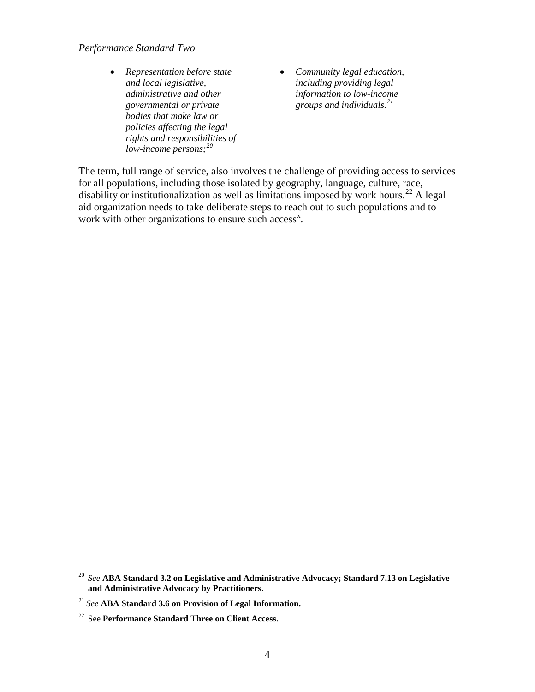### *Performance Standard Two*

- *Representation before state and local legislative, administrative and other governmental or private bodies that make law or policies affecting the legal rights and responsibilities of low-income persons; [20](#page-10-0)*
- *Community legal education, including providing legal information to low-income groups and individuals.[21](#page-10-1)*

The term, full range of service, also involves the challenge of providing access to services for all populations, including those isolated by geography, language, culture, race, disability or institutionalization as well as limitations imposed by work hours.<sup>[22](#page-10-2)</sup> A legal aid organization needs to take deliberate steps to reach out to such populations and to work with other organizations to ensure such access<sup>[x](#page-49-1)</sup>.

<span id="page-10-0"></span> <sup>20</sup> *See* **ABA Standard 3.2 on Legislative and Administrative Advocacy; Standard 7.13 on Legislative and Administrative Advocacy by Practitioners.**

<span id="page-10-1"></span><sup>21</sup> *See* **ABA Standard 3.6 on Provision of Legal Information.**

<span id="page-10-2"></span><sup>22</sup> See **Performance Standard Three on Client Access**.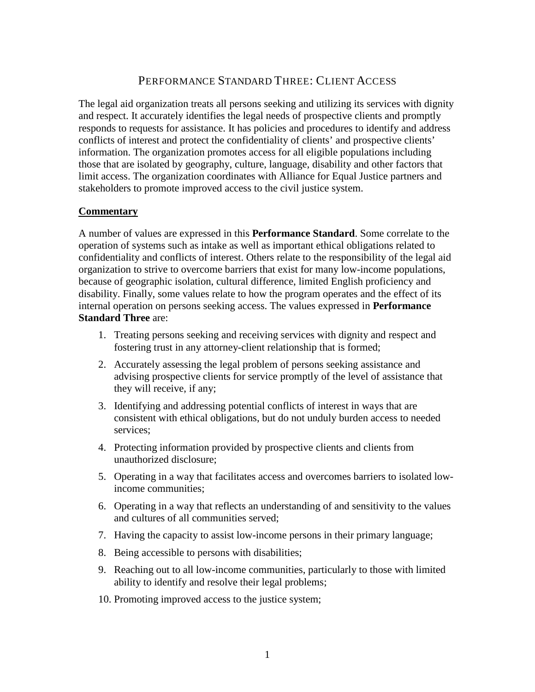## PERFORMANCE STANDARD THREE: CLIENT ACCESS

<span id="page-11-0"></span>The legal aid organization treats all persons seeking and utilizing its services with dignity and respect. It accurately identifies the legal needs of prospective clients and promptly responds to requests for assistance. It has policies and procedures to identify and address conflicts of interest and protect the confidentiality of clients' and prospective clients' information. The organization promotes access for all eligible populations including those that are isolated by geography, culture, language, disability and other factors that limit access. The organization coordinates with Alliance for Equal Justice partners and stakeholders to promote improved access to the civil justice system.

### **Commentary**

A number of values are expressed in this **Performance Standard**. Some correlate to the operation of systems such as intake as well as important ethical obligations related to confidentiality and conflicts of interest. Others relate to the responsibility of the legal aid organization to strive to overcome barriers that exist for many low-income populations, because of geographic isolation, cultural difference, limited English proficiency and disability. Finally, some values relate to how the program operates and the effect of its internal operation on persons seeking access. The values expressed in **Performance Standard Three** are:

- 1. Treating persons seeking and receiving services with dignity and respect and fostering trust in any attorney-client relationship that is formed;
- 2. Accurately assessing the legal problem of persons seeking assistance and advising prospective clients for service promptly of the level of assistance that they will receive, if any;
- 3. Identifying and addressing potential conflicts of interest in ways that are consistent with ethical obligations, but do not unduly burden access to needed services;
- 4. Protecting information provided by prospective clients and clients from unauthorized disclosure;
- 5. Operating in a way that facilitates access and overcomes barriers to isolated lowincome communities;
- 6. Operating in a way that reflects an understanding of and sensitivity to the values and cultures of all communities served;
- 7. Having the capacity to assist low-income persons in their primary language;
- 8. Being accessible to persons with disabilities;
- 9. Reaching out to all low-income communities, particularly to those with limited ability to identify and resolve their legal problems;
- 10. Promoting improved access to the justice system;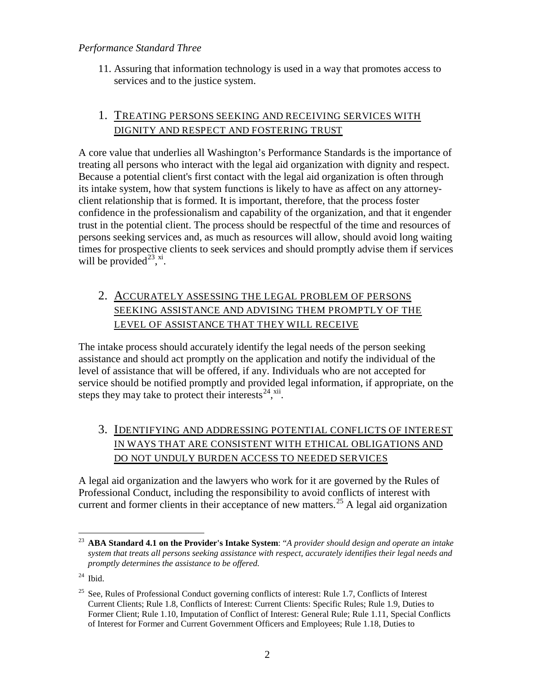11. Assuring that information technology is used in a way that promotes access to services and to the justice system.

## 1. TREATING PERSONS SEEKING AND RECEIVING SERVICES WITH DIGNITY AND RESPECT AND FOSTERING TRUST

A core value that underlies all Washington's Performance Standards is the importance of treating all persons who interact with the legal aid organization with dignity and respect. Because a potential client's first contact with the legal aid organization is often through its intake system, how that system functions is likely to have as affect on any attorneyclient relationship that is formed. It is important, therefore, that the process foster confidence in the professionalism and capability of the organization, and that it engender trust in the potential client. The process should be respectful of the time and resources of persons seeking services and, as much as resources will allow, should avoid long waiting times for prospective clients to seek services and should promptly advise them if services will be provided<sup>[23](#page-12-0)</sup>,<sup>[xi](#page-50-0)</sup>.

## 2. ACCURATELY ASSESSING THE LEGAL PROBLEM OF PERSONS SEEKING ASSISTANCE AND ADVISING THEM PROMPTLY OF THE LEVEL OF ASSISTANCE THAT THEY WILL RECEIVE

The intake process should accurately identify the legal needs of the person seeking assistance and should act promptly on the application and notify the individual of the level of assistance that will be offered, if any. Individuals who are not accepted for service should be notified promptly and provided legal information, if appropriate, on the steps they may take to protect their interests $^{24}$ ,  $^{xii}$  $^{xii}$  $^{xii}$ .

## 3. IDENTIFYING AND ADDRESSING POTENTIAL CONFLICTS OF INTEREST IN WAYS THAT ARE CONSISTENT WITH ETHICAL OBLIGATIONS AND DO NOT UNDULY BURDEN ACCESS TO NEEDED SERVICES

A legal aid organization and the lawyers who work for it are governed by the Rules of Professional Conduct, including the responsibility to avoid conflicts of interest with current and former clients in their acceptance of new matters.<sup>[25](#page-12-2)</sup> A legal aid organization

<span id="page-12-0"></span> <sup>23</sup> **ABA Standard 4.1 on the Provider's Intake System**: "*A provider should design and operate an intake system that treats all persons seeking assistance with respect, accurately identifies their legal needs and promptly determines the assistance to be offered.*

<span id="page-12-1"></span> $24$  Ibid.

<span id="page-12-2"></span><sup>&</sup>lt;sup>25</sup> See, Rules of Professional Conduct governing conflicts of interest: Rule 1.7, Conflicts of Interest Current Clients; Rule 1.8, Conflicts of Interest: Current Clients: Specific Rules; Rule 1.9, Duties to Former Client; Rule 1.10, Imputation of Conflict of Interest: General Rule; Rule 1.11, Special Conflicts of Interest for Former and Current Government Officers and Employees; Rule 1.18, Duties to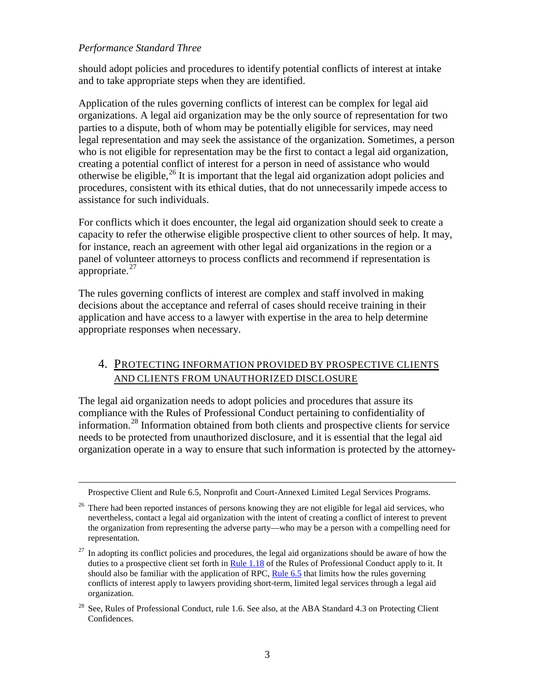$\overline{a}$ 

should adopt policies and procedures to identify potential conflicts of interest at intake and to take appropriate steps when they are identified.

Application of the rules governing conflicts of interest can be complex for legal aid organizations. A legal aid organization may be the only source of representation for two parties to a dispute, both of whom may be potentially eligible for services, may need legal representation and may seek the assistance of the organization. Sometimes, a person who is not eligible for representation may be the first to contact a legal aid organization, creating a potential conflict of interest for a person in need of assistance who would otherwise be eligible,<sup>[26](#page-13-0)</sup> It is important that the legal aid organization adopt policies and procedures, consistent with its ethical duties, that do not unnecessarily impede access to assistance for such individuals.

For conflicts which it does encounter, the legal aid organization should seek to create a capacity to refer the otherwise eligible prospective client to other sources of help. It may, for instance, reach an agreement with other legal aid organizations in the region or a panel of volunteer attorneys to process conflicts and recommend if representation is appropriate.<sup>[27](#page-13-1)</sup>

The rules governing conflicts of interest are complex and staff involved in making decisions about the acceptance and referral of cases should receive training in their application and have access to a lawyer with expertise in the area to help determine appropriate responses when necessary.

## 4. PROTECTING INFORMATION PROVIDED BY PROSPECTIVE CLIENTS AND CLIENTS FROM UNAUTHORIZED DISCLOSURE

The legal aid organization needs to adopt policies and procedures that assure its compliance with the Rules of Professional Conduct pertaining to confidentiality of information.<sup>[28](#page-13-2)</sup> Information obtained from both clients and prospective clients for service needs to be protected from unauthorized disclosure, and it is essential that the legal aid organization operate in a way to ensure that such information is protected by the attorney-

Prospective Client and Rule 6.5, Nonprofit and Court-Annexed Limited Legal Services Programs.

<span id="page-13-0"></span><sup>&</sup>lt;sup>26</sup> There had been reported instances of persons knowing they are not eligible for legal aid services, who nevertheless, contact a legal aid organization with the intent of creating a conflict of interest to prevent the organization from representing the adverse party—who may be a person with a compelling need for representation.

<span id="page-13-1"></span> $27$  In adopting its conflict policies and procedures, the legal aid organizations should be aware of how the duties to a prospective client set forth i[n Rule 1.18](http://www.courts.wa.gov/court_rules/?fa=court_rules.display&group=ga&set=RPC&ruleid=garpc1.18) of the Rules of Professional Conduct apply to it. It should also be familiar with the application of RPC, [Rule 6.5](http://www.courts.wa.gov/court_rules/?fa=court_rules.display&group=ga&set=RPC&ruleid=garpc6.5) that limits how the rules governing conflicts of interest apply to lawyers providing short-term, limited legal services through a legal aid organization.

<span id="page-13-2"></span><sup>28</sup> See, Rules of Professional Conduct, rule 1.6. See also, at the ABA Standard 4.3 on Protecting Client Confidences.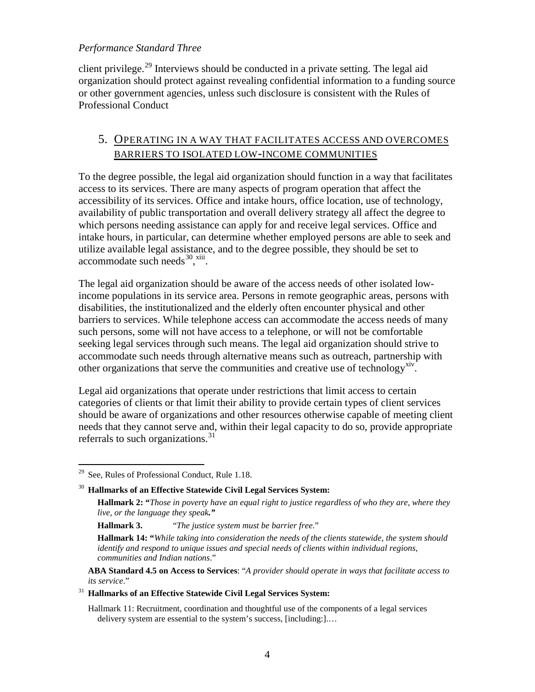client privilege.<sup>[29](#page-14-0)</sup> Interviews should be conducted in a private setting. The legal aid organization should protect against revealing confidential information to a funding source or other government agencies, unless such disclosure is consistent with the Rules of Professional Conduct

## 5. OPERATING IN A WAY THAT FACILITATES ACCESS AND OVERCOMES BARRIERS TO ISOLATED LOW-INCOME COMMUNITIES

To the degree possible, the legal aid organization should function in a way that facilitates access to its services. There are many aspects of program operation that affect the accessibility of its services. Office and intake hours, office location, use of technology, availability of public transportation and overall delivery strategy all affect the degree to which persons needing assistance can apply for and receive legal services. Office and intake hours, in particular, can determine whether employed persons are able to seek and utilize available legal assistance, and to the degree possible, they should be set to  $accountedate such needs <sup>30</sup>, <sup>xiii</sup>.$ 

The legal aid organization should be aware of the access needs of other isolated lowincome populations in its service area. Persons in remote geographic areas, persons with disabilities, the institutionalized and the elderly often encounter physical and other barriers to services. While telephone access can accommodate the access needs of many such persons, some will not have access to a telephone, or will not be comfortable seeking legal services through such means. The legal aid organization should strive to accommodate such needs through alternative means such as outreach, partnership with other organizations that serve the communities and creative use of technology<sup>[xiv](#page-51-1)</sup>.

Legal aid organizations that operate under restrictions that limit access to certain categories of clients or that limit their ability to provide certain types of client services should be aware of organizations and other resources otherwise capable of meeting client needs that they cannot serve and, within their legal capacity to do so, provide appropriate referrals to such organizations.<sup>[31](#page-14-2)</sup>

**ABA Standard 4.5 on Access to Services**: "*A provider should operate in ways that facilitate access to its service*."

### <span id="page-14-2"></span><sup>31</sup> **Hallmarks of an Effective Statewide Civil Legal Services System:**

Hallmark 11: Recruitment, coordination and thoughtful use of the components of a legal services delivery system are essential to the system's success, [including:].…

<span id="page-14-0"></span> $29$  See, Rules of Professional Conduct, Rule 1.18.

<span id="page-14-1"></span><sup>30</sup> **Hallmarks of an Effective Statewide Civil Legal Services System:**

**Hallmark 2: "***Those in poverty have an equal right to justice regardless of who they are, where they live, or the language they speak."*

**Hallmark 3.** "*The justice system must be barrier free*."

**Hallmark 14: "***While taking into consideration the needs of the clients statewide, the system should identify and respond to unique issues and special needs of clients within individual regions, communities and Indian nations*."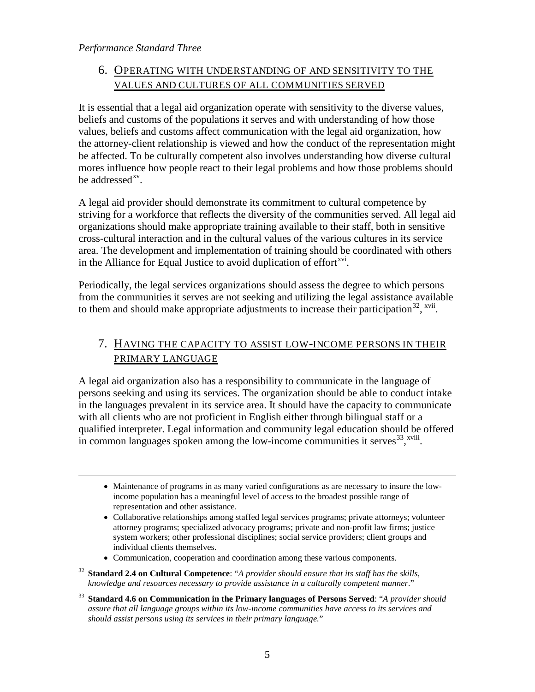## 6. OPERATING WITH UNDERSTANDING OF AND SENSITIVITY TO THE VALUES AND CULTURES OF ALL COMMUNITIES SERVED

It is essential that a legal aid organization operate with sensitivity to the diverse values, beliefs and customs of the populations it serves and with understanding of how those values, beliefs and customs affect communication with the legal aid organization, how the attorney-client relationship is viewed and how the conduct of the representation might be affected. To be culturally competent also involves understanding how diverse cultural mores influence how people react to their legal problems and how those problems should be addressed $x<sub>v</sub>$ .

A legal aid provider should demonstrate its commitment to cultural competence by striving for a workforce that reflects the diversity of the communities served. All legal aid organizations should make appropriate training available to their staff, both in sensitive cross-cultural interaction and in the cultural values of the various cultures in its service area. The development and implementation of training should be coordinated with others in the Alliance for Equal Justice to avoid duplication of effort<sup>[xvi](#page-52-1)</sup>.

Periodically, the legal services organizations should assess the degree to which persons from the communities it serves are not seeking and utilizing the legal assistance available to them and should make appropriate adjustments to increase their participation<sup>[32](#page-15-0)</sup>, <sup>[xvii](#page-52-2)</sup>.

## 7. HAVING THE CAPACITY TO ASSIST LOW-INCOME PERSONS IN THEIR PRIMARY LANGUAGE

A legal aid organization also has a responsibility to communicate in the language of persons seeking and using its services. The organization should be able to conduct intake in the languages prevalent in its service area. It should have the capacity to communicate with all clients who are not proficient in English either through bilingual staff or a qualified interpreter. Legal information and community legal education should be offered in common languages spoken among the low-income communities it serves $^{33}$  $^{33}$  $^{33}$ ,  $^{xviii}$ [.](#page-53-0)

- Maintenance of programs in as many varied configurations as are necessary to insure the lowincome population has a meaningful level of access to the broadest possible range of representation and other assistance.
- Collaborative relationships among staffed legal services programs; private attorneys; volunteer attorney programs; specialized advocacy programs; private and non-profit law firms; justice system workers; other professional disciplines; social service providers; client groups and individual clients themselves.
- Communication, cooperation and coordination among these various components.
- <span id="page-15-0"></span><sup>32</sup> **Standard 2.4 on Cultural Competence**: "*A provider should ensure that its staff has the skills, knowledge and resources necessary to provide assistance in a culturally competent manner*."
- <span id="page-15-1"></span><sup>33</sup> **Standard 4.6 on Communication in the Primary languages of Persons Served**: "*A provider should assure that all language groups within its low-income communities have access to its services and should assist persons using its services in their primary language.*"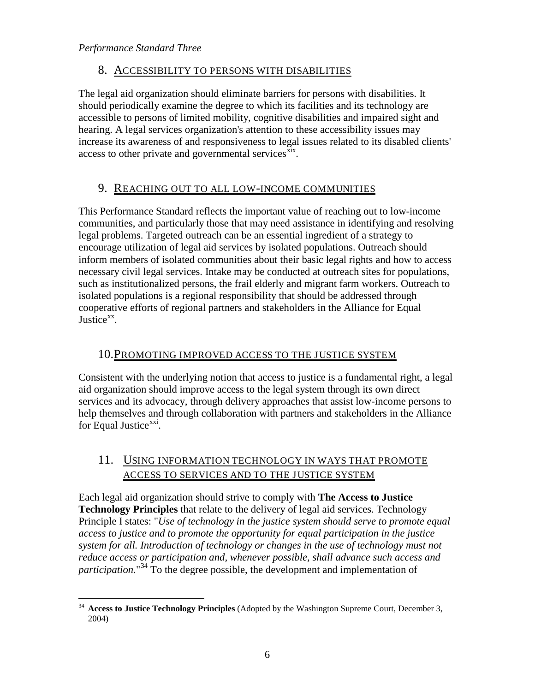## 8. ACCESSIBILITY TO PERSONS WITH DISABILITIES

The legal aid organization should eliminate barriers for persons with disabilities. It should periodically examine the degree to which its facilities and its technology are accessible to persons of limited mobility, cognitive disabilities and impaired sight and hearing. A legal services organization's attention to these accessibility issues may increase its awareness of and responsiveness to legal issues related to its disabled clients' access to other private and governmental services $\frac{\overline{x}^{i}x}{i}$ .

## 9. REACHING OUT TO ALL LOW-INCOME COMMUNITIES

This Performance Standard reflects the important value of reaching out to low-income communities, and particularly those that may need assistance in identifying and resolving legal problems. Targeted outreach can be an essential ingredient of a strategy to encourage utilization of legal aid services by isolated populations. Outreach should inform members of isolated communities about their basic legal rights and how to access necessary civil legal services. Intake may be conducted at outreach sites for populations, such as institutionalized persons, the frail elderly and migrant farm workers. Outreach to isolated populations is a regional responsibility that should be addressed through cooperative efforts of regional partners and stakeholders in the Alliance for Equal Justice<sup>[xx](#page-53-2)</sup>.

## 10.PROMOTING IMPROVED ACCESS TO THE JUSTICE SYSTEM

Consistent with the underlying notion that access to justice is a fundamental right, a legal aid organization should improve access to the legal system through its own direct services and its advocacy, through delivery approaches that assist low-income persons to help themselves and through collaboration with partners and stakeholders in the Alliance for Equal Justice<sup>[xxi](#page-54-0)</sup>.

## 11. USING INFORMATION TECHNOLOGY IN WAYS THAT PROMOTE ACCESS TO SERVICES AND TO THE JUSTICE SYSTEM

Each legal aid organization should strive to comply with **The Access to Justice Technology Principles** that relate to the delivery of legal aid services. Technology Principle I states: "*Use of technology in the justice system should serve to promote equal access to justice and to promote the opportunity for equal participation in the justice system for all. Introduction of technology or changes in the use of technology must not reduce access or participation and, whenever possible, shall advance such access and*  participation."<sup>[34](#page-16-0)</sup> To the degree possible, the development and implementation of

<span id="page-16-0"></span> <sup>34</sup> **Access to Justice Technology Principles** (Adopted by the Washington Supreme Court, December 3, 2004)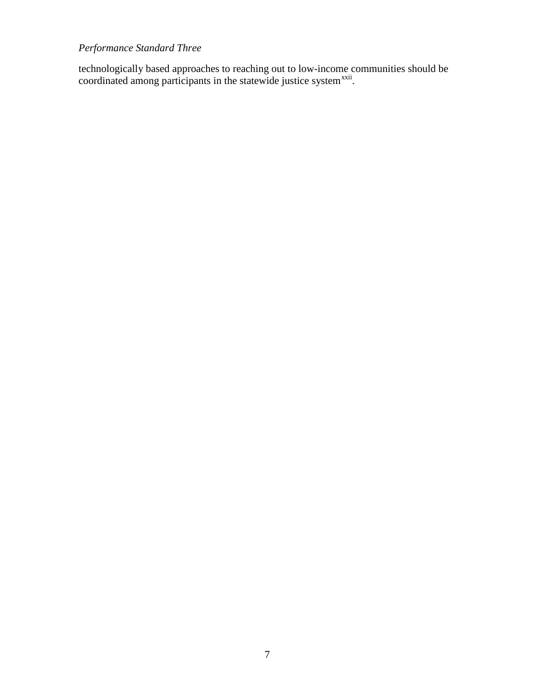technologically based approaches to reaching out to low-income communities should be coordinated among participants in the statewide justice system<sup>[xxii](#page-54-1)</sup>.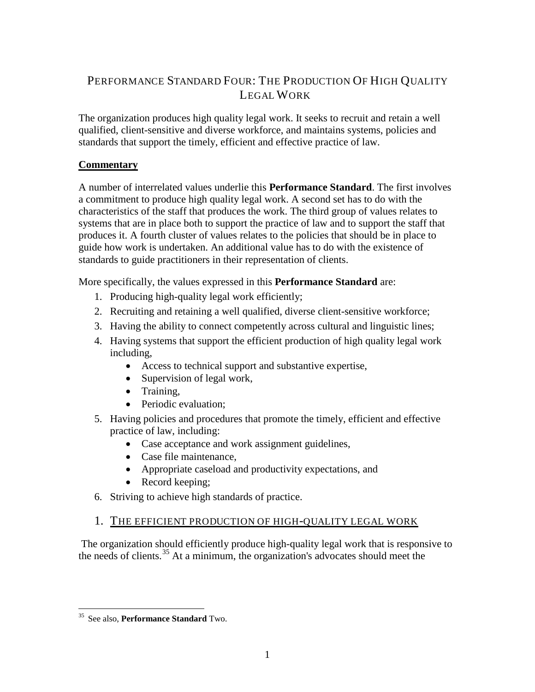## <span id="page-18-0"></span>PERFORMANCE STANDARD FOUR: THE PRODUCTION OF HIGH QUALITY LEGAL WORK

The organization produces high quality legal work. It seeks to recruit and retain a well qualified, client-sensitive and diverse workforce, and maintains systems, policies and standards that support the timely, efficient and effective practice of law.

### **Commentary**

A number of interrelated values underlie this **Performance Standard**. The first involves a commitment to produce high quality legal work. A second set has to do with the characteristics of the staff that produces the work. The third group of values relates to systems that are in place both to support the practice of law and to support the staff that produces it. A fourth cluster of values relates to the policies that should be in place to guide how work is undertaken. An additional value has to do with the existence of standards to guide practitioners in their representation of clients.

More specifically, the values expressed in this **Performance Standard** are:

- 1. Producing high-quality legal work efficiently;
- 2. Recruiting and retaining a well qualified, diverse client-sensitive workforce;
- 3. Having the ability to connect competently across cultural and linguistic lines;
- 4. Having systems that support the efficient production of high quality legal work including,
	- Access to technical support and substantive expertise,
	- Supervision of legal work,
	- Training,
	- Periodic evaluation:
- 5. Having policies and procedures that promote the timely, efficient and effective practice of law, including:
	- Case acceptance and work assignment guidelines,
	- Case file maintenance,
	- Appropriate caseload and productivity expectations, and
	- Record keeping;
- 6. Striving to achieve high standards of practice.

## 1. THE EFFICIENT PRODUCTION OF HIGH-QUALITY LEGAL WORK

The organization should efficiently produce high-quality legal work that is responsive to the needs of clients. [35](#page-18-1) At a minimum, the organization's advocates should meet the

<span id="page-18-1"></span> <sup>35</sup> See also, **Performance Standard** Two.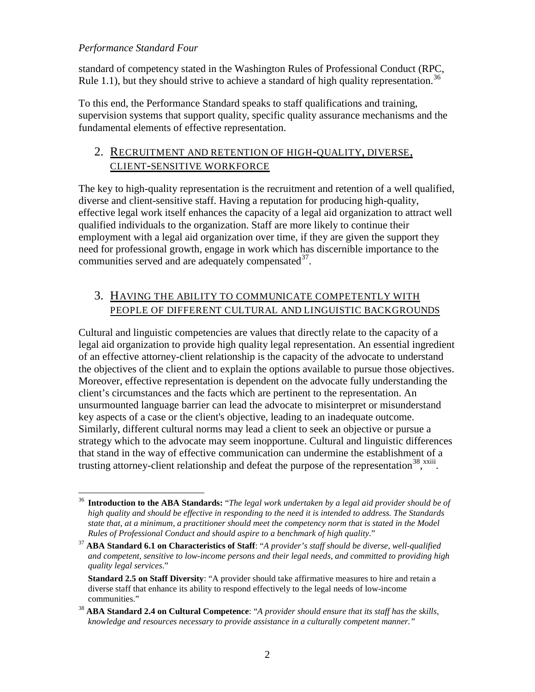standard of competency stated in the Washington Rules of Professional Conduct (RPC, Rule 1.1), but they should strive to achieve a standard of high quality representation.<sup>[36](#page-19-0)</sup>

To this end, the Performance Standard speaks to staff qualifications and training, supervision systems that support quality, specific quality assurance mechanisms and the fundamental elements of effective representation.

## 2. RECRUITMENT AND RETENTION OF HIGH-QUALITY, DIVERSE, CLIENT-SENSITIVE WORKFORCE

The key to high-quality representation is the recruitment and retention of a well qualified, diverse and client-sensitive staff. Having a reputation for producing high-quality, effective legal work itself enhances the capacity of a legal aid organization to attract well qualified individuals to the organization. Staff are more likely to continue their employment with a legal aid organization over time, if they are given the support they need for professional growth, engage in work which has discernible importance to the communities served and are adequately compensated<sup>[37](#page-19-1)</sup>.

## 3. HAVING THE ABILITY TO COMMUNICATE COMPETENTLY WITH PEOPLE OF DIFFERENT CULTURAL AND LINGUISTIC BACKGROUNDS

Cultural and linguistic competencies are values that directly relate to the capacity of a legal aid organization to provide high quality legal representation. An essential ingredient of an effective attorney-client relationship is the capacity of the advocate to understand the objectives of the client and to explain the options available to pursue those objectives. Moreover, effective representation is dependent on the advocate fully understanding the client's circumstances and the facts which are pertinent to the representation. An unsurmounted language barrier can lead the advocate to misinterpret or misunderstand key aspects of a case or the client's objective, leading to an inadequate outcome. Similarly, different cultural norms may lead a client to seek an objective or pursue a strategy which to the advocate may seem inopportune. Cultural and linguistic differences that stand in the way of effective communication can undermine the establishment of a trusting attorney-client relationship and defeat the purpose of the representation<sup>[38](#page-19-2)</sup>,  $\frac{x}{y}$ [.](#page-55-0)

<span id="page-19-0"></span> <sup>36</sup> **Introduction to the ABA Standards:** "*The legal work undertaken by a legal aid provider should be of high quality and should be effective in responding to the need it is intended to address. The Standards state that, at a minimum, a practitioner should meet the competency norm that is stated in the Model Rules of Professional Conduct and should aspire to a benchmark of high quality*." 37 **ABA Standard 6.1 on Characteristics of Staff**: "*A provider's staff should be diverse, well-qualified* 

<span id="page-19-1"></span>*and competent, sensitive to low-income persons and their legal needs, and committed to providing high quality legal services*."

**Standard 2.5 on Staff Diversity**: "A provider should take affirmative measures to hire and retain a diverse staff that enhance its ability to respond effectively to the legal needs of low-income communities."

<span id="page-19-2"></span><sup>38</sup> **ABA Standard 2.4 on Cultural Competence**: "*A provider should ensure that its staff has the skills, knowledge and resources necessary to provide assistance in a culturally competent manner."*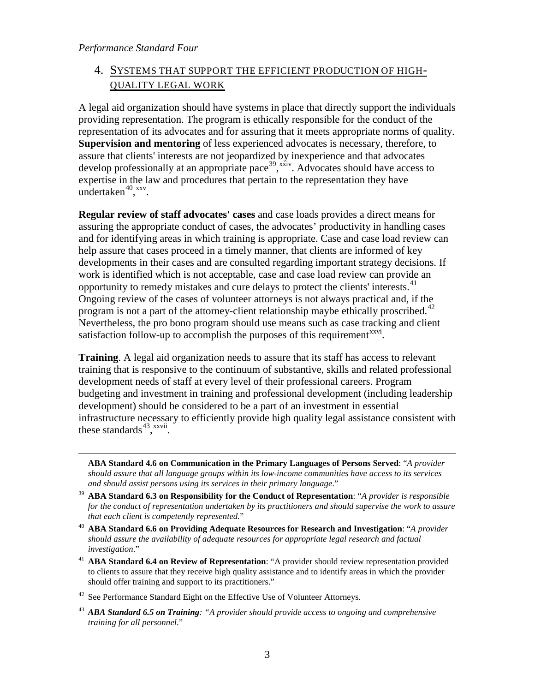<span id="page-20-4"></span> $\overline{a}$ 

## 4. SYSTEMS THAT SUPPORT THE EFFICIENT PRODUCTION OF HIGH-QUALITY LEGAL WORK

A legal aid organization should have systems in place that directly support the individuals providing representation. The program is ethically responsible for the conduct of the representation of its advocates and for assuring that it meets appropriate norms of quality. **Supervision and mentoring** of less experienced advocates is necessary, therefore, to assure that clients' interests are not jeopardized by inexperience and that advocates develop professionally at an appropriate pace<sup>[39](#page-20-0)</sup>,  $\frac{x}{y}$ . Advocates should have access to expertise in the law and procedures that pertain to the representation they have undertaken $40, xxy$  $40, xxy$ .

**Regular review of staff advocates' cases** and case loads provides a direct means for assuring the appropriate conduct of cases, the advocates' productivity in handling cases and for identifying areas in which training is appropriate. Case and case load review can help assure that cases proceed in a timely manner, that clients are informed of key developments in their cases and are consulted regarding important strategy decisions. If work is identified which is not acceptable, case and case load review can provide an opportunity to remedy mistakes and cure delays to protect the clients' interests.<sup>[41](#page-20-2)</sup> Ongoing review of the cases of volunteer attorneys is not always practical and, if the program is not a part of the attorney-client relationship maybe ethically proscribed.<sup>[42](#page-20-3)</sup> Nevertheless, the pro bono program should use means such as case tracking and client satisfaction follow-up to accomplish the purposes of this requirement<sup>[xxvi](#page-56-1)</sup>.

**Training**. A legal aid organization needs to assure that its staff has access to relevant training that is responsive to the continuum of substantive, skills and related professional development needs of staff at every level of their professional careers. Program budgeting and investment in training and professional development (including leadership development) should be considered to be a part of an investment in essential infrastructure necessary to efficiently provide high quality legal assistance consistent with these standards<sup>43</sup>,  $\frac{x}{y}$ [.](#page-56-2)

**ABA Standard 4.6 on Communication in the Primary Languages of Persons Served**: "*A provider should assure that all language groups within its low-income communities have access to its services and should assist persons using its services in their primary language*."

- <span id="page-20-0"></span><sup>39</sup> **ABA Standard 6.3 on Responsibility for the Conduct of Representation**: "*A provider is responsible for the conduct of representation undertaken by its practitioners and should supervise the work to assure that each client is competently represented.*"
- <span id="page-20-1"></span><sup>40</sup> ABA Standard 6.6 on Providing Adequate Resources for Research and Investigation: "*A provider should assure the availability of adequate resources for appropriate legal research and factual investigation*."
- <span id="page-20-2"></span><sup>41</sup> **ABA Standard 6.4 on Review of Representation**: "A provider should review representation provided to clients to assure that they receive high quality assistance and to identify areas in which the provider should offer training and support to its practitioners."
- <span id="page-20-3"></span> $42$  See Performance Standard Eight on the Effective Use of Volunteer Attorneys.
- <sup>43</sup> *ABA Standard 6.5 on Training: "A provider should provide access to ongoing and comprehensive training for all personnel*."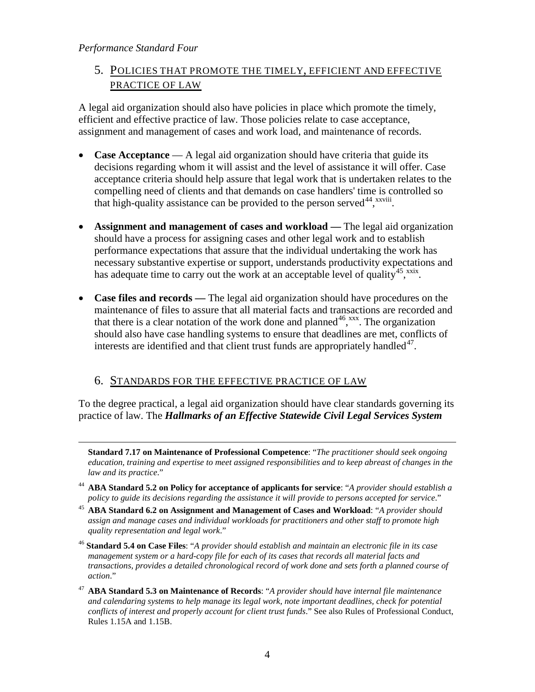$\overline{a}$ 

## 5. POLICIES THAT PROMOTE THE TIMELY, EFFICIENT AND EFFECTIVE PRACTICE OF LAW

A legal aid organization should also have policies in place which promote the timely, efficient and effective practice of law. Those policies relate to case acceptance, assignment and management of cases and work load, and maintenance of records.

- **Case Acceptance** A legal aid organization should have criteria that guide its decisions regarding whom it will assist and the level of assistance it will offer. Case acceptance criteria should help assure that legal work that is undertaken relates to the compelling need of clients and that demands on case handlers' time is controlled so that high-quality assistance can be provided to the person served<sup>[44](#page-21-0)</sup>, xxviii.
- **Assignment and management of cases and workload —** The legal aid organization should have a process for assigning cases and other legal work and to establish performance expectations that assure that the individual undertaking the work has necessary substantive expertise or support, understands productivity expectations and has adequate time to carry out the work at an acceptable level of quality<sup>45</sup>, [xxix](#page-57-1).
- **Case files and records —** The legal aid organization should have procedures on the maintenance of files to assure that all material facts and transactions are recorded and that there is a clear notation of the work done and planned<sup>46</sup>, [xxx](#page-58-0). The organization should also have case handling systems to ensure that deadlines are met, conflicts of interests are identified and that client trust funds are appropriately handled $47$ .

## 6. STANDARDS FOR THE EFFECTIVE PRACTICE OF LAW

To the degree practical, a legal aid organization should have clear standards governing its practice of law. The *Hallmarks of an Effective Statewide Civil Legal Services System*

**Standard 7.17 on Maintenance of Professional Competence**: "*The practitioner should seek ongoing education, training and expertise to meet assigned responsibilities and to keep abreast of changes in the law and its practice*."

- <span id="page-21-0"></span><sup>44</sup> **ABA Standard 5.2 on Policy for acceptance of applicants for service**: "*A provider should establish a policy to guide its decisions regarding the assistance it will provide to persons accepted for service*." 45 **ABA Standard 6.2 on Assignment and Management of Cases and Workload**: "*A provider should*
- <span id="page-21-1"></span>*assign and manage cases and individual workloads for practitioners and other staff to promote high quality representation and legal work*."
- <span id="page-21-2"></span><sup>46</sup> **Standard 5.4 on Case Files**: "*A provider should establish and maintain an electronic file in its case management system or a hard-copy file for each of its cases that records all material facts and transactions, provides a detailed chronological record of work done and sets forth a planned course of action*."
- <span id="page-21-3"></span><sup>47</sup> **ABA Standard 5.3 on Maintenance of Records**: "*A provider should have internal file maintenance and calendaring systems to help manage its legal work, note important deadlines, check for potential conflicts of interest and properly account for client trust funds*." See also Rules of Professional Conduct, Rules 1.15A and 1.15B.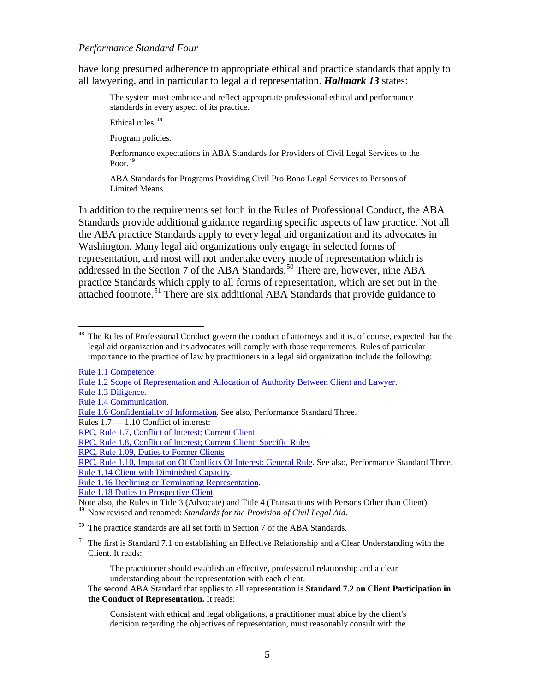have long presumed adherence to appropriate ethical and practice standards that apply to all lawyering, and in particular to legal aid representation. *Hallmark 13* states:

The system must embrace and reflect appropriate professional ethical and performance standards in every aspect of its practice.

Ethical rules.<sup>[48](#page-22-0)</sup>

Program policies.

Performance expectations in ABA Standards for Providers of Civil Legal Services to the Poor. [49](#page-22-1)

ABA Standards for Programs Providing Civil Pro Bono Legal Services to Persons of Limited Means.

In addition to the requirements set forth in the Rules of Professional Conduct, the ABA Standards provide additional guidance regarding specific aspects of law practice. Not all the ABA practice Standards apply to every legal aid organization and its advocates in Washington. Many legal aid organizations only engage in selected forms of representation, and most will not undertake every mode of representation which is addressed in the Section 7 of the ABA Standards. [50](#page-22-2) There are, however, nine ABA practice Standards which apply to all forms of representation, which are set out in the attached footnote.<sup>[51](#page-22-3)</sup> There are six additional ABA Standards that provide guidance to

[Rule 1.1 Competence.](http://www.courts.wa.gov/court_rules/?fa=court_rules.display&group=ga&set=RPC&ruleid=garpc1.01)

[Rule 1.2 Scope of Representation and Allocation of Authority Between Client and Lawyer.](http://www.courts.wa.gov/court_rules/?fa=court_rules.display&group=ga&set=RPC&ruleid=garpc1.02)

- [Rule 1.3 Diligence.](http://www.courts.wa.gov/court_rules/?fa=court_rules.display&group=ga&set=RPC&ruleid=garpc1.03)
- [Rule 1.4 Communication.](http://www.courts.wa.gov/court_rules/?fa=court_rules.display&group=ga&set=RPC&ruleid=garpc1.04)

RPC, Rule 1.10, [Imputation Of Conflicts Of Interest:](http://www.courts.wa.gov/court_rules/?fa=court_rules.display&group=ga&set=RPC&ruleid=garpc1.10) General Rule. See also, Performance Standard Three. Rule 1.14 [Client with Diminished Capacity.](http://www.courts.wa.gov/court_rules/?fa=court_rules.display&group=ga&set=RPC&ruleid=garpc1.14) 

[Rule 1.16 Declining or Terminating Representation.](http://www.courts.wa.gov/court_rules/?fa=court_rules.display&group=ga&set=RPC&ruleid=garpc1.16)

<span id="page-22-1"></span><sup>49</sup> Now revised and renamed: *Standards for the Provision of Civil Legal Aid*.

<span id="page-22-2"></span> $50$  The practice standards are all set forth in Section 7 of the ABA Standards.

<span id="page-22-3"></span> $<sup>51</sup>$  The first is Standard 7.1 on establishing an Effective Relationship and a Clear Understanding with the</sup> Client. It reads:

The practitioner should establish an effective, professional relationship and a clear understanding about the representation with each client.

#### The second ABA Standard that applies to all representation is **Standard 7.2 on Client Participation in the Conduct of Representation.** It reads:

Consistent with ethical and legal obligations, a practitioner must abide by the client's decision regarding the objectives of representation, must reasonably consult with the

<span id="page-22-0"></span> <sup>48</sup> The Rules of Professional Conduct govern the conduct of attorneys and it is, of course, expected that the legal aid organization and its advocates will comply with those requirements. Rules of particular importance to the practice of law by practitioners in a legal aid organization include the following:

[Rule 1.6 Confidentiality of Information.](http://www.courts.wa.gov/court_rules/?fa=court_rules.display&group=ga&set=RPC&ruleid=garpc1.06) See also, Performance Standard Three.

Rules 1.7 — 1.10 Conflict of interest:

[RPC, Rule 1.7, Conflict of Interest; Current Client](http://www.courts.wa.gov/court_rules/?fa=court_rules.display&group=ga&set=RPC&ruleid=garpc1.07)

[RPC, Rule 1.8, Conflict of Interest; Current Client: Specific Rules](http://www.courts.wa.gov/court_rules/?fa=court_rules.display&group=ga&set=RPC&ruleid=garpc1.08)

[RPC, Rule 1.09, Duties to Former Clients](http://www.courts.wa.gov/court_rules/?fa=court_rules.display&group=ga&set=RPC&ruleid=garpc1.09)

[Rule 1.18 Duties to Prospective Client.](http://www.courts.wa.gov/court_rules/?fa=court_rules.display&group=ga&set=RPC&ruleid=garpc1.18)<br>Note also, the Rules in Title 3 (Advocate) and Title 4 (Transactions with Persons Other than Client).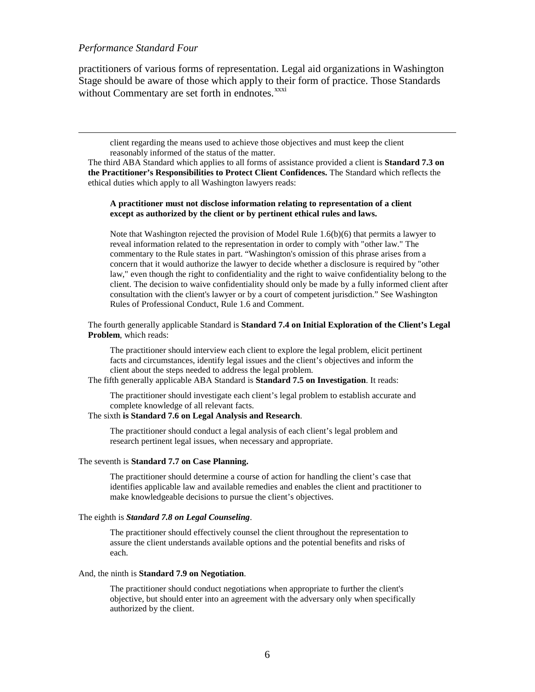$\overline{a}$ 

practitioners of various forms of representation. Legal aid organizations in Washington Stage should be aware of those which apply to their form of practice. Those Standards without Commentary are set forth in endnotes.<sup>[xxxi](#page-59-0)</sup>

client regarding the means used to achieve those objectives and must keep the client reasonably informed of the status of the matter.

The third ABA Standard which applies to all forms of assistance provided a client is **Standard 7.3 on the Practitioner's Responsibilities to Protect Client Confidences.** The Standard which reflects the ethical duties which apply to all Washington lawyers reads:

#### **A practitioner must not disclose information relating to representation of a client except as authorized by the client or by pertinent ethical rules and laws.**

Note that Washington rejected the provision of Model Rule 1.6(b)(6) that permits a lawyer to reveal information related to the representation in order to comply with "other law." The commentary to the Rule states in part. "Washington's omission of this phrase arises from a concern that it would authorize the lawyer to decide whether a disclosure is required by "other law," even though the right to confidentiality and the right to waive confidentiality belong to the client. The decision to waive confidentiality should only be made by a fully informed client after consultation with the client's lawyer or by a court of competent jurisdiction." See Washington Rules of Professional Conduct, Rule 1.6 and Comment.

The fourth generally applicable Standard is **Standard 7.4 on Initial Exploration of the Client's Legal Problem**, which reads:

The practitioner should interview each client to explore the legal problem, elicit pertinent facts and circumstances, identify legal issues and the client's objectives and inform the client about the steps needed to address the legal problem.

The fifth generally applicable ABA Standard is **Standard 7.5 on Investigation**. It reads:

The practitioner should investigate each client's legal problem to establish accurate and complete knowledge of all relevant facts.

#### The sixth **is Standard 7.6 on Legal Analysis and Research**.

The practitioner should conduct a legal analysis of each client's legal problem and research pertinent legal issues, when necessary and appropriate.

#### The seventh is **Standard 7.7 on Case Planning.**

The practitioner should determine a course of action for handling the client's case that identifies applicable law and available remedies and enables the client and practitioner to make knowledgeable decisions to pursue the client's objectives.

#### The eighth is *Standard 7.8 on Legal Counseling*.

The practitioner should effectively counsel the client throughout the representation to assure the client understands available options and the potential benefits and risks of each.

#### And, the ninth is **Standard 7.9 on Negotiation**.

The practitioner should conduct negotiations when appropriate to further the client's objective, but should enter into an agreement with the adversary only when specifically authorized by the client.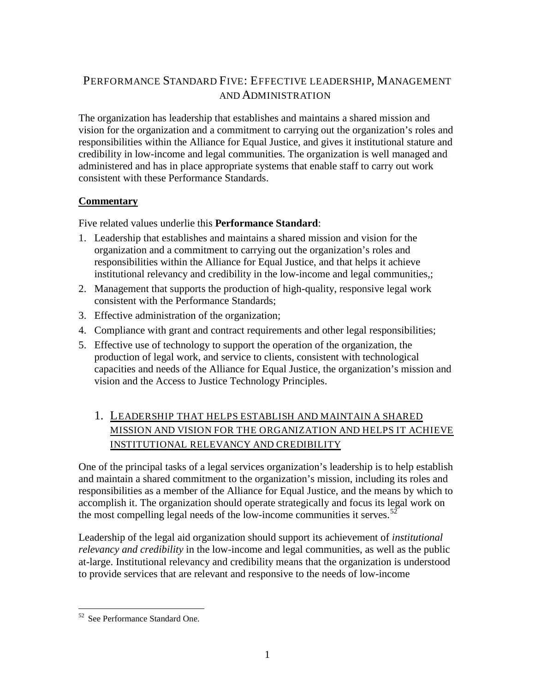## <span id="page-24-0"></span>PERFORMANCE STANDARD FIVE: EFFECTIVE LEADERSHIP, MANAGEMENT AND ADMINISTRATION

The organization has leadership that establishes and maintains a shared mission and vision for the organization and a commitment to carrying out the organization's roles and responsibilities within the Alliance for Equal Justice, and gives it institutional stature and credibility in low-income and legal communities. The organization is well managed and administered and has in place appropriate systems that enable staff to carry out work consistent with these Performance Standards.

## **Commentary**

Five related values underlie this **Performance Standard**:

- 1. Leadership that establishes and maintains a shared mission and vision for the organization and a commitment to carrying out the organization's roles and responsibilities within the Alliance for Equal Justice, and that helps it achieve institutional relevancy and credibility in the low-income and legal communities,;
- 2. Management that supports the production of high-quality, responsive legal work consistent with the Performance Standards;
- 3. Effective administration of the organization;
- 4. Compliance with grant and contract requirements and other legal responsibilities;
- 5. Effective use of technology to support the operation of the organization, the production of legal work, and service to clients, consistent with technological capacities and needs of the Alliance for Equal Justice, the organization's mission and vision and the Access to Justice Technology Principles.

## 1. LEADERSHIP THAT HELPS ESTABLISH AND MAINTAIN A SHARED MISSION AND VISION FOR THE ORGANIZATION AND HELPS IT ACHIEVE INSTITUTIONAL RELEVANCY AND CREDIBILITY

One of the principal tasks of a legal services organization's leadership is to help establish and maintain a shared commitment to the organization's mission, including its roles and responsibilities as a member of the Alliance for Equal Justice, and the means by which to accomplish it. The organization should operate strategically and focus its legal work on the most compelling legal needs of the low-income communities it serves.<sup>[52](#page-24-1)</sup>

Leadership of the legal aid organization should support its achievement of *institutional relevancy and credibility* in the low-income and legal communities, as well as the public at-large. Institutional relevancy and credibility means that the organization is understood to provide services that are relevant and responsive to the needs of low-income

<span id="page-24-1"></span> <sup>52</sup> See Performance Standard One.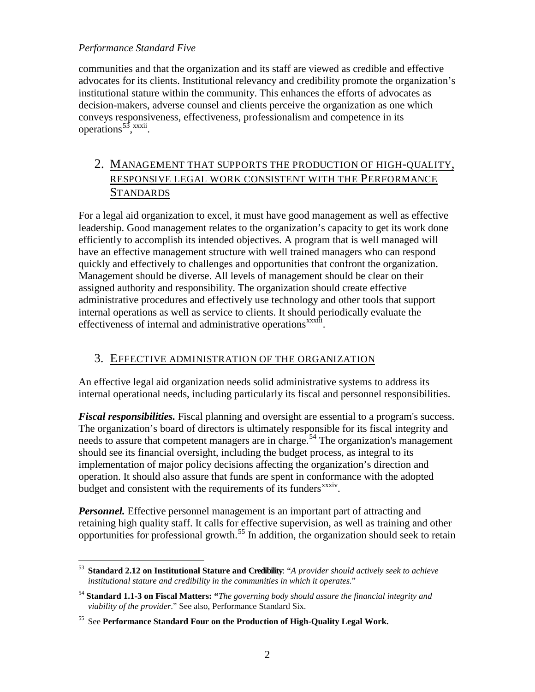### *Performance Standard Five*

communities and that the organization and its staff are viewed as credible and effective advocates for its clients. Institutional relevancy and credibility promote the organization's institutional stature within the community. This enhances the efforts of advocates as decision-makers, adverse counsel and clients perceive the organization as one which conveys responsiveness, effectiveness, professionalism and competence in its operations<sup>[53](#page-25-0)</sup>, xxxii[.](#page-59-1)

## 2. MANAGEMENT THAT SUPPORTS THE PRODUCTION OF HIGH-QUALITY, RESPONSIVE LEGAL WORK CONSISTENT WITH THE PERFORMANCE **STANDARDS**

For a legal aid organization to excel, it must have good management as well as effective leadership. Good management relates to the organization's capacity to get its work done efficiently to accomplish its intended objectives. A program that is well managed will have an effective management structure with well trained managers who can respond quickly and effectively to challenges and opportunities that confront the organization. Management should be diverse. All levels of management should be clear on their assigned authority and responsibility. The organization should create effective administrative procedures and effectively use technology and other tools that support internal operations as well as service to clients. It should periodically evaluate the effectiveness of internal and administrative operations<sup>xxxiii</sup>.

## 3. EFFECTIVE ADMINISTRATION OF THE ORGANIZATION

An effective legal aid organization needs solid administrative systems to address its internal operational needs, including particularly its fiscal and personnel responsibilities.

*Fiscal responsibilities.* Fiscal planning and oversight are essential to a program's success. The organization's board of directors is ultimately responsible for its fiscal integrity and needs to assure that competent managers are in charge. [54](#page-25-1) The organization's management budget and consistent with the requirements of its funders<sup>xxxiv</sup>. should see its financial oversight, including the budget process, as integral to its implementation of major policy decisions affecting the organization's direction and operation. It should also assure that funds are spent in conformance with the adopted

*Personnel.* Effective personnel management is an important part of attracting and retaining high quality staff. It calls for effective supervision, as well as training and other opportunities for professional growth.<sup>[55](#page-25-2)</sup> In addition, the organization should seek to retain

<span id="page-25-0"></span> <sup>53</sup> **Standard 2.12 on Institutional Stature and Credibility**: "*A provider should actively seek to achieve institutional stature and credibility in the communities in which it operates.*"

<span id="page-25-1"></span><sup>54</sup> **Standard 1.1-3 on Fiscal Matters: "***The governing body should assure the financial integrity and viability of the provider*." See also, Performance Standard Six.

<span id="page-25-2"></span><sup>55</sup> See **Performance Standard Four on the Production of High-Quality Legal Work.**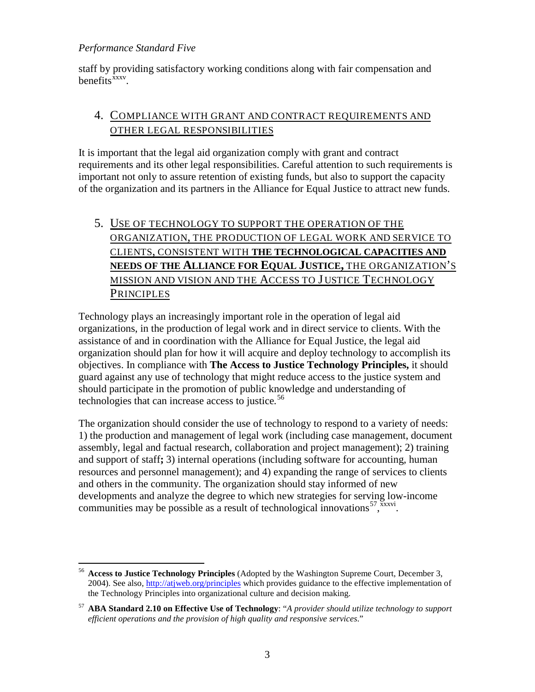### *Performance Standard Five*

staff by providing satisfactory working conditions along with fair compensation and benefits $\frac{\bar{x}xxv}{\bar{x}}$ .

## 4. COMPLIANCE WITH GRANT AND CONTRACT REQUIREMENTS AND OTHER LEGAL RESPONSIBILITIES

It is important that the legal aid organization comply with grant and contract requirements and its other legal responsibilities. Careful attention to such requirements is important not only to assure retention of existing funds, but also to support the capacity of the organization and its partners in the Alliance for Equal Justice to attract new funds.

## 5. USE OF TECHNOLOGY TO SUPPORT THE OPERATION OF THE ORGANIZATION, THE PRODUCTION OF LEGAL WORK AND SERVICE TO CLIENTS, CONSISTENT WITH **THE TECHNOLOGICAL CAPACITIES AND NEEDS OF THE ALLIANCE FOR EQUAL JUSTICE,** THE ORGANIZATION'S MISSION AND VISION AND THE ACCESS TO J USTICE TECHNOLOGY **PRINCIPLES**

Technology plays an increasingly important role in the operation of legal aid organizations, in the production of legal work and in direct service to clients. With the assistance of and in coordination with the Alliance for Equal Justice, the legal aid organization should plan for how it will acquire and deploy technology to accomplish its objectives. In compliance with **The Access to Justice Technology Principles,** it should guard against any use of technology that might reduce access to the justice system and should participate in the promotion of public knowledge and understanding of technologies that can increase access to justice*.* [56](#page-26-0)

The organization should consider the use of technology to respond to a variety of needs: 1) the production and management of legal work (including case management, document assembly, legal and factual research, collaboration and project management); 2) training and support of staff**;** 3) internal operations (including software for accounting, human resources and personnel management); and 4) expanding the range of services to clients and others in the community. The organization should stay informed of new developments and analyze the degree to which new strategies for serving low-income communities may be possible as a result of technological innovations<sup>[57](#page-26-1)</sup>,  $\frac{x}{x}$ [.](#page-61-0)

<span id="page-26-0"></span> <sup>56</sup> **Access to Justice Technology Principles** (Adopted by the Washington Supreme Court, December 3, 2004). See also,<http://atjweb.org/principles> which provides guidance to the effective implementation of the Technology Principles into organizational culture and decision making.

<span id="page-26-1"></span><sup>57</sup> **ABA Standard 2.10 on Effective Use of Technology**: "*A provider should utilize technology to support efficient operations and the provision of high quality and responsive services*."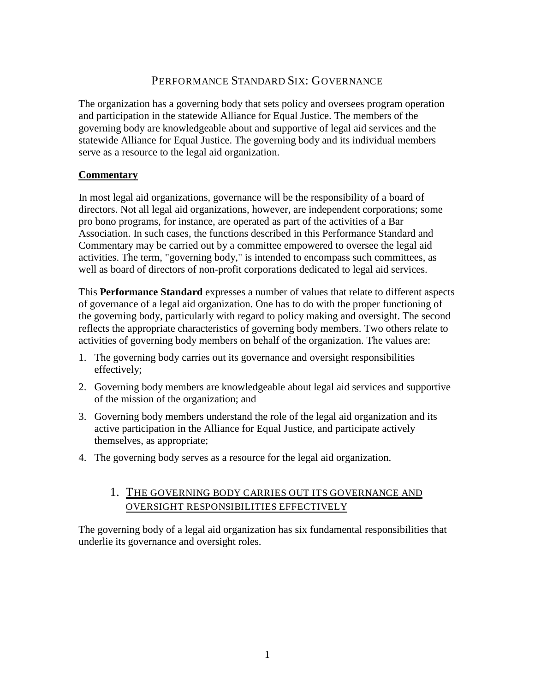## PERFORMANCE STANDARD SIX: GOVERNANCE

<span id="page-27-0"></span>The organization has a governing body that sets policy and oversees program operation and participation in the statewide Alliance for Equal Justice. The members of the governing body are knowledgeable about and supportive of legal aid services and the statewide Alliance for Equal Justice. The governing body and its individual members serve as a resource to the legal aid organization.

### **Commentary**

In most legal aid organizations, governance will be the responsibility of a board of directors. Not all legal aid organizations, however, are independent corporations; some pro bono programs, for instance, are operated as part of the activities of a Bar Association. In such cases, the functions described in this Performance Standard and Commentary may be carried out by a committee empowered to oversee the legal aid activities. The term, "governing body," is intended to encompass such committees, as well as board of directors of non-profit corporations dedicated to legal aid services.

This **Performance Standard** expresses a number of values that relate to different aspects of governance of a legal aid organization. One has to do with the proper functioning of the governing body, particularly with regard to policy making and oversight. The second reflects the appropriate characteristics of governing body members. Two others relate to activities of governing body members on behalf of the organization. The values are:

- 1. The governing body carries out its governance and oversight responsibilities effectively;
- 2. Governing body members are knowledgeable about legal aid services and supportive of the mission of the organization; and
- 3. Governing body members understand the role of the legal aid organization and its active participation in the Alliance for Equal Justice, and participate actively themselves, as appropriate;
- 4. The governing body serves as a resource for the legal aid organization.

## 1. THE GOVERNING BODY CARRIES OUT ITS GOVERNANCE AND OVERSIGHT RESPONSIBILITIES EFFECTIVELY

The governing body of a legal aid organization has six fundamental responsibilities that underlie its governance and oversight roles.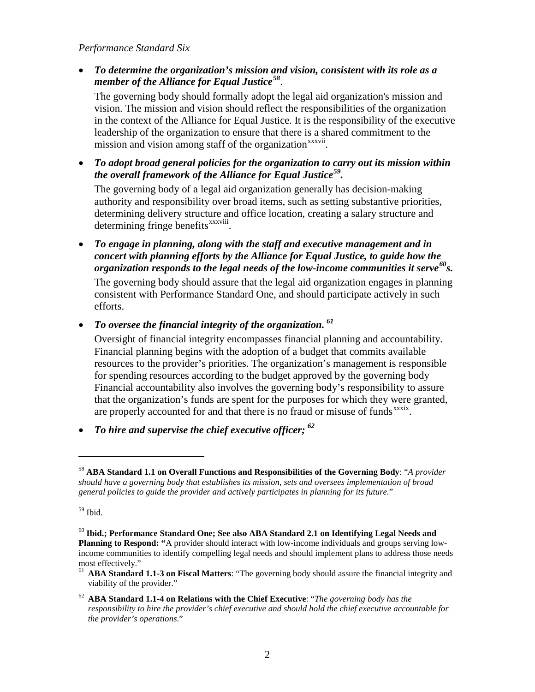### *Performance Standard Six*

• *To determine the organization's mission and vision, consistent with its role as a member of the Alliance for Equal Justice[58](#page-28-0)* .

The governing body should formally adopt the legal aid organization's mission and vision. The mission and vision should reflect the responsibilities of the organization in the context of the Alliance for Equal Justice. It is the responsibility of the executive leadership of the organization to ensure that there is a shared commitment to the mission and vision among staff of the organization<sup>xxxvii</sup>[.](#page-61-1)

• *To adopt broad general policies for the organization to carry out its mission within the overall framework of the Alliance for Equal Justice[59](#page-28-1) .*

The governing body of a legal aid organization generally has decision-making authority and responsibility over broad items, such as setting substantive priorities, determining delivery structure and office location, creating a salary structure and determining fringe benefits<sup>xxxviii</sup>[.](#page-61-2)

• *To engage in planning, along with the staff and executive management and in concert with planning efforts by the Alliance for Equal Justice, to guide how the organization responds to the legal needs of the low-income communities it serve[60](#page-28-2) s.*

The governing body should assure that the legal aid organization engages in planning consistent with Performance Standard One, and should participate actively in such efforts.

• *To oversee the financial integrity of the organization. [61](#page-28-3)*

Oversight of financial integrity encompasses financial planning and accountability. Financial planning begins with the adoption of a budget that commits available resources to the provider's priorities. The organization's management is responsible for spending resources according to the budget approved by the governing body Financial accountability also involves the governing body's responsibility to assure that the organization's funds are spent for the purposes for which they were granted, are properly accounted for and that there is no fraud or misuse of funds<sup>xxxix</sup>.

• *To hire and supervise the chief executive officer; [62](#page-28-4)*

<span id="page-28-1"></span> $59$  Ibid.

 $\overline{a}$ 

- <span id="page-28-3"></span>viability of the provider."
- <span id="page-28-4"></span><sup>62</sup> **ABA Standard 1.1-4 on Relations with the Chief Executive**: "*The governing body has the responsibility to hire the provider's chief executive and should hold the chief executive accountable for the provider's operations*."

<span id="page-28-0"></span><sup>58</sup> **ABA Standard 1.1 on Overall Functions and Responsibilities of the Governing Body**: "*A provider should have a governing body that establishes its mission, sets and oversees implementation of broad general policies to guide the provider and actively participates in planning for its future.*"

<span id="page-28-2"></span><sup>60</sup> **Ibid.; Performance Standard One; See also ABA Standard 2.1 on Identifying Legal Needs and Planning to Respond: "**A provider should interact with low-income individuals and groups serving lowincome communities to identify compelling legal needs and should implement plans to address those needs most effectively."<br><sup>61</sup> **ABA Standard 1.1-3 on Fiscal Matters**: "The governing body should assure the financial integrity and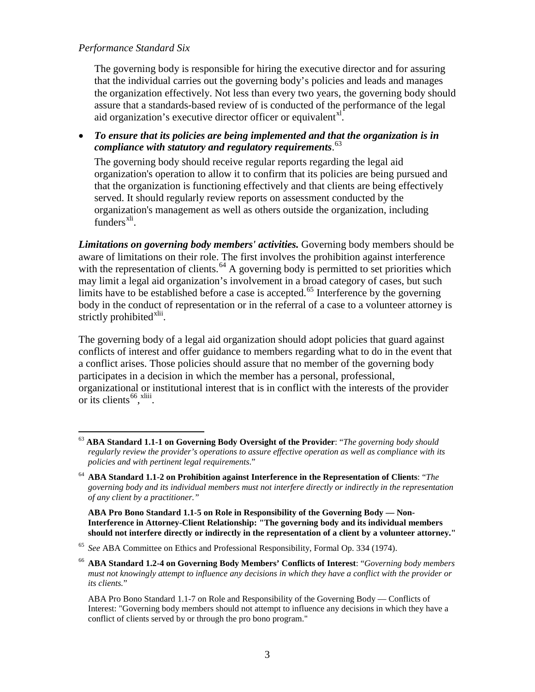### *Performance Standard Six*

The governing body is responsible for hiring the executive director and for assuring that the individual carries out the governing body's policies and leads and manages the organization effectively. Not less than every two years, the governing body should assure that a standards-based review of is conducted of the performance of the legal aid organization's executive director officer or equivalent<sup>[xl](#page-62-1)</sup>.

• *To ensure that its policies are being implemented and that the organization is in compliance with statutory and regulatory requirements*. [63](#page-29-0)

The governing body should receive regular reports regarding the legal aid organization's operation to allow it to confirm that its policies are being pursued and that the organization is functioning effectively and that clients are being effectively served. It should regularly review reports on assessment conducted by the organization's management as well as others outside the organization, including funders $^{xli}$  $^{xli}$  $^{xli}$ .

*Limitations on governing body members' activities.* Governing body members should be aware of limitations on their role. The first involves the prohibition against interference with the representation of clients.<sup>[64](#page-29-1)</sup> A governing body is permitted to set priorities which may limit a legal aid organization's involvement in a broad category of cases, but such limits have to be established before a case is accepted.<sup>[65](#page-29-2)</sup> Interference by the governing body in the conduct of representation or in the referral of a case to a volunteer attorney is strictly prohibited<sup>[xlii](#page-63-0)</sup>.

The governing body of a legal aid organization should adopt policies that guard against conflicts of interest and offer guidance to members regarding what to do in the event that a conflict arises. Those policies should assure that no member of the governing body participates in a decision in which the member has a personal, professional, organizational or institutional interest that is in conflict with the interests of the provider or its clients  $66,$  $66,$  xliii[.](#page-63-1)

**ABA Pro Bono Standard 1.1-5 on Role in Responsibility of the Governing Body — Non-Interference in Attorney-Client Relationship: "The governing body and its individual members should not interfere directly or indirectly in the representation of a client by a volunteer attorney."**

<span id="page-29-0"></span> <sup>63</sup> **ABA Standard 1.1-1 on Governing Body Oversight of the Provider**: "*The governing body should regularly review the provider's operations to assure effective operation as well as compliance with its policies and with pertinent legal requirements*."

<span id="page-29-1"></span><sup>64</sup> **ABA Standard 1.1-2 on Prohibition against Interference in the Representation of Clients**: "*The governing body and its individual members must not interfere directly or indirectly in the representation of any client by a practitioner."*

<span id="page-29-2"></span><sup>65</sup> *See* ABA Committee on Ethics and Professional Responsibility, Formal Op. 334 (1974).

<span id="page-29-3"></span><sup>66</sup> **ABA Standard 1.2-4 on Governing Body Members' Conflicts of Interest**: "*Governing body members must not knowingly attempt to influence any decisions in which they have a conflict with the provider or its clients.*"

ABA Pro Bono Standard 1.1-7 on Role and Responsibility of the Governing Body — Conflicts of Interest: "Governing body members should not attempt to influence any decisions in which they have a conflict of clients served by or through the pro bono program."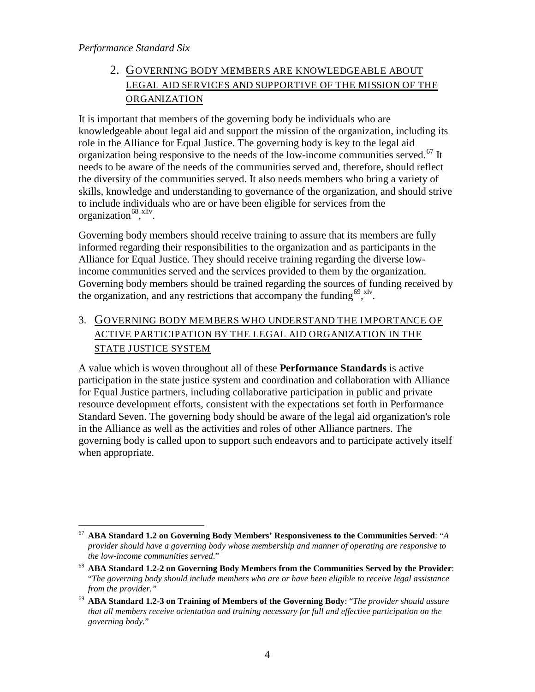*Performance Standard Six*

## 2. GOVERNING BODY MEMBERS ARE KNOWLEDGEABLE ABOUT LEGAL AID SERVICES AND SUPPORTIVE OF THE MISSION OF THE ORGANIZATION

It is important that members of the governing body be individuals who are knowledgeable about legal aid and support the mission of the organization, including its role in the Alliance for Equal Justice. The governing body is key to the legal aid organization being responsive to the needs of the low-income communities served.<sup>[67](#page-30-0)</sup> It needs to be aware of the needs of the communities served and, therefore, should reflect the diversity of the communities served. It also needs members who bring a variety of skills, knowledge and understanding to governance of the organization, and should strive to include individuals who are or have been eligible for services from the organization<sup>68</sup>, [xliv](#page-64-0).

Governing body members should receive training to assure that its members are fully informed regarding their responsibilities to the organization and as participants in the Alliance for Equal Justice. They should receive training regarding the diverse lowincome communities served and the services provided to them by the organization. Governing body members should be trained regarding the sources of funding received by the organization, and any restrictions that accompany the funding  $69,$   $\frac{1}{10}$ .

3. GOVERNING BODY MEMBERS WHO UNDERSTAND THE IMPORTANCE OF ACTIVE PARTICIPATION BY THE LEGAL AID ORGANIZATION IN THE STATE JUSTICE SYSTEM

A value which is woven throughout all of these **Performance Standards** is active participation in the state justice system and coordination and collaboration with Alliance for Equal Justice partners, including collaborative participation in public and private resource development efforts, consistent with the expectations set forth in Performance Standard Seven. The governing body should be aware of the legal aid organization's role in the Alliance as well as the activities and roles of other Alliance partners. The governing body is called upon to support such endeavors and to participate actively itself when appropriate.

<span id="page-30-0"></span> <sup>67</sup> **ABA Standard 1.2 on Governing Body Members' Responsiveness to the Communities Served**: "*<sup>A</sup> provider should have a governing body whose membership and manner of operating are responsive to the low-income communities served*."

<span id="page-30-1"></span><sup>68</sup> **ABA Standard 1.2-2 on Governing Body Members from the Communities Served by the Provider**: "*The governing body should include members who are or have been eligible to receive legal assistance from the provider."*

<span id="page-30-2"></span><sup>69</sup> **ABA Standard 1.2-3 on Training of Members of the Governing Body**: "*The provider should assure that all members receive orientation and training necessary for full and effective participation on the governing body.*"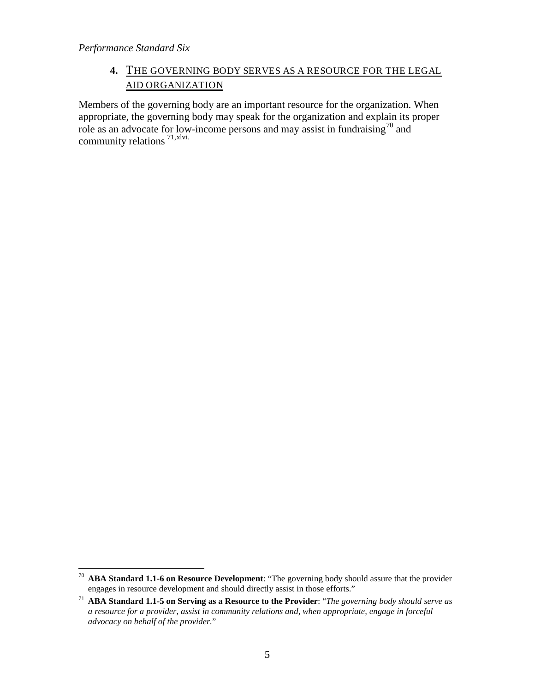## **4.** THE GOVERNING BODY SERVES AS A RESOURCE FOR THE LEGAL AID ORGANIZATION

Members of the governing body are an important resource for the organization. When appropriate, the governing body may speak for the organization and explain its proper role as an advocate for low-income persons and may assist in fundraising<sup>[70](#page-31-0)</sup> and community relations<sup>[71,](#page-31-1)[xlvi](#page-64-2).</sup>

<span id="page-31-0"></span> <sup>70</sup> **ABA Standard 1.1-6 on Resource Development**: "The governing body should assure that the provider engages in resource development and should directly assist in those efforts."

<span id="page-31-1"></span><sup>71</sup> **ABA Standard 1.1-5 on Serving as a Resource to the Provider**: "*The governing body should serve as a resource for a provider, assist in community relations and, when appropriate, engage in forceful advocacy on behalf of the provider.*"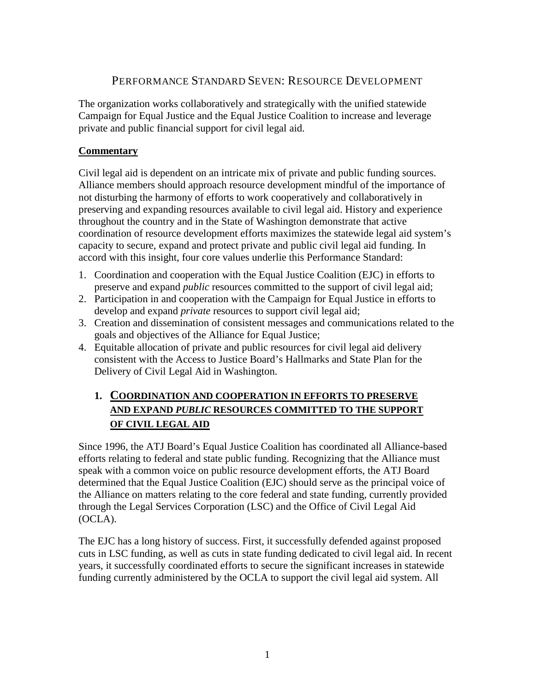## PERFORMANCE STANDARD SEVEN: RESOURCE DEVELOPMENT

<span id="page-32-0"></span>The organization works collaboratively and strategically with the unified statewide Campaign for Equal Justice and the Equal Justice Coalition to increase and leverage private and public financial support for civil legal aid.

## **Commentary**

Civil legal aid is dependent on an intricate mix of private and public funding sources. Alliance members should approach resource development mindful of the importance of not disturbing the harmony of efforts to work cooperatively and collaboratively in preserving and expanding resources available to civil legal aid. History and experience throughout the country and in the State of Washington demonstrate that active coordination of resource development efforts maximizes the statewide legal aid system's capacity to secure, expand and protect private and public civil legal aid funding. In accord with this insight, four core values underlie this Performance Standard:

- 1. Coordination and cooperation with the Equal Justice Coalition (EJC) in efforts to preserve and expand *public* resources committed to the support of civil legal aid;
- 2. Participation in and cooperation with the Campaign for Equal Justice in efforts to develop and expand *private* resources to support civil legal aid;
- 3. Creation and dissemination of consistent messages and communications related to the goals and objectives of the Alliance for Equal Justice;
- 4. Equitable allocation of private and public resources for civil legal aid delivery consistent with the Access to Justice Board's Hallmarks and State Plan for the Delivery of Civil Legal Aid in Washington.

## **1. COORDINATION AND COOPERATION IN EFFORTS TO PRESERVE AND EXPAND** *PUBLIC* **RESOURCES COMMITTED TO THE SUPPORT OF CIVIL LEGAL AID**

Since 1996, the ATJ Board's Equal Justice Coalition has coordinated all Alliance-based efforts relating to federal and state public funding. Recognizing that the Alliance must speak with a common voice on public resource development efforts, the ATJ Board determined that the Equal Justice Coalition (EJC) should serve as the principal voice of the Alliance on matters relating to the core federal and state funding, currently provided through the Legal Services Corporation (LSC) and the Office of Civil Legal Aid (OCLA).

The EJC has a long history of success. First, it successfully defended against proposed cuts in LSC funding, as well as cuts in state funding dedicated to civil legal aid. In recent years, it successfully coordinated efforts to secure the significant increases in statewide funding currently administered by the OCLA to support the civil legal aid system. All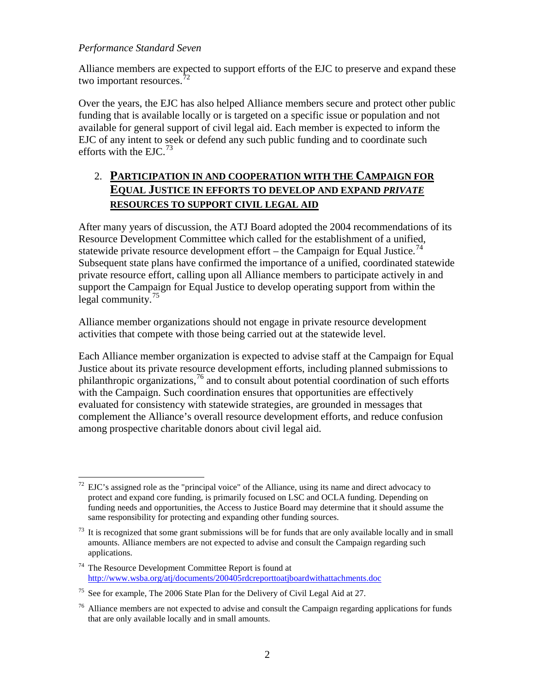### *Performance Standard Seven*

Alliance members are expected to support efforts of the EJC to preserve and expand these two important resources.  $72$ 

Over the years, the EJC has also helped Alliance members secure and protect other public funding that is available locally or is targeted on a specific issue or population and not available for general support of civil legal aid. Each member is expected to inform the EJC of any intent to seek or defend any such public funding and to coordinate such efforts with the  $EIC.<sup>73</sup>$  $EIC.<sup>73</sup>$  $EIC.<sup>73</sup>$ 

## 2. **PARTICIPATION IN AND COOPERATION WITH THE CAMPAIGN FOR EQUAL JUSTICE IN EFFORTS TO DEVELOP AND EXPAND** *PRIVATE*  **RESOURCES TO SUPPORT CIVIL LEGAL AID**

After many years of discussion, the ATJ Board adopted the 2004 recommendations of its Resource Development Committee which called for the establishment of a unified, statewide private resource development effort – the Campaign for Equal Justice.<sup>[74](#page-33-2)</sup> Subsequent state plans have confirmed the importance of a unified, coordinated statewide private resource effort, calling upon all Alliance members to participate actively in and support the Campaign for Equal Justice to develop operating support from within the legal community.<sup>[75](#page-33-3)</sup>

Alliance member organizations should not engage in private resource development activities that compete with those being carried out at the statewide level.

Each Alliance member organization is expected to advise staff at the Campaign for Equal Justice about its private resource development efforts, including planned submissions to philanthropic organizations,<sup>[76](#page-33-4)</sup> and to consult about potential coordination of such efforts with the Campaign. Such coordination ensures that opportunities are effectively evaluated for consistency with statewide strategies, are grounded in messages that complement the Alliance's overall resource development efforts, and reduce confusion among prospective charitable donors about civil legal aid.

<span id="page-33-0"></span>EJC's assigned role as the "principal voice" of the Alliance, using its name and direct advocacy to protect and expand core funding, is primarily focused on LSC and OCLA funding. Depending on funding needs and opportunities, the Access to Justice Board may determine that it should assume the same responsibility for protecting and expanding other funding sources.

<span id="page-33-1"></span>It is recognized that some grant submissions will be for funds that are only available locally and in small amounts. Alliance members are not expected to advise and consult the Campaign regarding such applications.

<span id="page-33-2"></span><sup>74</sup> The Resource Development Committee Report is found at <http://www.wsba.org/atj/documents/200405rdcreporttoatjboardwithattachments.doc>

<span id="page-33-3"></span><sup>&</sup>lt;sup>75</sup> See for example, The 2006 State Plan for the Delivery of Civil Legal Aid at 27.

<span id="page-33-4"></span> $76$  Alliance members are not expected to advise and consult the Campaign regarding applications for funds that are only available locally and in small amounts.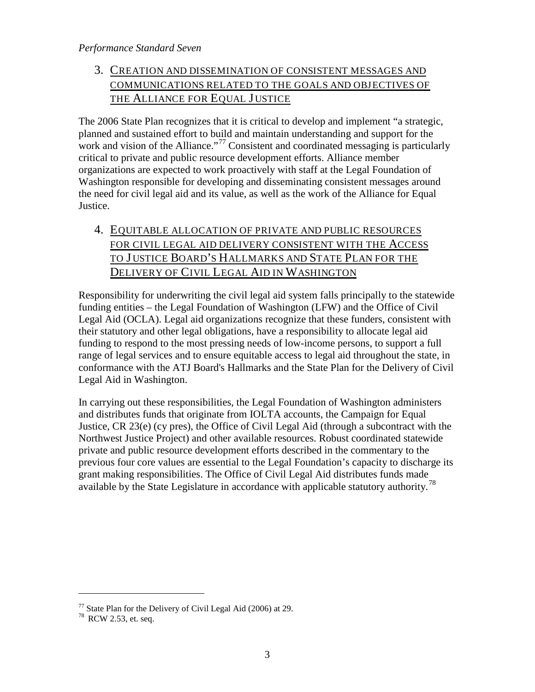### *Performance Standard Seven*

## 3. CREATION AND DISSEMINATION OF CONSISTENT MESSAGES AND COMMUNICATIONS RELATED TO THE GOALS AND OBJECTIVES OF THE ALLIANCE FOR EQUAL JUSTICE

The 2006 State Plan recognizes that it is critical to develop and implement "a strategic, planned and sustained effort to build and maintain understanding and support for the work and vision of the Alliance."<sup>[77](#page-34-0)</sup> Consistent and coordinated messaging is particularly critical to private and public resource development efforts. Alliance member organizations are expected to work proactively with staff at the Legal Foundation of Washington responsible for developing and disseminating consistent messages around the need for civil legal aid and its value, as well as the work of the Alliance for Equal Justice.

## 4. EQUITABLE ALLOCATION OF PRIVATE AND PUBLIC RESOURCES FOR CIVIL LEGAL AID DELIVERY CONSISTENT WITH THE ACCESS TO J USTICE BOARD'S HALLMARKS AND STATE PLAN FOR THE DELIVERY OF CIVIL LEGAL AID IN WASHINGTON

Responsibility for underwriting the civil legal aid system falls principally to the statewide funding entities – the Legal Foundation of Washington (LFW) and the Office of Civil Legal Aid (OCLA). Legal aid organizations recognize that these funders, consistent with their statutory and other legal obligations, have a responsibility to allocate legal aid funding to respond to the most pressing needs of low-income persons, to support a full range of legal services and to ensure equitable access to legal aid throughout the state, in conformance with the ATJ Board's Hallmarks and the State Plan for the Delivery of Civil Legal Aid in Washington.

In carrying out these responsibilities, the Legal Foundation of Washington administers and distributes funds that originate from IOLTA accounts, the Campaign for Equal Justice, CR 23(e) (cy pres), the Office of Civil Legal Aid (through a subcontract with the Northwest Justice Project) and other available resources. Robust coordinated statewide private and public resource development efforts described in the commentary to the previous four core values are essential to the Legal Foundation's capacity to discharge its grant making responsibilities. The Office of Civil Legal Aid distributes funds made available by the State Legislature in accordance with applicable statutory authority.[78](#page-34-1)

 $\overline{a}$ 

<span id="page-34-1"></span><span id="page-34-0"></span><sup>&</sup>lt;sup>77</sup> State Plan for the Delivery of Civil Legal Aid (2006) at 29.<br><sup>78</sup> RCW 2.53, et. seq.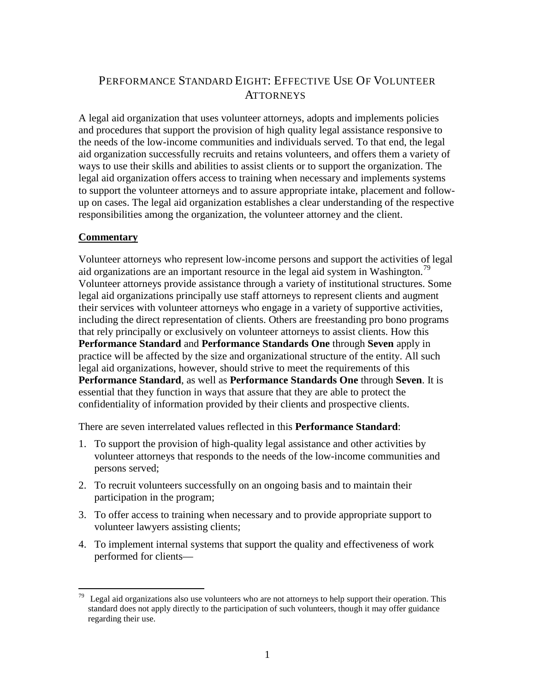## <span id="page-35-0"></span>PERFORMANCE STANDARD EIGHT: EFFECTIVE USE OF VOLUNTEER **ATTORNEYS**

A legal aid organization that uses volunteer attorneys, adopts and implements policies and procedures that support the provision of high quality legal assistance responsive to the needs of the low-income communities and individuals served. To that end, the legal aid organization successfully recruits and retains volunteers, and offers them a variety of ways to use their skills and abilities to assist clients or to support the organization. The legal aid organization offers access to training when necessary and implements systems to support the volunteer attorneys and to assure appropriate intake, placement and followup on cases. The legal aid organization establishes a clear understanding of the respective responsibilities among the organization, the volunteer attorney and the client.

## **Commentary**

Volunteer attorneys who represent low-income persons and support the activities of legal aid organizations are an important resource in the legal aid system in Washington.<sup>[79](#page-35-1)</sup> Volunteer attorneys provide assistance through a variety of institutional structures. Some legal aid organizations principally use staff attorneys to represent clients and augment their services with volunteer attorneys who engage in a variety of supportive activities, including the direct representation of clients. Others are freestanding pro bono programs that rely principally or exclusively on volunteer attorneys to assist clients. How this **Performance Standard** and **Performance Standards One** through **Seven** apply in practice will be affected by the size and organizational structure of the entity. All such legal aid organizations, however, should strive to meet the requirements of this **Performance Standard**, as well as **Performance Standards One** through **Seven**. It is essential that they function in ways that assure that they are able to protect the confidentiality of information provided by their clients and prospective clients.

There are seven interrelated values reflected in this **Performance Standard**:

- 1. To support the provision of high-quality legal assistance and other activities by volunteer attorneys that responds to the needs of the low-income communities and persons served;
- 2. To recruit volunteers successfully on an ongoing basis and to maintain their participation in the program;
- 3. To offer access to training when necessary and to provide appropriate support to volunteer lawyers assisting clients;
- 4. To implement internal systems that support the quality and effectiveness of work performed for clients—

<span id="page-35-1"></span>Legal aid organizations also use volunteers who are not attorneys to help support their operation. This standard does not apply directly to the participation of such volunteers, though it may offer guidance regarding their use.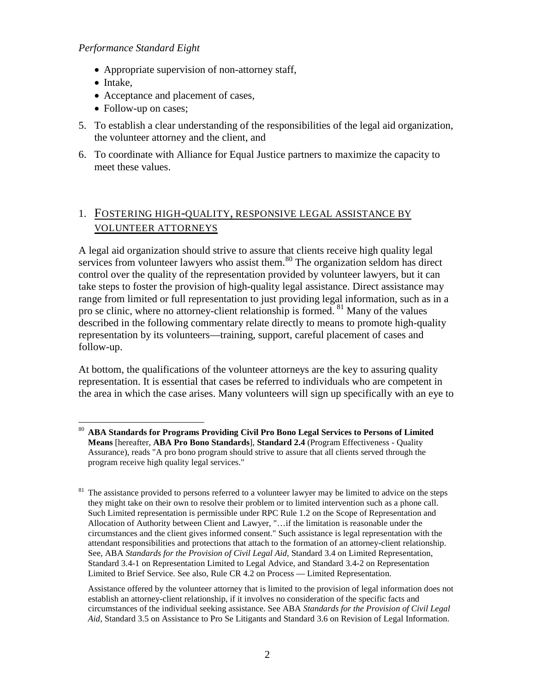- Appropriate supervision of non-attorney staff,
- Intake,
- Acceptance and placement of cases,
- Follow-up on cases;
- 5. To establish a clear understanding of the responsibilities of the legal aid organization, the volunteer attorney and the client, and
- 6. To coordinate with Alliance for Equal Justice partners to maximize the capacity to meet these values.

## 1. FOSTERING HIGH-QUALITY, RESPONSIVE LEGAL ASSISTANCE BY VOLUNTEER ATTORNEYS

A legal aid organization should strive to assure that clients receive high quality legal services from volunteer lawyers who assist them.<sup>[80](#page-36-0)</sup> The organization seldom has direct control over the quality of the representation provided by volunteer lawyers, but it can take steps to foster the provision of high-quality legal assistance. Direct assistance may range from limited or full representation to just providing legal information, such as in a pro se clinic, where no attorney-client relationship is formed. <sup>[81](#page-36-1)</sup> Many of the values described in the following commentary relate directly to means to promote high-quality representation by its volunteers—training, support, careful placement of cases and follow-up.

At bottom, the qualifications of the volunteer attorneys are the key to assuring quality representation. It is essential that cases be referred to individuals who are competent in the area in which the case arises. Many volunteers will sign up specifically with an eye to

<span id="page-36-0"></span> <sup>80</sup> **ABA Standards for Programs Providing Civil Pro Bono Legal Services to Persons of Limited Means** [hereafter, **ABA Pro Bono Standards**], **Standard 2.4** (Program Effectiveness - Quality Assurance), reads "A pro bono program should strive to assure that all clients served through the program receive high quality legal services."

<span id="page-36-1"></span><sup>&</sup>lt;sup>81</sup> The assistance provided to persons referred to a volunteer lawyer may be limited to advice on the steps they might take on their own to resolve their problem or to limited intervention such as a phone call. Such Limited representation is permissible under RPC Rule 1.2 on the Scope of Representation and Allocation of Authority between Client and Lawyer, "…if the limitation is reasonable under the circumstances and the client gives informed consent." Such assistance is legal representation with the attendant responsibilities and protections that attach to the formation of an attorney-client relationship. See, ABA *Standards for the Provision of Civil Legal Aid*, Standard 3.4 on Limited Representation, Standard 3.4-1 on Representation Limited to Legal Advice, and Standard 3.4-2 on Representation Limited to Brief Service. See also, Rule CR 4.2 on Process — Limited Representation.

Assistance offered by the volunteer attorney that is limited to the provision of legal information does not establish an attorney-client relationship, if it involves no consideration of the specific facts and circumstances of the individual seeking assistance. See ABA *Standards for the Provision of Civil Legal Aid*, Standard 3.5 on Assistance to Pro Se Litigants and Standard 3.6 on Revision of Legal Information.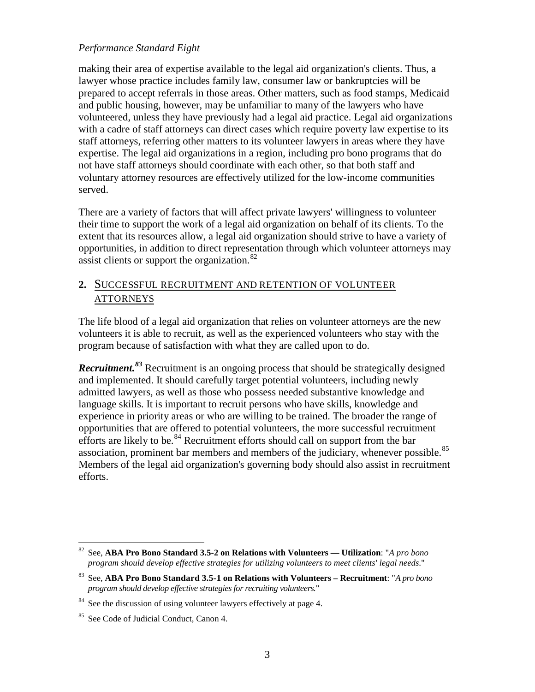making their area of expertise available to the legal aid organization's clients. Thus, a lawyer whose practice includes family law, consumer law or bankruptcies will be prepared to accept referrals in those areas. Other matters, such as food stamps, Medicaid and public housing, however, may be unfamiliar to many of the lawyers who have volunteered, unless they have previously had a legal aid practice. Legal aid organizations with a cadre of staff attorneys can direct cases which require poverty law expertise to its staff attorneys, referring other matters to its volunteer lawyers in areas where they have expertise. The legal aid organizations in a region, including pro bono programs that do not have staff attorneys should coordinate with each other, so that both staff and voluntary attorney resources are effectively utilized for the low-income communities served.

There are a variety of factors that will affect private lawyers' willingness to volunteer their time to support the work of a legal aid organization on behalf of its clients. To the extent that its resources allow, a legal aid organization should strive to have a variety of opportunities, in addition to direct representation through which volunteer attorneys may assist clients or support the organization. $82$ 

## **2.** SUCCESSFUL RECRUITMENT AND RETENTION OF VOLUNTEER **ATTORNEYS**

The life blood of a legal aid organization that relies on volunteer attorneys are the new volunteers it is able to recruit, as well as the experienced volunteers who stay with the program because of satisfaction with what they are called upon to do.

*Recruitment.[83](#page-37-1)* Recruitment is an ongoing process that should be strategically designed and implemented. It should carefully target potential volunteers, including newly admitted lawyers, as well as those who possess needed substantive knowledge and language skills. It is important to recruit persons who have skills, knowledge and experience in priority areas or who are willing to be trained. The broader the range of opportunities that are offered to potential volunteers, the more successful recruitment efforts are likely to be.<sup>[84](#page-37-2)</sup> Recruitment efforts should call on support from the bar association, prominent bar members and members of the judiciary, whenever possible.<sup>[85](#page-37-3)</sup> Members of the legal aid organization's governing body should also assist in recruitment efforts.

<span id="page-37-0"></span> <sup>82</sup> See, **ABA Pro Bono Standard 3.5-2 on Relations with Volunteers — Utilization**: "*A pro bono program should develop effective strategies for utilizing volunteers to meet clients' legal needs*."

<span id="page-37-1"></span><sup>83</sup> See, **ABA Pro Bono Standard 3.5-1 on Relations with Volunteers – Recruitment**: "*A pro bono program should develop effective strategies for recruiting volunteers.*"

<span id="page-37-2"></span> $84$  See the discussion of using volunteer lawyers effectively at page 4.

<span id="page-37-3"></span><sup>&</sup>lt;sup>85</sup> See Code of Judicial Conduct, Canon 4.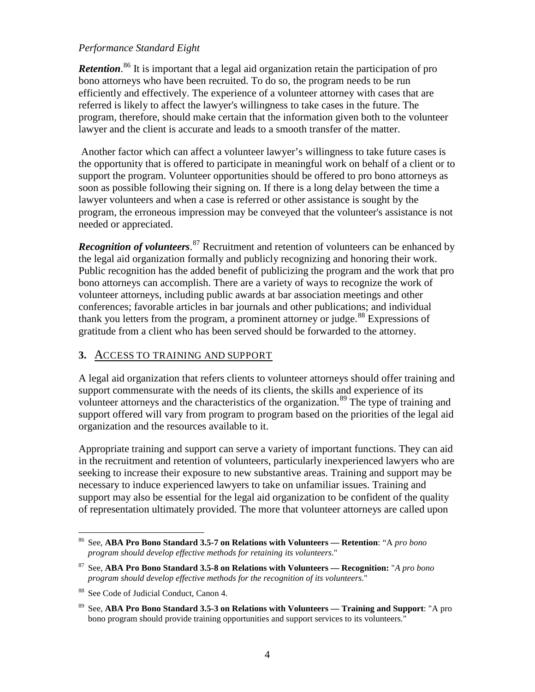Retention.<sup>[86](#page-38-0)</sup> It is important that a legal aid organization retain the participation of pro bono attorneys who have been recruited. To do so, the program needs to be run efficiently and effectively. The experience of a volunteer attorney with cases that are referred is likely to affect the lawyer's willingness to take cases in the future. The program, therefore, should make certain that the information given both to the volunteer lawyer and the client is accurate and leads to a smooth transfer of the matter.

Another factor which can affect a volunteer lawyer's willingness to take future cases is the opportunity that is offered to participate in meaningful work on behalf of a client or to support the program. Volunteer opportunities should be offered to pro bono attorneys as soon as possible following their signing on. If there is a long delay between the time a lawyer volunteers and when a case is referred or other assistance is sought by the program, the erroneous impression may be conveyed that the volunteer's assistance is not needed or appreciated.

Recognition of volunteers.<sup>[87](#page-38-1)</sup> Recruitment and retention of volunteers can be enhanced by the legal aid organization formally and publicly recognizing and honoring their work. Public recognition has the added benefit of publicizing the program and the work that pro bono attorneys can accomplish. There are a variety of ways to recognize the work of volunteer attorneys, including public awards at bar association meetings and other conferences; favorable articles in bar journals and other publications; and individual thank you letters from the program, a prominent attorney or judge.<sup>[88](#page-38-2)</sup> Expressions of gratitude from a client who has been served should be forwarded to the attorney.

## **3.** ACCESS TO TRAINING AND SUPPORT

A legal aid organization that refers clients to volunteer attorneys should offer training and support commensurate with the needs of its clients, the skills and experience of its volunteer attorneys and the characteristics of the organization.<sup>[89](#page-38-3)</sup> The type of training and support offered will vary from program to program based on the priorities of the legal aid organization and the resources available to it.

Appropriate training and support can serve a variety of important functions. They can aid in the recruitment and retention of volunteers, particularly inexperienced lawyers who are seeking to increase their exposure to new substantive areas. Training and support may be necessary to induce experienced lawyers to take on unfamiliar issues. Training and support may also be essential for the legal aid organization to be confident of the quality of representation ultimately provided. The more that volunteer attorneys are called upon

<span id="page-38-0"></span> <sup>86</sup> See, **ABA Pro Bono Standard 3.5-7 on Relations with Volunteers — Retention**: "A *pro bono program should develop effective methods for retaining its volunteers*."

<span id="page-38-1"></span><sup>87</sup> See, **ABA Pro Bono Standard 3.5-8 on Relations with Volunteers — Recognition:** "*A pro bono program should develop effective methods for the recognition of its volunteers*."

<span id="page-38-2"></span><sup>&</sup>lt;sup>88</sup> See Code of Judicial Conduct, Canon 4.

<span id="page-38-3"></span><sup>89</sup> See, **ABA Pro Bono Standard 3.5-3 on Relations with Volunteers — Training and Support**: "A pro bono program should provide training opportunities and support services to its volunteers."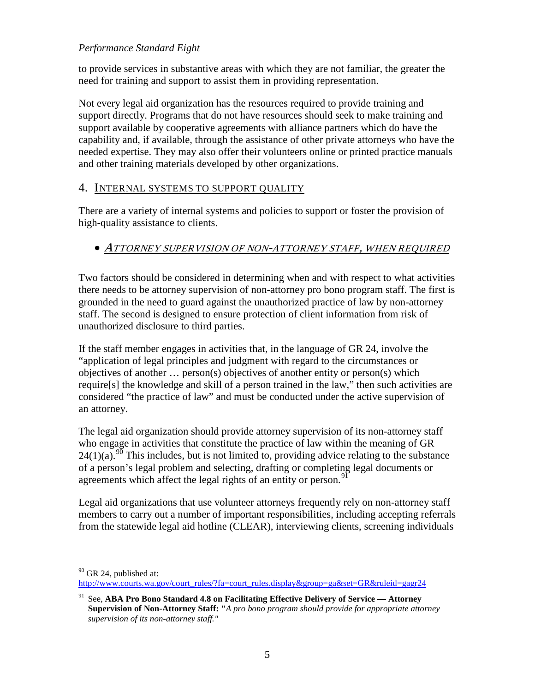to provide services in substantive areas with which they are not familiar, the greater the need for training and support to assist them in providing representation.

Not every legal aid organization has the resources required to provide training and support directly. Programs that do not have resources should seek to make training and support available by cooperative agreements with alliance partners which do have the capability and, if available, through the assistance of other private attorneys who have the needed expertise. They may also offer their volunteers online or printed practice manuals and other training materials developed by other organizations.

### 4. INTERNAL SYSTEMS TO SUPPORT QUALITY

There are a variety of internal systems and policies to support or foster the provision of high-quality assistance to clients.

## • ATTORNEY SUPERVISION OF NON-ATTORNEY STAFF, WHEN REQUIRED

Two factors should be considered in determining when and with respect to what activities there needs to be attorney supervision of non-attorney pro bono program staff. The first is grounded in the need to guard against the unauthorized practice of law by non-attorney staff. The second is designed to ensure protection of client information from risk of unauthorized disclosure to third parties.

If the staff member engages in activities that, in the language of GR 24, involve the "application of legal principles and judgment with regard to the circumstances or objectives of another … person(s) objectives of another entity or person(s) which require[s] the knowledge and skill of a person trained in the law," then such activities are considered "the practice of law" and must be conducted under the active supervision of an attorney.

The legal aid organization should provide attorney supervision of its non-attorney staff who engage in activities that constitute the practice of law within the meaning of GR  $24(1)(a)$ .<sup>[90](#page-39-0)</sup> This includes, but is not limited to, providing advice relating to the substance of a person's legal problem and selecting, drafting or completing legal documents or agreements which affect the legal rights of an entity or person.<sup>[91](#page-39-1)</sup>

Legal aid organizations that use volunteer attorneys frequently rely on non-attorney staff members to carry out a number of important responsibilities, including accepting referrals from the statewide legal aid hotline (CLEAR), interviewing clients, screening individuals

 $\overline{a}$ 

 $90$  GR 24, published at:

<span id="page-39-0"></span>[http://www.courts.wa.gov/court\\_rules/?fa=court\\_rules.display&group=ga&set=GR&ruleid=gagr24](http://www.courts.wa.gov/court_rules/?fa=court_rules.display&group=ga&set=GR&ruleid=gagr24)

<span id="page-39-1"></span><sup>91</sup> See, **ABA Pro Bono Standard 4.8 on Facilitating Effective Delivery of Service — Attorney Supervision of Non-Attorney Staff: "***A pro bono program should provide for appropriate attorney supervision of its non-attorney staff."*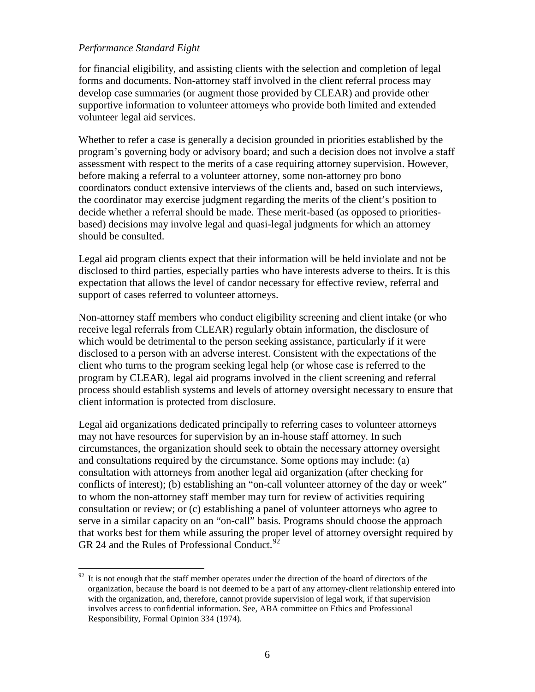for financial eligibility, and assisting clients with the selection and completion of legal forms and documents. Non-attorney staff involved in the client referral process may develop case summaries (or augment those provided by CLEAR) and provide other supportive information to volunteer attorneys who provide both limited and extended volunteer legal aid services.

Whether to refer a case is generally a decision grounded in priorities established by the program's governing body or advisory board; and such a decision does not involve a staff assessment with respect to the merits of a case requiring attorney supervision. However, before making a referral to a volunteer attorney, some non-attorney pro bono coordinators conduct extensive interviews of the clients and, based on such interviews, the coordinator may exercise judgment regarding the merits of the client's position to decide whether a referral should be made. These merit-based (as opposed to prioritiesbased) decisions may involve legal and quasi-legal judgments for which an attorney should be consulted.

Legal aid program clients expect that their information will be held inviolate and not be disclosed to third parties, especially parties who have interests adverse to theirs. It is this expectation that allows the level of candor necessary for effective review, referral and support of cases referred to volunteer attorneys.

Non-attorney staff members who conduct eligibility screening and client intake (or who receive legal referrals from CLEAR) regularly obtain information, the disclosure of which would be detrimental to the person seeking assistance, particularly if it were disclosed to a person with an adverse interest. Consistent with the expectations of the client who turns to the program seeking legal help (or whose case is referred to the program by CLEAR), legal aid programs involved in the client screening and referral process should establish systems and levels of attorney oversight necessary to ensure that client information is protected from disclosure.

Legal aid organizations dedicated principally to referring cases to volunteer attorneys may not have resources for supervision by an in-house staff attorney. In such circumstances, the organization should seek to obtain the necessary attorney oversight and consultations required by the circumstance. Some options may include: (a) consultation with attorneys from another legal aid organization (after checking for conflicts of interest); (b) establishing an "on-call volunteer attorney of the day or week" to whom the non-attorney staff member may turn for review of activities requiring consultation or review; or (c) establishing a panel of volunteer attorneys who agree to serve in a similar capacity on an "on-call" basis. Programs should choose the approach that works best for them while assuring the proper level of attorney oversight required by GR 24 and the Rules of Professional Conduct.<sup>9</sup>

<span id="page-40-0"></span> $92$  It is not enough that the staff member operates under the direction of the board of directors of the organization, because the board is not deemed to be a part of any attorney-client relationship entered into with the organization, and, therefore, cannot provide supervision of legal work, if that supervision involves access to confidential information. See, ABA committee on Ethics and Professional Responsibility, Formal Opinion 334 (1974).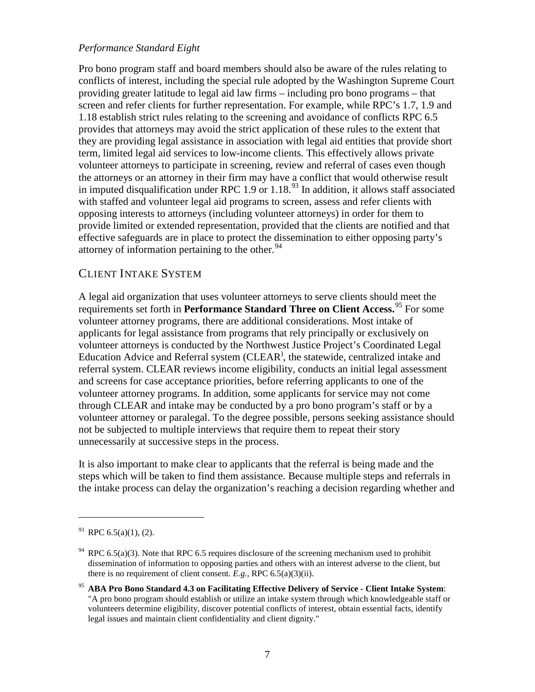Pro bono program staff and board members should also be aware of the rules relating to conflicts of interest, including the special rule adopted by the Washington Supreme Court providing greater latitude to legal aid law firms – including pro bono programs – that screen and refer clients for further representation. For example, while RPC's 1.7, 1.9 and 1.18 establish strict rules relating to the screening and avoidance of conflicts RPC 6.5 provides that attorneys may avoid the strict application of these rules to the extent that they are providing legal assistance in association with legal aid entities that provide short term, limited legal aid services to low-income clients. This effectively allows private volunteer attorneys to participate in screening, review and referral of cases even though the attorneys or an attorney in their firm may have a conflict that would otherwise result in imputed disqualification under RPC 1.9 or 1.18.<sup>[93](#page-41-0)</sup> In addition, it allows staff associated with staffed and volunteer legal aid programs to screen, assess and refer clients with opposing interests to attorneys (including volunteer attorneys) in order for them to provide limited or extended representation, provided that the clients are notified and that effective safeguards are in place to protect the dissemination to either opposing party's attorney of information pertaining to the other. $94$ 

## CLIENT INTAKE SYSTEM

A legal aid organization that uses volunteer attorneys to serve clients should meet the requirements set forth in **Performance Standard Three on Client Access.** [95](#page-41-2) For some volunteer attorney programs, there are additional considerations. Most intake of applicants for legal assistance from programs that rely principally or exclusively on volunteer attorneys is conducted by the Northwest Justice Project's Coordinated Legal Education Advice and Referral system (CLEAR) , the statewide, centralized intake and referral system. CLEAR reviews income eligibility, conducts an initial legal assessment and screens for case acceptance priorities, before referring applicants to one of the volunteer attorney programs. In addition, some applicants for service may not come through CLEAR and intake may be conducted by a pro bono program's staff or by a volunteer attorney or paralegal. To the degree possible, persons seeking assistance should not be subjected to multiple interviews that require them to repeat their story unnecessarily at successive steps in the process.

It is also important to make clear to applicants that the referral is being made and the steps which will be taken to find them assistance. Because multiple steps and referrals in the intake process can delay the organization's reaching a decision regarding whether and

 $\overline{a}$ 

<span id="page-41-0"></span> $^{93}$  RPC 6.5(a)(1), (2).

<span id="page-41-1"></span> $94$  RPC 6.5(a)(3). Note that RPC 6.5 requires disclosure of the screening mechanism used to prohibit dissemination of information to opposing parties and others with an interest adverse to the client, but there is no requirement of client consent. *E.g.,* RPC 6.5(a)(3)(ii).

<span id="page-41-2"></span><sup>95</sup> **ABA Pro Bono Standard 4.3 on Facilitating Effective Delivery of Service - Client Intake System**: "A pro bono program should establish or utilize an intake system through which knowledgeable staff or volunteers determine eligibility, discover potential conflicts of interest, obtain essential facts, identify legal issues and maintain client confidentiality and client dignity."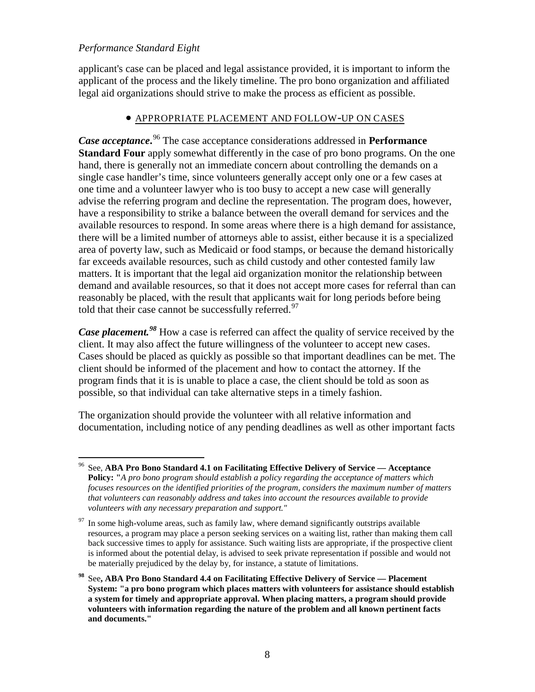applicant's case can be placed and legal assistance provided, it is important to inform the applicant of the process and the likely timeline. The pro bono organization and affiliated legal aid organizations should strive to make the process as efficient as possible.

### • APPROPRIATE PLACEMENT AND FOLLOW-UP ON CASES

*Case acceptance***.** [96](#page-42-0) The case acceptance considerations addressed in **Performance Standard Four** apply somewhat differently in the case of pro bono programs. On the one hand, there is generally not an immediate concern about controlling the demands on a single case handler's time, since volunteers generally accept only one or a few cases at one time and a volunteer lawyer who is too busy to accept a new case will generally advise the referring program and decline the representation. The program does, however, have a responsibility to strike a balance between the overall demand for services and the available resources to respond. In some areas where there is a high demand for assistance, there will be a limited number of attorneys able to assist, either because it is a specialized area of poverty law, such as Medicaid or food stamps, or because the demand historically far exceeds available resources, such as child custody and other contested family law matters. It is important that the legal aid organization monitor the relationship between demand and available resources, so that it does not accept more cases for referral than can reasonably be placed, with the result that applicants wait for long periods before being told that their case cannot be successfully referred. $97$ 

*Case placement.[98](#page-42-2)* How a case is referred can affect the quality of service received by the client. It may also affect the future willingness of the volunteer to accept new cases. Cases should be placed as quickly as possible so that important deadlines can be met. The client should be informed of the placement and how to contact the attorney. If the program finds that it is is unable to place a case, the client should be told as soon as possible, so that individual can take alternative steps in a timely fashion.

The organization should provide the volunteer with all relative information and documentation, including notice of any pending deadlines as well as other important facts

<span id="page-42-0"></span> <sup>96</sup> See, **ABA Pro Bono Standard 4.1 on Facilitating Effective Delivery of Service — Acceptance Policy: "***A pro bono program should establish a policy regarding the acceptance of matters which focuses resources on the identified priorities of the program, considers the maximum number of matters that volunteers can reasonably address and takes into account the resources available to provide volunteers with any necessary preparation and support."*

<span id="page-42-1"></span>In some high-volume areas, such as family law, where demand significantly outstrips available resources, a program may place a person seeking services on a waiting list, rather than making them call back successive times to apply for assistance. Such waiting lists are appropriate, if the prospective client is informed about the potential delay, is advised to seek private representation if possible and would not be materially prejudiced by the delay by, for instance, a statute of limitations.

<span id="page-42-2"></span>**<sup>98</sup>** See**, ABA Pro Bono Standard 4.4 on Facilitating Effective Delivery of Service — Placement System: "a pro bono program which places matters with volunteers for assistance should establish a system for timely and appropriate approval. When placing matters, a program should provide volunteers with information regarding the nature of the problem and all known pertinent facts and documents."**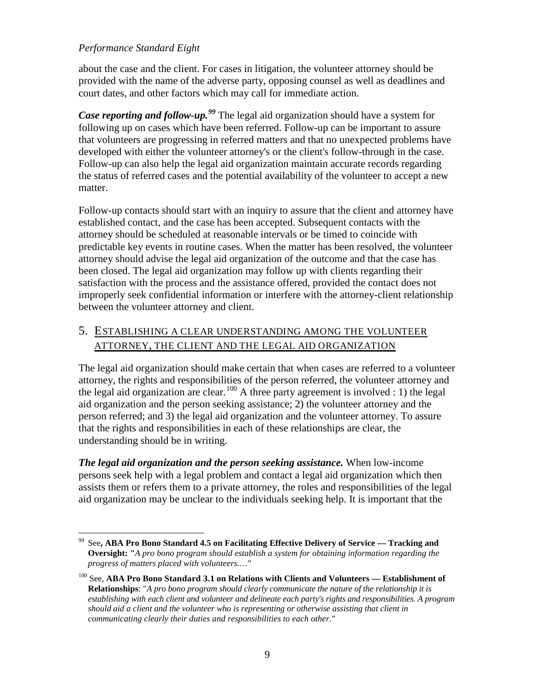about the case and the client. For cases in litigation, the volunteer attorney should be provided with the name of the adverse party, opposing counsel as well as deadlines and court dates, and other factors which may call for immediate action.

Case reporting and follow-up.<sup>[99](#page-43-0)</sup> The legal aid organization should have a system for following up on cases which have been referred. Follow-up can be important to assure that volunteers are progressing in referred matters and that no unexpected problems have developed with either the volunteer attorney's or the client's follow-through in the case. Follow-up can also help the legal aid organization maintain accurate records regarding the status of referred cases and the potential availability of the volunteer to accept a new matter.

Follow-up contacts should start with an inquiry to assure that the client and attorney have established contact, and the case has been accepted. Subsequent contacts with the attorney should be scheduled at reasonable intervals or be timed to coincide with predictable key events in routine cases. When the matter has been resolved, the volunteer attorney should advise the legal aid organization of the outcome and that the case has been closed. The legal aid organization may follow up with clients regarding their satisfaction with the process and the assistance offered, provided the contact does not improperly seek confidential information or interfere with the attorney-client relationship between the volunteer attorney and client.

## 5. ESTABLISHING A CLEAR UNDERSTANDING AMONG THE VOLUNTEER ATTORNEY, THE CLIENT AND THE LEGAL AID ORGANIZATION

The legal aid organization should make certain that when cases are referred to a volunteer attorney, the rights and responsibilities of the person referred, the volunteer attorney and the legal aid organization are clear.<sup>[100](#page-43-1)</sup> A three party agreement is involved : 1) the legal aid organization and the person seeking assistance; 2) the volunteer attorney and the person referred; and 3) the legal aid organization and the volunteer attorney. To assure that the rights and responsibilities in each of these relationships are clear, the understanding should be in writing.

*The legal aid organization and the person seeking assistance.* When low-income persons seek help with a legal problem and contact a legal aid organization which then assists them or refers them to a private attorney, the roles and responsibilities of the legal aid organization may be unclear to the individuals seeking help. It is important that the

<span id="page-43-0"></span> <sup>99</sup> See**, ABA Pro Bono Standard 4.5 on Facilitating Effective Delivery of Service — Tracking and Oversight: "***A pro bono program should establish a system for obtaining information regarding the progress of matters placed with volunteers.…"*

<span id="page-43-1"></span><sup>100</sup> See, **ABA Pro Bono Standard 3.1 on Relations with Clients and Volunteers — Establishment of Relationships**: "*A pro bono program should clearly communicate the nature of the relationship it is establishing with each client and volunteer and delineate each party's rights and responsibilities. A program should aid a client and the volunteer who is representing or otherwise assisting that client in communicating clearly their duties and responsibilities to each other."*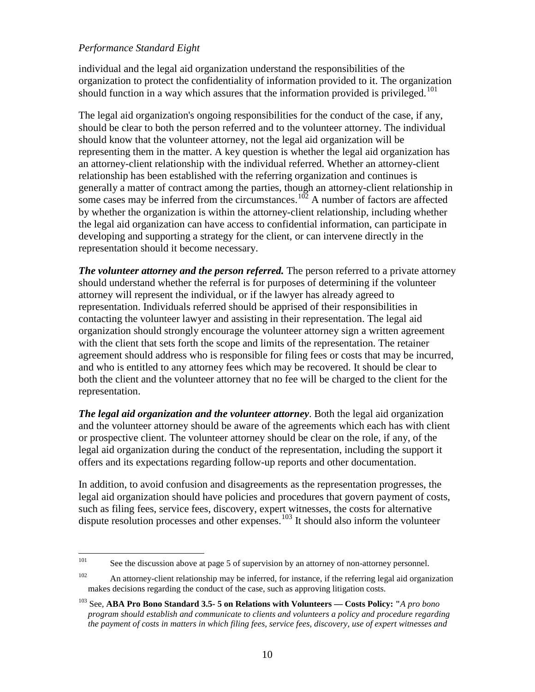individual and the legal aid organization understand the responsibilities of the organization to protect the confidentiality of information provided to it. The organization should function in a way which assures that the information provided is privileged.<sup>[101](#page-44-0)</sup>

The legal aid organization's ongoing responsibilities for the conduct of the case, if any, should be clear to both the person referred and to the volunteer attorney. The individual should know that the volunteer attorney, not the legal aid organization will be representing them in the matter. A key question is whether the legal aid organization has an attorney-client relationship with the individual referred. Whether an attorney-client relationship has been established with the referring organization and continues is generally a matter of contract among the parties, though an attorney-client relationship in some cases may be inferred from the circumstances.<sup>[102](#page-44-1)</sup> A number of factors are affected by whether the organization is within the attorney-client relationship, including whether the legal aid organization can have access to confidential information, can participate in developing and supporting a strategy for the client, or can intervene directly in the representation should it become necessary.

*The volunteer attorney and the person referred.* The person referred to a private attorney should understand whether the referral is for purposes of determining if the volunteer attorney will represent the individual, or if the lawyer has already agreed to representation. Individuals referred should be apprised of their responsibilities in contacting the volunteer lawyer and assisting in their representation. The legal aid organization should strongly encourage the volunteer attorney sign a written agreement with the client that sets forth the scope and limits of the representation. The retainer agreement should address who is responsible for filing fees or costs that may be incurred, and who is entitled to any attorney fees which may be recovered. It should be clear to both the client and the volunteer attorney that no fee will be charged to the client for the representation.

*The legal aid organization and the volunteer attorney*. Both the legal aid organization and the volunteer attorney should be aware of the agreements which each has with client or prospective client. The volunteer attorney should be clear on the role, if any, of the legal aid organization during the conduct of the representation, including the support it offers and its expectations regarding follow-up reports and other documentation.

In addition, to avoid confusion and disagreements as the representation progresses, the legal aid organization should have policies and procedures that govern payment of costs, such as filing fees, service fees, discovery, expert witnesses, the costs for alternative dispute resolution processes and other expenses.<sup>[103](#page-44-0)</sup> It should also inform the volunteer

<span id="page-44-0"></span><sup>101</sup> See the discussion above at page 5 of supervision by an attorney of non-attorney personnel.

<span id="page-44-1"></span><sup>&</sup>lt;sup>102</sup> An attorney-client relationship may be inferred, for instance, if the referring legal aid organization makes decisions regarding the conduct of the case, such as approving litigation costs.

<sup>103</sup> See, **ABA Pro Bono Standard 3.5- 5 on Relations with Volunteers — Costs Policy: "***A pro bono program should establish and communicate to clients and volunteers a policy and procedure regarding the payment of costs in matters in which filing fees, service fees, discovery, use of expert witnesses and*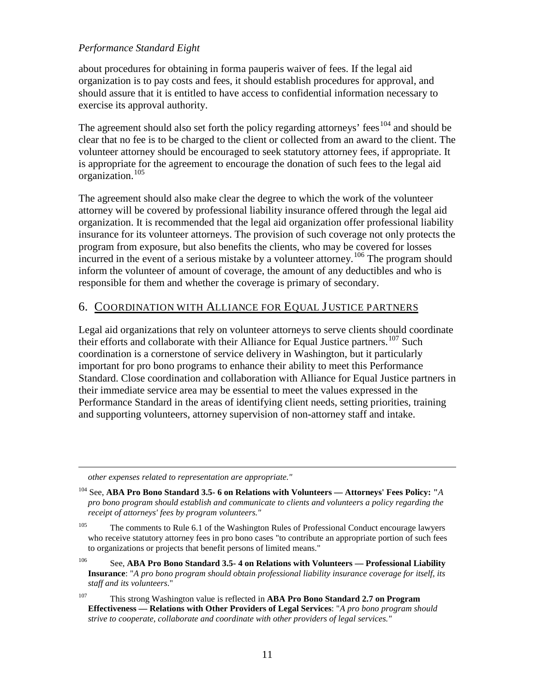about procedures for obtaining in forma pauperis waiver of fees. If the legal aid organization is to pay costs and fees, it should establish procedures for approval, and should assure that it is entitled to have access to confidential information necessary to exercise its approval authority.

The agreement should also set forth the policy regarding attorneys' fees<sup>[104](#page-45-0)</sup> and should be clear that no fee is to be charged to the client or collected from an award to the client. The volunteer attorney should be encouraged to seek statutory attorney fees, if appropriate. It is appropriate for the agreement to encourage the donation of such fees to the legal aid organization.[105](#page-45-1)

The agreement should also make clear the degree to which the work of the volunteer attorney will be covered by professional liability insurance offered through the legal aid organization. It is recommended that the legal aid organization offer professional liability insurance for its volunteer attorneys. The provision of such coverage not only protects the program from exposure, but also benefits the clients, who may be covered for losses incurred in the event of a serious mistake by a volunteer attorney.<sup>[106](#page-45-2)</sup> The program should inform the volunteer of amount of coverage, the amount of any deductibles and who is responsible for them and whether the coverage is primary of secondary.

### 6. COORDINATION WITH ALLIANCE FOR EQUAL J USTICE PARTNERS

Legal aid organizations that rely on volunteer attorneys to serve clients should coordinate their efforts and collaborate with their Alliance for Equal Justice partners.<sup>[107](#page-45-3)</sup> Such coordination is a cornerstone of service delivery in Washington, but it particularly important for pro bono programs to enhance their ability to meet this Performance Standard. Close coordination and collaboration with Alliance for Equal Justice partners in their immediate service area may be essential to meet the values expressed in the Performance Standard in the areas of identifying client needs, setting priorities, training and supporting volunteers, attorney supervision of non-attorney staff and intake.

*other expenses related to representation are appropriate."*

 $\overline{a}$ 

<span id="page-45-2"></span><sup>106</sup> See, **ABA Pro Bono Standard 3.5- 4 on Relations with Volunteers — Professional Liability Insurance**: "*A pro bono program should obtain professional liability insurance coverage for itself, its staff and its volunteers*."

<span id="page-45-3"></span><sup>107</sup> This strong Washington value is reflected in **ABA Pro Bono Standard 2.7 on Program Effectiveness — Relations with Other Providers of Legal Services**: "*A pro bono program should strive to cooperate, collaborate and coordinate with other providers of legal services."*

<span id="page-45-0"></span><sup>104</sup> See, **ABA Pro Bono Standard 3.5- 6 on Relations with Volunteers — Attorneys' Fees Policy: "***A pro bono program should establish and communicate to clients and volunteers a policy regarding the receipt of attorneys' fees by program volunteers."*

<span id="page-45-1"></span><sup>&</sup>lt;sup>105</sup> The comments to Rule 6.1 of the Washington Rules of Professional Conduct encourage lawyers who receive statutory attorney fees in pro bono cases "to contribute an appropriate portion of such fees to organizations or projects that benefit persons of limited means."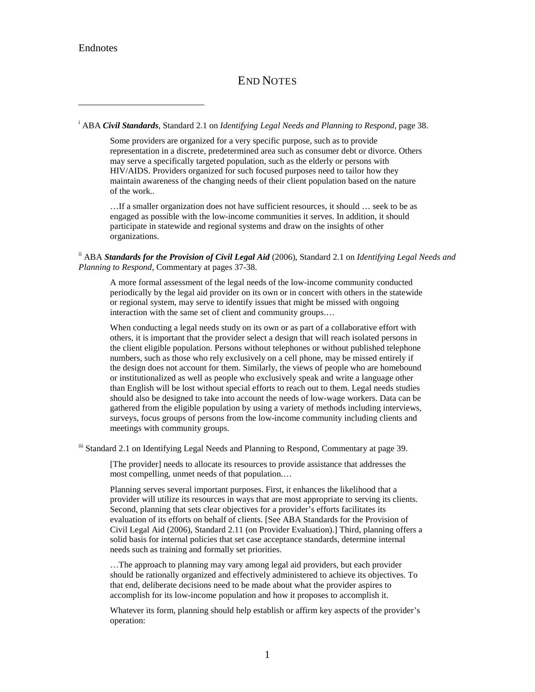## END NOTES

<span id="page-46-1"></span><span id="page-46-0"></span>i ABA *Civil Standards*, Standard 2.1 on *Identifying Legal Needs and Planning to Respond*, page 38.

Some providers are organized for a very specific purpose, such as to provide representation in a discrete, predetermined area such as consumer debt or divorce. Others may serve a specifically targeted population, such as the elderly or persons with HIV/AIDS. Providers organized for such focused purposes need to tailor how they maintain awareness of the changing needs of their client population based on the nature of the work..

…If a smaller organization does not have sufficient resources, it should … seek to be as engaged as possible with the low-income communities it serves. In addition, it should participate in statewide and regional systems and draw on the insights of other organizations.

<span id="page-46-2"></span>ii ABA *Standards for the Provision of Civil Legal Aid* (2006), Standard 2.1 on *Identifying Legal Needs and Planning to Respond*, Commentary at pages 37-38.

A more formal assessment of the legal needs of the low-income community conducted periodically by the legal aid provider on its own or in concert with others in the statewide or regional system, may serve to identify issues that might be missed with ongoing interaction with the same set of client and community groups.…

When conducting a legal needs study on its own or as part of a collaborative effort with others, it is important that the provider select a design that will reach isolated persons in the client eligible population. Persons without telephones or without published telephone numbers, such as those who rely exclusively on a cell phone, may be missed entirely if the design does not account for them. Similarly, the views of people who are homebound or institutionalized as well as people who exclusively speak and write a language other than English will be lost without special efforts to reach out to them. Legal needs studies should also be designed to take into account the needs of low-wage workers. Data can be gathered from the eligible population by using a variety of methods including interviews, surveys, focus groups of persons from the low-income community including clients and meetings with community groups.

iii Standard 2.1 on Identifying Legal Needs and Planning to Respond, Commentary at page 39.

[The provider] needs to allocate its resources to provide assistance that addresses the most compelling, unmet needs of that population.…

Planning serves several important purposes. First, it enhances the likelihood that a provider will utilize its resources in ways that are most appropriate to serving its clients. Second, planning that sets clear objectives for a provider's efforts facilitates its evaluation of its efforts on behalf of clients. [See ABA Standards for the Provision of Civil Legal Aid (2006), Standard 2.11 (on Provider Evaluation).] Third, planning offers a solid basis for internal policies that set case acceptance standards, determine internal needs such as training and formally set priorities.

…The approach to planning may vary among legal aid providers, but each provider should be rationally organized and effectively administered to achieve its objectives. To that end, deliberate decisions need to be made about what the provider aspires to accomplish for its low-income population and how it proposes to accomplish it.

Whatever its form, planning should help establish or affirm key aspects of the provider's operation: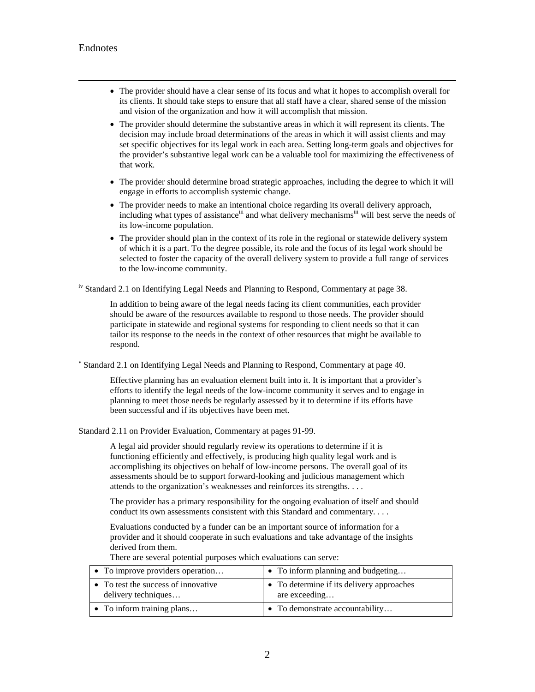- The provider should have a clear sense of its focus and what it hopes to accomplish overall for its clients. It should take steps to ensure that all staff have a clear, shared sense of the mission and vision of the organization and how it will accomplish that mission.
- <span id="page-47-0"></span>• The provider should determine the substantive areas in which it will represent its clients. The decision may include broad determinations of the areas in which it will assist clients and may set specific objectives for its legal work in each area. Setting long-term goals and objectives for the provider's substantive legal work can be a valuable tool for maximizing the effectiveness of that work.
- The provider should determine broad strategic approaches, including the degree to which it will engage in efforts to accomplish systemic change.
- The provider needs to make an intentional choice regarding its overall delivery approach, including what types of assistance<sup>iii</sup> and what delivery mechanisms<sup>iii</sup> will best serve the needs of its low-income population.
- The provider should plan in the context of its role in the regional or statewide delivery system of which it is a part. To the degree possible, its role and the focus of its legal work should be selected to foster the capacity of the overall delivery system to provide a full range of services to the low-income community.

<span id="page-47-1"></span>iv Standard 2.1 on Identifying Legal Needs and Planning to Respond, Commentary at page 38.

In addition to being aware of the legal needs facing its client communities, each provider should be aware of the resources available to respond to those needs. The provider should participate in statewide and regional systems for responding to client needs so that it can tailor its response to the needs in the context of other resources that might be available to respond.

<sup>v</sup> Standard 2.1 on Identifying Legal Needs and Planning to Respond, Commentary at page 40.

Effective planning has an evaluation element built into it. It is important that a provider's efforts to identify the legal needs of the low-income community it serves and to engage in planning to meet those needs be regularly assessed by it to determine if its efforts have been successful and if its objectives have been met.

Standard 2.11 on Provider Evaluation, Commentary at pages 91-99.

A legal aid provider should regularly review its operations to determine if it is functioning efficiently and effectively, is producing high quality legal work and is accomplishing its objectives on behalf of low-income persons. The overall goal of its assessments should be to support forward-looking and judicious management which attends to the organization's weaknesses and reinforces its strengths. . . .

The provider has a primary responsibility for the ongoing evaluation of itself and should conduct its own assessments consistent with this Standard and commentary. . . .

Evaluations conducted by a funder can be an important source of information for a provider and it should cooperate in such evaluations and take advantage of the insights derived from them.

| • To improve providers operation                         | $\bullet$ To inform planning and budgeting                 |
|----------------------------------------------------------|------------------------------------------------------------|
| To test the success of innovative<br>delivery techniques | • To determine if its delivery approaches<br>are exceeding |
| $\bullet$ To inform training plans                       | • To demonstrate accountability                            |

There are several potential purposes which evaluations can serve: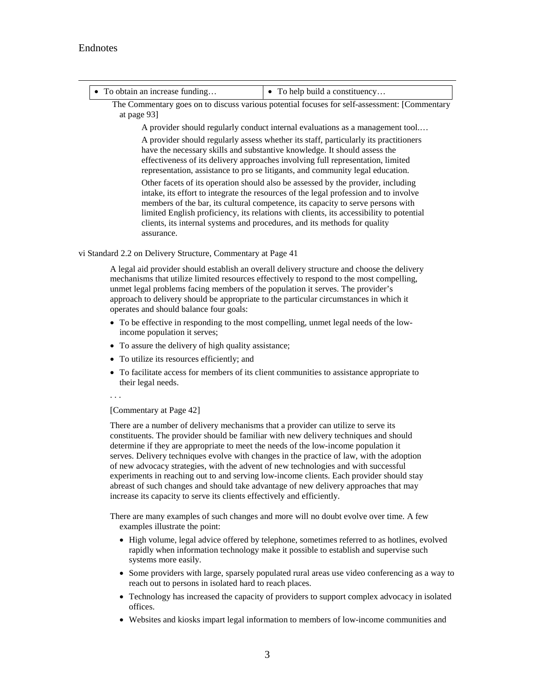<span id="page-48-0"></span>

| • To obtain an increase funding                                                                                                                                                                                                                                                                                                                                                                                                                   | • To help build a constituency                                                                                                                                                                                                                                                                                                         |  |
|---------------------------------------------------------------------------------------------------------------------------------------------------------------------------------------------------------------------------------------------------------------------------------------------------------------------------------------------------------------------------------------------------------------------------------------------------|----------------------------------------------------------------------------------------------------------------------------------------------------------------------------------------------------------------------------------------------------------------------------------------------------------------------------------------|--|
| The Commentary goes on to discuss various potential focuses for self-assessment: [Commentary<br>at page 93]                                                                                                                                                                                                                                                                                                                                       |                                                                                                                                                                                                                                                                                                                                        |  |
| A provider should regularly conduct internal evaluations as a management tool                                                                                                                                                                                                                                                                                                                                                                     |                                                                                                                                                                                                                                                                                                                                        |  |
|                                                                                                                                                                                                                                                                                                                                                                                                                                                   | A provider should regularly assess whether its staff, particularly its practitioners<br>have the necessary skills and substantive knowledge. It should assess the<br>effectiveness of its delivery approaches involving full representation, limited<br>representation, assistance to pro se litigants, and community legal education. |  |
| Other facets of its operation should also be assessed by the provider, including<br>intake, its effort to integrate the resources of the legal profession and to involve<br>members of the bar, its cultural competence, its capacity to serve persons with<br>limited English proficiency, its relations with clients, its accessibility to potential<br>clients, its internal systems and procedures, and its methods for quality<br>assurance. |                                                                                                                                                                                                                                                                                                                                        |  |
| vi Standard 2.2 on Delivery Structure, Commentary at Page 41                                                                                                                                                                                                                                                                                                                                                                                      |                                                                                                                                                                                                                                                                                                                                        |  |
| unmet legal problems facing members of the population it serves. The provider's                                                                                                                                                                                                                                                                                                                                                                   | A legal aid provider should establish an overall delivery structure and choose the delivery<br>mechanisms that utilize limited resources effectively to respond to the most compelling,                                                                                                                                                |  |

<span id="page-48-1"></span>approach to delivery should be appropriate to the particular circumstances in which it operates and should balance four goals:

- To be effective in responding to the most compelling, unmet legal needs of the lowincome population it serves;
- To assure the delivery of high quality assistance;
- To utilize its resources efficiently; and
- To facilitate access for members of its client communities to assistance appropriate to their legal needs.

. . .

#### [Commentary at Page 42]

There are a number of delivery mechanisms that a provider can utilize to serve its constituents. The provider should be familiar with new delivery techniques and should determine if they are appropriate to meet the needs of the low-income population it serves. Delivery techniques evolve with changes in the practice of law, with the adoption of new advocacy strategies, with the advent of new technologies and with successful experiments in reaching out to and serving low-income clients. Each provider should stay abreast of such changes and should take advantage of new delivery approaches that may increase its capacity to serve its clients effectively and efficiently.

There are many examples of such changes and more will no doubt evolve over time. A few examples illustrate the point:

- High volume, legal advice offered by telephone, sometimes referred to as hotlines, evolved rapidly when information technology make it possible to establish and supervise such systems more easily.
- Some providers with large, sparsely populated rural areas use video conferencing as a way to reach out to persons in isolated hard to reach places.
- Technology has increased the capacity of providers to support complex advocacy in isolated offices.
- Websites and kiosks impart legal information to members of low-income communities and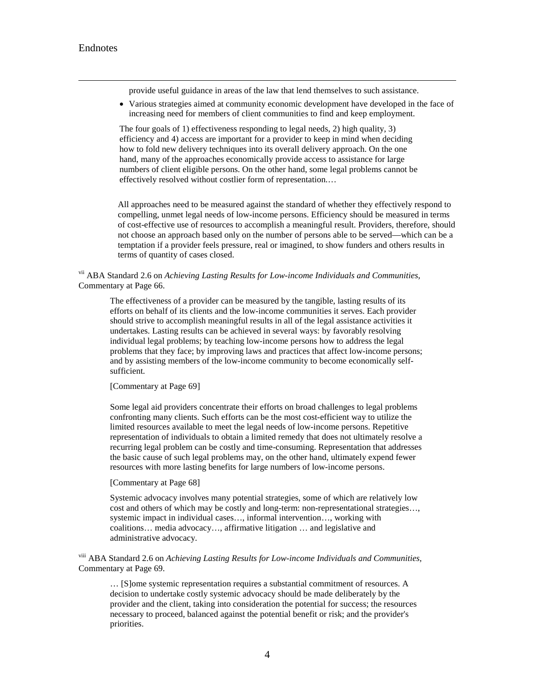provide useful guidance in areas of the law that lend themselves to such assistance.

<span id="page-49-0"></span>• Various strategies aimed at community economic development have developed in the face of increasing need for members of client communities to find and keep employment.

The four goals of 1) effectiveness responding to legal needs, 2) high quality, 3) efficiency and 4) access are important for a provider to keep in mind when deciding how to fold new delivery techniques into its overall delivery approach. On the one hand, many of the approaches economically provide access to assistance for large numbers of client eligible persons. On the other hand, some legal problems cannot be effectively resolved without costlier form of representation.…

All approaches need to be measured against the standard of whether they effectively respond to compelling, unmet legal needs of low-income persons. Efficiency should be measured in terms of cost-effective use of resources to accomplish a meaningful result. Providers, therefore, should not choose an approach based only on the number of persons able to be served—which can be a temptation if a provider feels pressure, real or imagined, to show funders and others results in terms of quantity of cases closed.

<span id="page-49-1"></span>vii ABA Standard 2.6 on *Achieving Lasting Results for Low-income Individuals and Communities,*  Commentary at Page 66.

The effectiveness of a provider can be measured by the tangible, lasting results of its efforts on behalf of its clients and the low-income communities it serves. Each provider should strive to accomplish meaningful results in all of the legal assistance activities it undertakes. Lasting results can be achieved in several ways: by favorably resolving individual legal problems; by teaching low-income persons how to address the legal problems that they face; by improving laws and practices that affect low-income persons; and by assisting members of the low-income community to become economically selfsufficient.

[Commentary at Page 69]

Some legal aid providers concentrate their efforts on broad challenges to legal problems confronting many clients. Such efforts can be the most cost-efficient way to utilize the limited resources available to meet the legal needs of low-income persons. Repetitive representation of individuals to obtain a limited remedy that does not ultimately resolve a recurring legal problem can be costly and time-consuming. Representation that addresses the basic cause of such legal problems may, on the other hand, ultimately expend fewer resources with more lasting benefits for large numbers of low-income persons.

#### [Commentary at Page 68]

Systemic advocacy involves many potential strategies, some of which are relatively low cost and others of which may be costly and long-term: non-representational strategies…, systemic impact in individual cases…, informal intervention…, working with coalitions… media advocacy…, affirmative litigation … and legislative and administrative advocacy.

viii ABA Standard 2.6 on *Achieving Lasting Results for Low-income Individuals and Communities,*  Commentary at Page 69.

… [S]ome systemic representation requires a substantial commitment of resources. A decision to undertake costly systemic advocacy should be made deliberately by the provider and the client, taking into consideration the potential for success; the resources necessary to proceed, balanced against the potential benefit or risk; and the provider's priorities.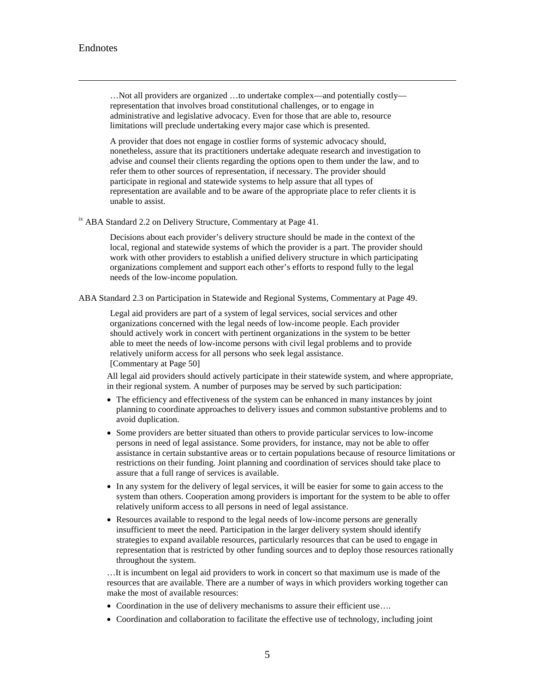<span id="page-50-0"></span>…Not all providers are organized …to undertake complex—and potentially costly representation that involves broad constitutional challenges, or to engage in administrative and legislative advocacy. Even for those that are able to, resource limitations will preclude undertaking every major case which is presented.

A provider that does not engage in costlier forms of systemic advocacy should, nonetheless, assure that its practitioners undertake adequate research and investigation to advise and counsel their clients regarding the options open to them under the law, and to refer them to other sources of representation, if necessary. The provider should participate in regional and statewide systems to help assure that all types of representation are available and to be aware of the appropriate place to refer clients it is unable to assist.

<sup>ix</sup> ABA Standard 2.2 on Delivery Structure, Commentary at Page 41.

Decisions about each provider's delivery structure should be made in the context of the local, regional and statewide systems of which the provider is a part. The provider should work with other providers to establish a unified delivery structure in which participating organizations complement and support each other's efforts to respond fully to the legal needs of the low-income population.

<span id="page-50-1"></span>ABA Standard 2.3 on Participation in Statewide and Regional Systems, Commentary at Page 49.

Legal aid providers are part of a system of legal services, social services and other organizations concerned with the legal needs of low-income people. Each provider should actively work in concert with pertinent organizations in the system to be better able to meet the needs of low-income persons with civil legal problems and to provide relatively uniform access for all persons who seek legal assistance. [Commentary at Page 50]

All legal aid providers should actively participate in their statewide system, and where appropriate, in their regional system. A number of purposes may be served by such participation:

- The efficiency and effectiveness of the system can be enhanced in many instances by joint planning to coordinate approaches to delivery issues and common substantive problems and to avoid duplication.
- Some providers are better situated than others to provide particular services to low-income persons in need of legal assistance. Some providers, for instance, may not be able to offer assistance in certain substantive areas or to certain populations because of resource limitations or restrictions on their funding. Joint planning and coordination of services should take place to assure that a full range of services is available.
- In any system for the delivery of legal services, it will be easier for some to gain access to the system than others. Cooperation among providers is important for the system to be able to offer relatively uniform access to all persons in need of legal assistance.
- Resources available to respond to the legal needs of low-income persons are generally insufficient to meet the need. Participation in the larger delivery system should identify strategies to expand available resources, particularly resources that can be used to engage in representation that is restricted by other funding sources and to deploy those resources rationally throughout the system.

…It is incumbent on legal aid providers to work in concert so that maximum use is made of the resources that are available. There are a number of ways in which providers working together can make the most of available resources:

- Coordination in the use of delivery mechanisms to assure their efficient use....
- Coordination and collaboration to facilitate the effective use of technology, including joint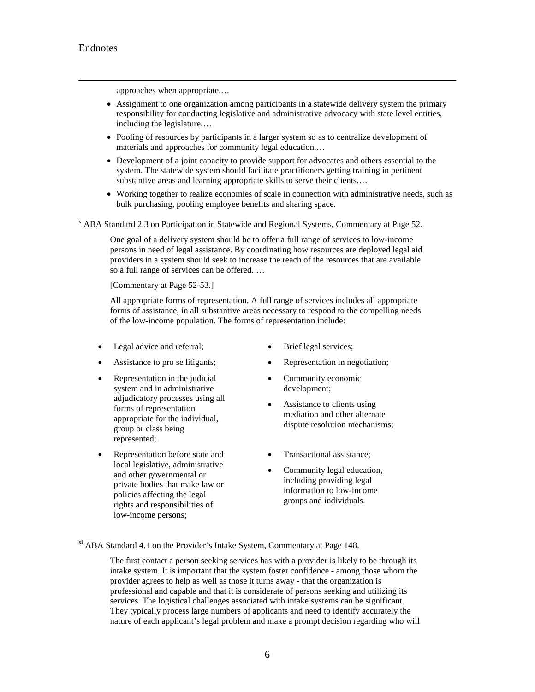approaches when appropriate.…

- <span id="page-51-0"></span>• Assignment to one organization among participants in a statewide delivery system the primary responsibility for conducting legislative and administrative advocacy with state level entities, including the legislature.…
- Pooling of resources by participants in a larger system so as to centralize development of materials and approaches for community legal education.…
- Development of a joint capacity to provide support for advocates and others essential to the system. The statewide system should facilitate practitioners getting training in pertinent substantive areas and learning appropriate skills to serve their clients.…
- Working together to realize economies of scale in connection with administrative needs, such as bulk purchasing, pooling employee benefits and sharing space.

<span id="page-51-1"></span><sup>x</sup> ABA Standard 2.3 on Participation in Statewide and Regional Systems, Commentary at Page 52.

One goal of a delivery system should be to offer a full range of services to low-income persons in need of legal assistance. By coordinating how resources are deployed legal aid providers in a system should seek to increase the reach of the resources that are available so a full range of services can be offered. …

[Commentary at Page 52-53.]

All appropriate forms of representation. A full range of services includes all appropriate forms of assistance, in all substantive areas necessary to respond to the compelling needs of the low-income population. The forms of representation include:

- Legal advice and referral; Brief legal services;
- 
- Representation in the judicial system and in administrative adjudicatory processes using all forms of representation appropriate for the individual, group or class being represented;
- Representation before state and local legislative, administrative and other governmental or private bodies that make law or policies affecting the legal rights and responsibilities of low-income persons;
- 
- Assistance to pro se litigants; Representation in negotiation;
	- Community economic development;
	- Assistance to clients using mediation and other alternate dispute resolution mechanisms;
	- Transactional assistance;
	- Community legal education, including providing legal information to low-income groups and individuals.

<sup>xi</sup> ABA Standard 4.1 on the Provider's Intake System, Commentary at Page 148.

The first contact a person seeking services has with a provider is likely to be through its intake system. It is important that the system foster confidence - among those whom the provider agrees to help as well as those it turns away - that the organization is professional and capable and that it is considerate of persons seeking and utilizing its services. The logistical challenges associated with intake systems can be significant. They typically process large numbers of applicants and need to identify accurately the nature of each applicant's legal problem and make a prompt decision regarding who will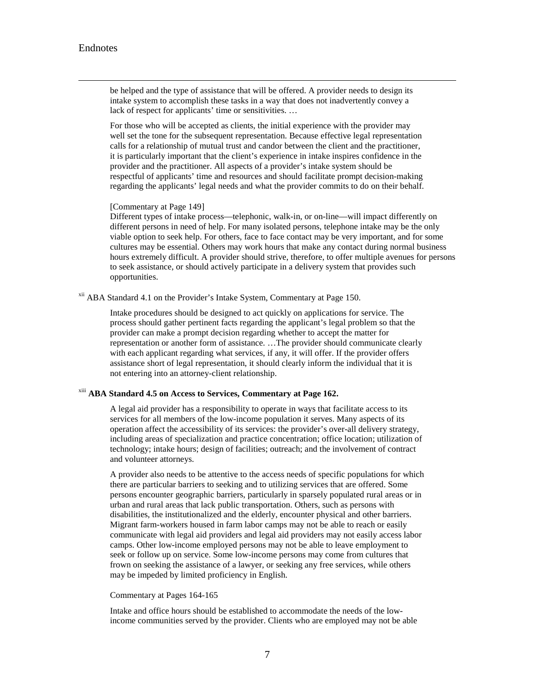<span id="page-52-0"></span> be helped and the type of assistance that will be offered. A provider needs to design its intake system to accomplish these tasks in a way that does not inadvertently convey a lack of respect for applicants' time or sensitivities. …

<span id="page-52-1"></span>For those who will be accepted as clients, the initial experience with the provider may well set the tone for the subsequent representation. Because effective legal representation calls for a relationship of mutual trust and candor between the client and the practitioner, it is particularly important that the client's experience in intake inspires confidence in the provider and the practitioner. All aspects of a provider's intake system should be respectful of applicants' time and resources and should facilitate prompt decision-making regarding the applicants' legal needs and what the provider commits to do on their behalf.

#### [Commentary at Page 149]

Different types of intake process—telephonic, walk-in, or on-line—will impact differently on different persons in need of help. For many isolated persons, telephone intake may be the only viable option to seek help. For others, face to face contact may be very important, and for some cultures may be essential. Others may work hours that make any contact during normal business hours extremely difficult. A provider should strive, therefore, to offer multiple avenues for persons to seek assistance, or should actively participate in a delivery system that provides such opportunities.

<span id="page-52-2"></span><sup>xii</sup> ABA Standard 4.1 on the Provider's Intake System, Commentary at Page 150.

Intake procedures should be designed to act quickly on applications for service. The process should gather pertinent facts regarding the applicant's legal problem so that the provider can make a prompt decision regarding whether to accept the matter for representation or another form of assistance. …The provider should communicate clearly with each applicant regarding what services, if any, it will offer. If the provider offers assistance short of legal representation, it should clearly inform the individual that it is not entering into an attorney-client relationship.

### xiii **ABA Standard 4.5 on Access to Services, Commentary at Page 162.**

A legal aid provider has a responsibility to operate in ways that facilitate access to its services for all members of the low-income population it serves. Many aspects of its operation affect the accessibility of its services: the provider's over-all delivery strategy, including areas of specialization and practice concentration; office location; utilization of technology; intake hours; design of facilities; outreach; and the involvement of contract and volunteer attorneys.

A provider also needs to be attentive to the access needs of specific populations for which there are particular barriers to seeking and to utilizing services that are offered. Some persons encounter geographic barriers, particularly in sparsely populated rural areas or in urban and rural areas that lack public transportation. Others, such as persons with disabilities, the institutionalized and the elderly, encounter physical and other barriers. Migrant farm-workers housed in farm labor camps may not be able to reach or easily communicate with legal aid providers and legal aid providers may not easily access labor camps. Other low-income employed persons may not be able to leave employment to seek or follow up on service. Some low-income persons may come from cultures that frown on seeking the assistance of a lawyer, or seeking any free services, while others may be impeded by limited proficiency in English.

#### Commentary at Pages 164-165

Intake and office hours should be established to accommodate the needs of the lowincome communities served by the provider. Clients who are employed may not be able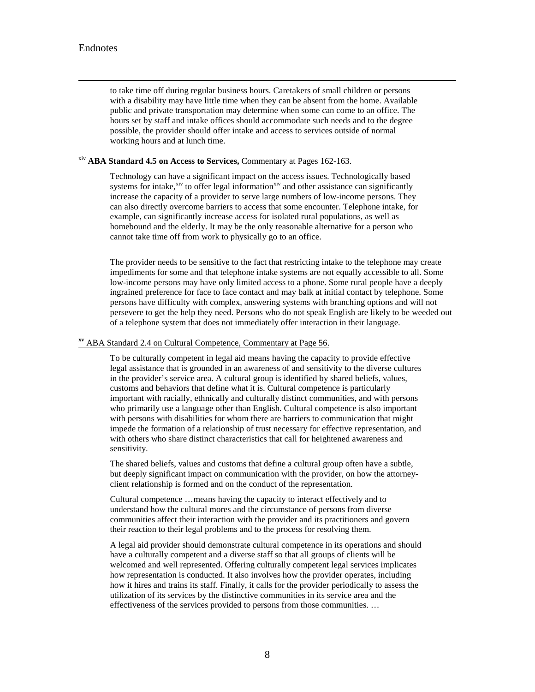to take time off during regular business hours. Caretakers of small children or persons with a disability may have little time when they can be absent from the home. Available public and private transportation may determine when some can come to an office. The hours set by staff and intake offices should accommodate such needs and to the degree possible, the provider should offer intake and access to services outside of normal working hours and at lunch time.

<span id="page-53-1"></span><span id="page-53-0"></span>xiv **ABA Standard 4.5 on Access to Services,** Commentary at Pages 162-163.

Technology can have a significant impact on the access issues. Technologically based systems for intake, $x_{iv}$  to offer legal information $x_{iv}$  and other assistance can significantly increase the capacity of a provider to serve large numbers of low-income persons. They can also directly overcome barriers to access that some encounter. Telephone intake, for example, can significantly increase access for isolated rural populations, as well as homebound and the elderly. It may be the only reasonable alternative for a person who cannot take time off from work to physically go to an office.

The provider needs to be sensitive to the fact that restricting intake to the telephone may create impediments for some and that telephone intake systems are not equally accessible to all. Some low-income persons may have only limited access to a phone. Some rural people have a deeply ingrained preference for face to face contact and may balk at initial contact by telephone. Some persons have difficulty with complex, answering systems with branching options and will not persevere to get the help they need. Persons who do not speak English are likely to be weeded out of a telephone system that does not immediately offer interaction in their language.

#### <span id="page-53-2"></span>**xv** ABA Standard 2.4 on Cultural Competence, Commentary at Page 56.

To be culturally competent in legal aid means having the capacity to provide effective legal assistance that is grounded in an awareness of and sensitivity to the diverse cultures in the provider's service area. A cultural group is identified by shared beliefs, values, customs and behaviors that define what it is. Cultural competence is particularly important with racially, ethnically and culturally distinct communities, and with persons who primarily use a language other than English. Cultural competence is also important with persons with disabilities for whom there are barriers to communication that might impede the formation of a relationship of trust necessary for effective representation, and with others who share distinct characteristics that call for heightened awareness and sensitivity.

The shared beliefs, values and customs that define a cultural group often have a subtle, but deeply significant impact on communication with the provider, on how the attorneyclient relationship is formed and on the conduct of the representation.

Cultural competence …means having the capacity to interact effectively and to understand how the cultural mores and the circumstance of persons from diverse communities affect their interaction with the provider and its practitioners and govern their reaction to their legal problems and to the process for resolving them.

A legal aid provider should demonstrate cultural competence in its operations and should have a culturally competent and a diverse staff so that all groups of clients will be welcomed and well represented. Offering culturally competent legal services implicates how representation is conducted. It also involves how the provider operates, including how it hires and trains its staff. Finally, it calls for the provider periodically to assess the utilization of its services by the distinctive communities in its service area and the effectiveness of the services provided to persons from those communities. …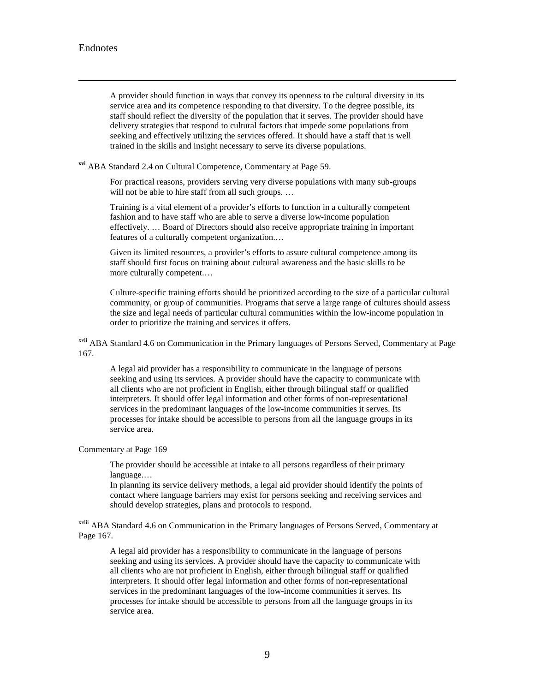A provider should function in ways that convey its openness to the cultural diversity in its service area and its competence responding to that diversity. To the degree possible, its staff should reflect the diversity of the population that it serves. The provider should have delivery strategies that respond to cultural factors that impede some populations from seeking and effectively utilizing the services offered. It should have a staff that is well trained in the skills and insight necessary to serve its diverse populations.

<span id="page-54-1"></span><span id="page-54-0"></span>**xvi** ABA Standard 2.4 on Cultural Competence, Commentary at Page 59.

For practical reasons, providers serving very diverse populations with many sub-groups will not be able to hire staff from all such groups. ...

Training is a vital element of a provider's efforts to function in a culturally competent fashion and to have staff who are able to serve a diverse low-income population effectively. … Board of Directors should also receive appropriate training in important features of a culturally competent organization.…

Given its limited resources, a provider's efforts to assure cultural competence among its staff should first focus on training about cultural awareness and the basic skills to be more culturally competent.…

Culture-specific training efforts should be prioritized according to the size of a particular cultural community, or group of communities. Programs that serve a large range of cultures should assess the size and legal needs of particular cultural communities within the low-income population in order to prioritize the training and services it offers.

xvii ABA Standard 4.6 on Communication in the Primary languages of Persons Served, Commentary at Page 167.

A legal aid provider has a responsibility to communicate in the language of persons seeking and using its services. A provider should have the capacity to communicate with all clients who are not proficient in English, either through bilingual staff or qualified interpreters. It should offer legal information and other forms of non-representational services in the predominant languages of the low-income communities it serves. Its processes for intake should be accessible to persons from all the language groups in its service area.

#### Commentary at Page 169

The provider should be accessible at intake to all persons regardless of their primary language.…

In planning its service delivery methods, a legal aid provider should identify the points of contact where language barriers may exist for persons seeking and receiving services and should develop strategies, plans and protocols to respond.

xviii ABA Standard 4.6 on Communication in the Primary languages of Persons Served, Commentary at Page 167.

A legal aid provider has a responsibility to communicate in the language of persons seeking and using its services. A provider should have the capacity to communicate with all clients who are not proficient in English, either through bilingual staff or qualified interpreters. It should offer legal information and other forms of non-representational services in the predominant languages of the low-income communities it serves. Its processes for intake should be accessible to persons from all the language groups in its service area.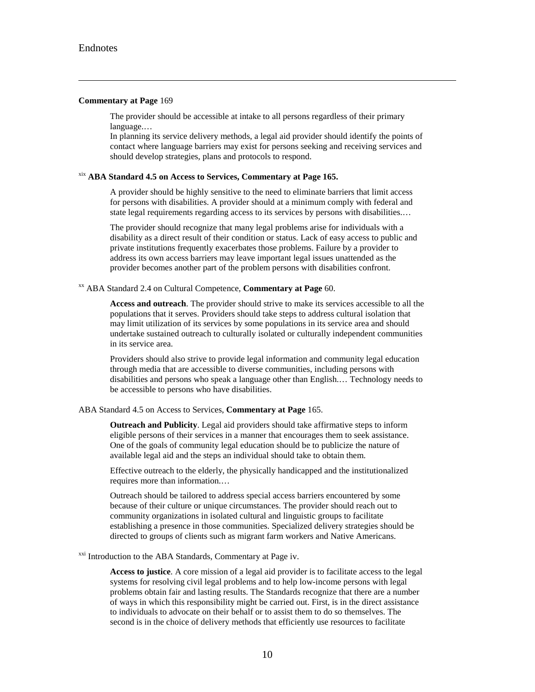#### <span id="page-55-0"></span>**Commentary at Page** 169

The provider should be accessible at intake to all persons regardless of their primary language.…

In planning its service delivery methods, a legal aid provider should identify the points of contact where language barriers may exist for persons seeking and receiving services and should develop strategies, plans and protocols to respond.

### xix **ABA Standard 4.5 on Access to Services, Commentary at Page 165.**

A provider should be highly sensitive to the need to eliminate barriers that limit access for persons with disabilities. A provider should at a minimum comply with federal and state legal requirements regarding access to its services by persons with disabilities.…

The provider should recognize that many legal problems arise for individuals with a disability as a direct result of their condition or status. Lack of easy access to public and private institutions frequently exacerbates those problems. Failure by a provider to address its own access barriers may leave important legal issues unattended as the provider becomes another part of the problem persons with disabilities confront.

#### <span id="page-55-1"></span>xx ABA Standard 2.4 on Cultural Competence, **Commentary at Page** 60.

**Access and outreach**. The provider should strive to make its services accessible to all the populations that it serves. Providers should take steps to address cultural isolation that may limit utilization of its services by some populations in its service area and should undertake sustained outreach to culturally isolated or culturally independent communities in its service area.

Providers should also strive to provide legal information and community legal education through media that are accessible to diverse communities, including persons with disabilities and persons who speak a language other than English.… Technology needs to be accessible to persons who have disabilities.

#### ABA Standard 4.5 on Access to Services, **Commentary at Page** 165.

**Outreach and Publicity**. Legal aid providers should take affirmative steps to inform eligible persons of their services in a manner that encourages them to seek assistance. One of the goals of community legal education should be to publicize the nature of available legal aid and the steps an individual should take to obtain them.

Effective outreach to the elderly, the physically handicapped and the institutionalized requires more than information.…

Outreach should be tailored to address special access barriers encountered by some because of their culture or unique circumstances. The provider should reach out to community organizations in isolated cultural and linguistic groups to facilitate establishing a presence in those communities. Specialized delivery strategies should be directed to groups of clients such as migrant farm workers and Native Americans.

<sup>xxi</sup> Introduction to the ABA Standards, Commentary at Page iv.

**Access to justice**. A core mission of a legal aid provider is to facilitate access to the legal systems for resolving civil legal problems and to help low-income persons with legal problems obtain fair and lasting results. The Standards recognize that there are a number of ways in which this responsibility might be carried out. First, is in the direct assistance to individuals to advocate on their behalf or to assist them to do so themselves. The second is in the choice of delivery methods that efficiently use resources to facilitate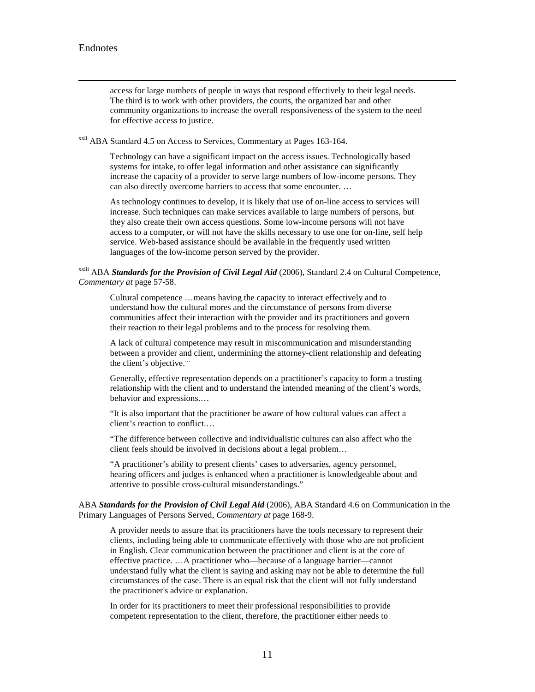access for large numbers of people in ways that respond effectively to their legal needs. The third is to work with other providers, the courts, the organized bar and other community organizations to increase the overall responsiveness of the system to the need for effective access to justice.

<span id="page-56-0"></span>xxii ABA Standard 4.5 on Access to Services, Commentary at Pages 163-164.

Technology can have a significant impact on the access issues. Technologically based systems for intake, to offer legal information and other assistance can significantly increase the capacity of a provider to serve large numbers of low-income persons. They can also directly overcome barriers to access that some encounter. …

As technology continues to develop, it is likely that use of on-line access to services will increase. Such techniques can make services available to large numbers of persons, but they also create their own access questions. Some low-income persons will not have access to a computer, or will not have the skills necessary to use one for on-line, self help service. Web-based assistance should be available in the frequently used written languages of the low-income person served by the provider.

#### <span id="page-56-2"></span><span id="page-56-1"></span>xxiii ABA *Standards for the Provision of Civil Legal Aid* (2006), Standard 2.4 on Cultural Competence, *Commentary at* page 57-58.

Cultural competence …means having the capacity to interact effectively and to understand how the cultural mores and the circumstance of persons from diverse communities affect their interaction with the provider and its practitioners and govern their reaction to their legal problems and to the process for resolving them.

A lack of cultural competence may result in miscommunication and misunderstanding between a provider and client, undermining the attorney-client relationship and defeating the client's objective.…

Generally, effective representation depends on a practitioner's capacity to form a trusting relationship with the client and to understand the intended meaning of the client's words, behavior and expressions.…

"It is also important that the practitioner be aware of how cultural values can affect a client's reaction to conflict.…

"The difference between collective and individualistic cultures can also affect who the client feels should be involved in decisions about a legal problem…

"A practitioner's ability to present clients' cases to adversaries, agency personnel, hearing officers and judges is enhanced when a practitioner is knowledgeable about and attentive to possible cross-cultural misunderstandings."

ABA *Standards for the Provision of Civil Legal Aid* (2006), ABA Standard 4.6 on Communication in the Primary Languages of Persons Served, *Commentary at* page 168-9.

A provider needs to assure that its practitioners have the tools necessary to represent their clients, including being able to communicate effectively with those who are not proficient in English. Clear communication between the practitioner and client is at the core of effective practice. …A practitioner who—because of a language barrier—cannot understand fully what the client is saying and asking may not be able to determine the full circumstances of the case. There is an equal risk that the client will not fully understand the practitioner's advice or explanation.

In order for its practitioners to meet their professional responsibilities to provide competent representation to the client, therefore, the practitioner either needs to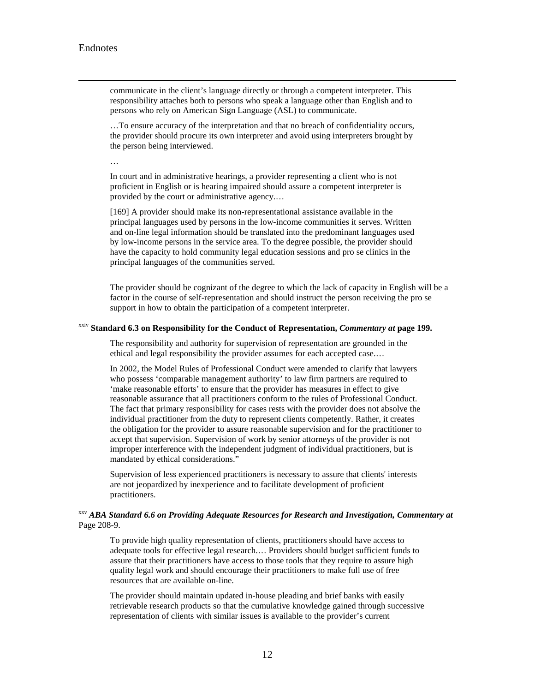<span id="page-57-0"></span> communicate in the client's language directly or through a competent interpreter. This responsibility attaches both to persons who speak a language other than English and to persons who rely on American Sign Language (ASL) to communicate.

…To ensure accuracy of the interpretation and that no breach of confidentiality occurs, the provider should procure its own interpreter and avoid using interpreters brought by the person being interviewed.

In court and in administrative hearings, a provider representing a client who is not proficient in English or is hearing impaired should assure a competent interpreter is provided by the court or administrative agency.…

[169] A provider should make its non-representational assistance available in the principal languages used by persons in the low-income communities it serves. Written and on-line legal information should be translated into the predominant languages used by low-income persons in the service area. To the degree possible, the provider should have the capacity to hold community legal education sessions and pro se clinics in the principal languages of the communities served.

The provider should be cognizant of the degree to which the lack of capacity in English will be a factor in the course of self-representation and should instruct the person receiving the pro se support in how to obtain the participation of a competent interpreter.

### <span id="page-57-1"></span>xxiv **Standard 6.3 on Responsibility for the Conduct of Representation,** *Commentary at* **page 199.**

The responsibility and authority for supervision of representation are grounded in the ethical and legal responsibility the provider assumes for each accepted case.…

In 2002, the Model Rules of Professional Conduct were amended to clarify that lawyers who possess 'comparable management authority' to law firm partners are required to 'make reasonable efforts' to ensure that the provider has measures in effect to give reasonable assurance that all practitioners conform to the rules of Professional Conduct. The fact that primary responsibility for cases rests with the provider does not absolve the individual practitioner from the duty to represent clients competently. Rather, it creates the obligation for the provider to assure reasonable supervision and for the practitioner to accept that supervision. Supervision of work by senior attorneys of the provider is not improper interference with the independent judgment of individual practitioners, but is mandated by ethical considerations."

Supervision of less experienced practitioners is necessary to assure that clients' interests are not jeopardized by inexperience and to facilitate development of proficient practitioners.

### xxv *ABA Standard 6.6 on Providing Adequate Resources for Research and Investigation, Commentary at*  Page 208-9.

To provide high quality representation of clients, practitioners should have access to adequate tools for effective legal research.… Providers should budget sufficient funds to assure that their practitioners have access to those tools that they require to assure high quality legal work and should encourage their practitioners to make full use of free resources that are available on-line.

The provider should maintain updated in-house pleading and brief banks with easily retrievable research products so that the cumulative knowledge gained through successive representation of clients with similar issues is available to the provider's current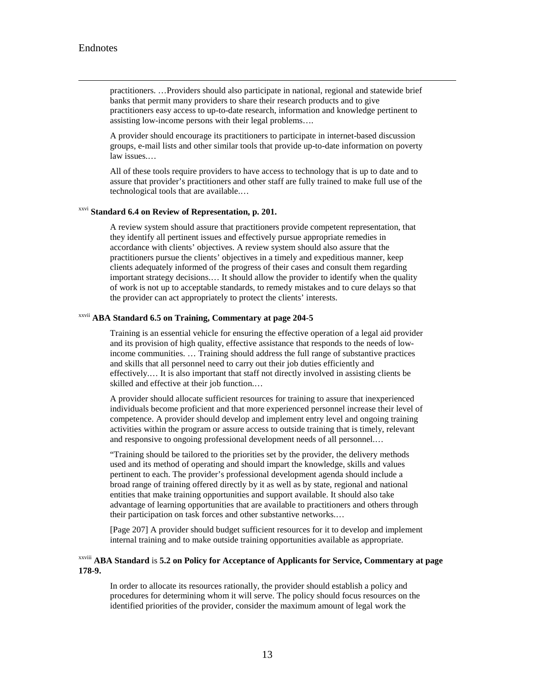<span id="page-58-0"></span> practitioners. …Providers should also participate in national, regional and statewide brief banks that permit many providers to share their research products and to give practitioners easy access to up-to-date research, information and knowledge pertinent to assisting low-income persons with their legal problems….

A provider should encourage its practitioners to participate in internet-based discussion groups, e-mail lists and other similar tools that provide up-to-date information on poverty law issues.…

All of these tools require providers to have access to technology that is up to date and to assure that provider's practitioners and other staff are fully trained to make full use of the technological tools that are available.…

### xxvi **Standard 6.4 on Review of Representation, p. 201.**

A review system should assure that practitioners provide competent representation, that they identify all pertinent issues and effectively pursue appropriate remedies in accordance with clients' objectives. A review system should also assure that the practitioners pursue the clients' objectives in a timely and expeditious manner, keep clients adequately informed of the progress of their cases and consult them regarding important strategy decisions.… It should allow the provider to identify when the quality of work is not up to acceptable standards, to remedy mistakes and to cure delays so that the provider can act appropriately to protect the clients' interests.

### xxvii **ABA Standard 6.5 on Training, Commentary at page 204-5**

Training is an essential vehicle for ensuring the effective operation of a legal aid provider and its provision of high quality, effective assistance that responds to the needs of lowincome communities. … Training should address the full range of substantive practices and skills that all personnel need to carry out their job duties efficiently and effectively.… It is also important that staff not directly involved in assisting clients be skilled and effective at their job function.…

A provider should allocate sufficient resources for training to assure that inexperienced individuals become proficient and that more experienced personnel increase their level of competence. A provider should develop and implement entry level and ongoing training activities within the program or assure access to outside training that is timely, relevant and responsive to ongoing professional development needs of all personnel.…

"Training should be tailored to the priorities set by the provider, the delivery methods used and its method of operating and should impart the knowledge, skills and values pertinent to each. The provider's professional development agenda should include a broad range of training offered directly by it as well as by state, regional and national entities that make training opportunities and support available. It should also take advantage of learning opportunities that are available to practitioners and others through their participation on task forces and other substantive networks.…

[Page 207] A provider should budget sufficient resources for it to develop and implement internal training and to make outside training opportunities available as appropriate.

### xxviii **ABA Standard** is **5.2 on Policy for Acceptance of Applicants for Service, Commentary at page 178-9.**

In order to allocate its resources rationally, the provider should establish a policy and procedures for determining whom it will serve. The policy should focus resources on the identified priorities of the provider, consider the maximum amount of legal work the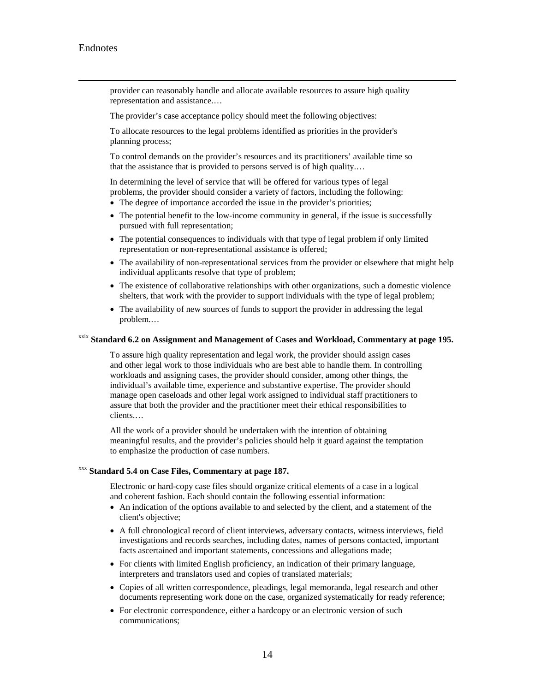<span id="page-59-0"></span> provider can reasonably handle and allocate available resources to assure high quality representation and assistance.…

The provider's case acceptance policy should meet the following objectives:

To allocate resources to the legal problems identified as priorities in the provider's planning process;

To control demands on the provider's resources and its practitioners' available time so that the assistance that is provided to persons served is of high quality.…

In determining the level of service that will be offered for various types of legal problems, the provider should consider a variety of factors, including the following:

- The degree of importance accorded the issue in the provider's priorities;
- The potential benefit to the low-income community in general, if the issue is successfully pursued with full representation;
- <span id="page-59-1"></span>• The potential consequences to individuals with that type of legal problem if only limited representation or non-representational assistance is offered;
- The availability of non-representational services from the provider or elsewhere that might help individual applicants resolve that type of problem;
- The existence of collaborative relationships with other organizations, such a domestic violence shelters, that work with the provider to support individuals with the type of legal problem;
- The availability of new sources of funds to support the provider in addressing the legal problem.…

#### xxix **Standard 6.2 on Assignment and Management of Cases and Workload, Commentary at page 195.**

To assure high quality representation and legal work, the provider should assign cases and other legal work to those individuals who are best able to handle them. In controlling workloads and assigning cases, the provider should consider, among other things, the individual's available time, experience and substantive expertise. The provider should manage open caseloads and other legal work assigned to individual staff practitioners to assure that both the provider and the practitioner meet their ethical responsibilities to clients.…

All the work of a provider should be undertaken with the intention of obtaining meaningful results, and the provider's policies should help it guard against the temptation to emphasize the production of case numbers.

### <span id="page-59-2"></span>xxx **Standard 5.4 on Case Files, Commentary at page 187.**

Electronic or hard-copy case files should organize critical elements of a case in a logical and coherent fashion. Each should contain the following essential information:

- An indication of the options available to and selected by the client, and a statement of the client's objective;
- A full chronological record of client interviews, adversary contacts, witness interviews, field investigations and records searches, including dates, names of persons contacted, important facts ascertained and important statements, concessions and allegations made;
- For clients with limited English proficiency, an indication of their primary language, interpreters and translators used and copies of translated materials;
- Copies of all written correspondence, pleadings, legal memoranda, legal research and other documents representing work done on the case, organized systematically for ready reference;
- For electronic correspondence, either a hardcopy or an electronic version of such communications;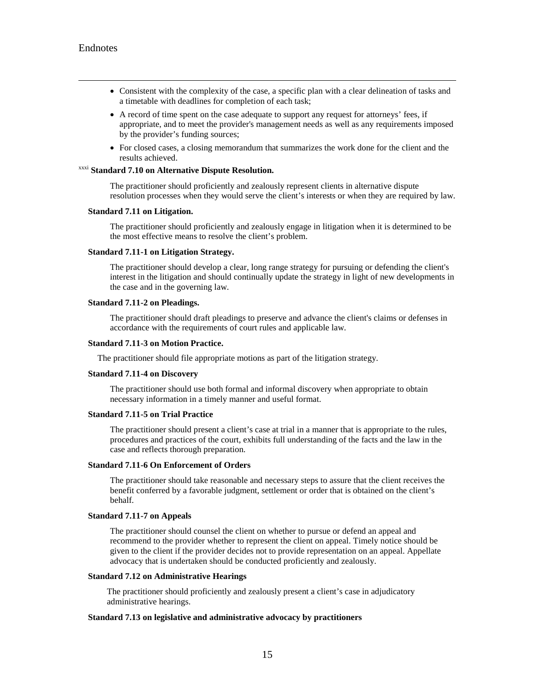- Consistent with the complexity of the case, a specific plan with a clear delineation of tasks and a timetable with deadlines for completion of each task;
- A record of time spent on the case adequate to support any request for attorneys' fees, if appropriate, and to meet the provider's management needs as well as any requirements imposed by the provider's funding sources;
- For closed cases, a closing memorandum that summarizes the work done for the client and the results achieved.

#### <span id="page-60-0"></span>xxxi **Standard 7.10 on Alternative Dispute Resolution.**

The practitioner should proficiently and zealously represent clients in alternative dispute resolution processes when they would serve the client's interests or when they are required by law.

#### **Standard 7.11 on Litigation.**

The practitioner should proficiently and zealously engage in litigation when it is determined to be the most effective means to resolve the client's problem.

#### **Standard 7.11-1 on Litigation Strategy.**

The practitioner should develop a clear, long range strategy for pursuing or defending the client's interest in the litigation and should continually update the strategy in light of new developments in the case and in the governing law.

#### **Standard 7.11-2 on Pleadings.**

The practitioner should draft pleadings to preserve and advance the client's claims or defenses in accordance with the requirements of court rules and applicable law.

#### **Standard 7.11-3 on Motion Practice.**

The practitioner should file appropriate motions as part of the litigation strategy.

#### **Standard 7.11-4 on Discovery**

The practitioner should use both formal and informal discovery when appropriate to obtain necessary information in a timely manner and useful format.

#### <span id="page-60-1"></span>**Standard 7.11-5 on Trial Practice**

The practitioner should present a client's case at trial in a manner that is appropriate to the rules, procedures and practices of the court, exhibits full understanding of the facts and the law in the case and reflects thorough preparation.

#### **Standard 7.11-6 On Enforcement of Orders**

The practitioner should take reasonable and necessary steps to assure that the client receives the benefit conferred by a favorable judgment, settlement or order that is obtained on the client's behalf.

#### **Standard 7.11-7 on Appeals**

The practitioner should counsel the client on whether to pursue or defend an appeal and recommend to the provider whether to represent the client on appeal. Timely notice should be given to the client if the provider decides not to provide representation on an appeal. Appellate advocacy that is undertaken should be conducted proficiently and zealously.

#### **Standard 7.12 on Administrative Hearings**

The practitioner should proficiently and zealously present a client's case in adjudicatory administrative hearings.

#### **Standard 7.13 on legislative and administrative advocacy by practitioners**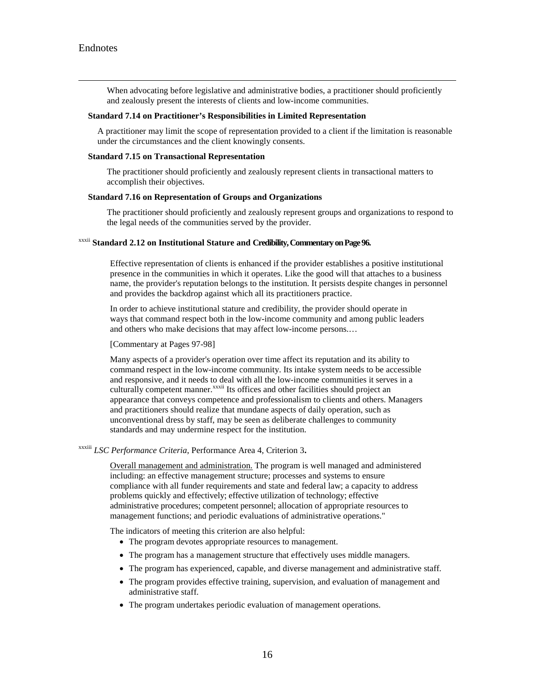When advocating before legislative and administrative bodies, a practitioner should proficiently and zealously present the interests of clients and low-income communities.

#### <span id="page-61-0"></span>**Standard 7.14 on Practitioner's Responsibilities in Limited Representation**

A practitioner may limit the scope of representation provided to a client if the limitation is reasonable under the circumstances and the client knowingly consents.

#### **Standard 7.15 on Transactional Representation**

The practitioner should proficiently and zealously represent clients in transactional matters to accomplish their objectives.

#### **Standard 7.16 on Representation of Groups and Organizations**

The practitioner should proficiently and zealously represent groups and organizations to respond to the legal needs of the communities served by the provider.

#### <span id="page-61-1"></span>xxxii **Standard 2.12 on Institutional Stature and Credibility, Commentary on Page 96.**

Effective representation of clients is enhanced if the provider establishes a positive institutional presence in the communities in which it operates. Like the good will that attaches to a business name, the provider's reputation belongs to the institution. It persists despite changes in personnel and provides the backdrop against which all its practitioners practice.

In order to achieve institutional stature and credibility, the provider should operate in ways that command respect both in the low-income community and among public leaders and others who make decisions that may affect low-income persons.…

#### [Commentary at Pages 97-98]

Many aspects of a provider's operation over time affect its reputation and its ability to command respect in the low-income community. Its intake system needs to be accessible and responsive, and it needs to deal with all the low-income communities it serves in a culturally competent manner.<sup>xxxii</sup> Its offices and other facilities should project an appearance that conveys competence and professionalism to clients and others. Managers and practitioners should realize that mundane aspects of daily operation, such as unconventional dress by staff, may be seen as deliberate challenges to community standards and may undermine respect for the institution.

#### <span id="page-61-2"></span>xxxiii *LSC Performance Criteria*, Performance Area 4, Criterion 3**.**

Overall management and administration. The program is well managed and administered including: an effective management structure; processes and systems to ensure compliance with all funder requirements and state and federal law; a capacity to address problems quickly and effectively; effective utilization of technology; effective administrative procedures; competent personnel; allocation of appropriate resources to management functions; and periodic evaluations of administrative operations."

The indicators of meeting this criterion are also helpful:

- The program devotes appropriate resources to management.
- The program has a management structure that effectively uses middle managers.
- The program has experienced, capable, and diverse management and administrative staff.
- The program provides effective training, supervision, and evaluation of management and administrative staff.
- The program undertakes periodic evaluation of management operations.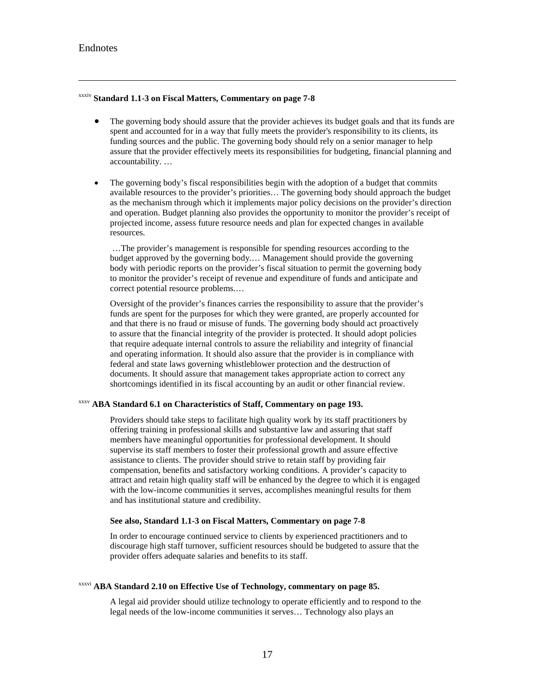#### Endnotes

 $\overline{a}$ 

#### <span id="page-62-0"></span>xxxiv **Standard 1.1-3 on Fiscal Matters, Commentary on page 7-8**

- The governing body should assure that the provider achieves its budget goals and that its funds are spent and accounted for in a way that fully meets the provider's responsibility to its clients, its funding sources and the public. The governing body should rely on a senior manager to help assure that the provider effectively meets its responsibilities for budgeting, financial planning and accountability. …
- The governing body's fiscal responsibilities begin with the adoption of a budget that commits available resources to the provider's priorities… The governing body should approach the budget as the mechanism through which it implements major policy decisions on the provider's direction and operation. Budget planning also provides the opportunity to monitor the provider's receipt of projected income, assess future resource needs and plan for expected changes in available resources.

…The provider's management is responsible for spending resources according to the budget approved by the governing body.… Management should provide the governing body with periodic reports on the provider's fiscal situation to permit the governing body to monitor the provider's receipt of revenue and expenditure of funds and anticipate and correct potential resource problems.…

Oversight of the provider's finances carries the responsibility to assure that the provider's funds are spent for the purposes for which they were granted, are properly accounted for and that there is no fraud or misuse of funds. The governing body should act proactively to assure that the financial integrity of the provider is protected. It should adopt policies that require adequate internal controls to assure the reliability and integrity of financial and operating information. It should also assure that the provider is in compliance with federal and state laws governing whistleblower protection and the destruction of documents. It should assure that management takes appropriate action to correct any shortcomings identified in its fiscal accounting by an audit or other financial review.

### <span id="page-62-2"></span><span id="page-62-1"></span>xxxv **ABA Standard 6.1 on Characteristics of Staff, Commentary on page 193.**

Providers should take steps to facilitate high quality work by its staff practitioners by offering training in professional skills and substantive law and assuring that staff members have meaningful opportunities for professional development. It should supervise its staff members to foster their professional growth and assure effective assistance to clients. The provider should strive to retain staff by providing fair compensation, benefits and satisfactory working conditions. A provider's capacity to attract and retain high quality staff will be enhanced by the degree to which it is engaged with the low-income communities it serves, accomplishes meaningful results for them and has institutional stature and credibility.

#### **See also, Standard 1.1-3 on Fiscal Matters, Commentary on page 7-8**

In order to encourage continued service to clients by experienced practitioners and to discourage high staff turnover, sufficient resources should be budgeted to assure that the provider offers adequate salaries and benefits to its staff.

### xxxvi **ABA Standard 2.10 on Effective Use of Technology, commentary on page 85.**

A legal aid provider should utilize technology to operate efficiently and to respond to the legal needs of the low-income communities it serves… Technology also plays an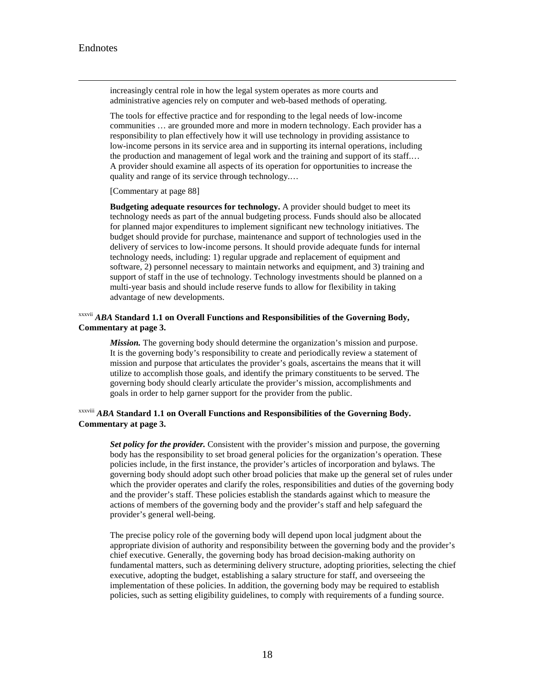<span id="page-63-0"></span> increasingly central role in how the legal system operates as more courts and administrative agencies rely on computer and web-based methods of operating.

<span id="page-63-1"></span>The tools for effective practice and for responding to the legal needs of low-income communities … are grounded more and more in modern technology. Each provider has a responsibility to plan effectively how it will use technology in providing assistance to low-income persons in its service area and in supporting its internal operations, including the production and management of legal work and the training and support of its staff.… A provider should examine all aspects of its operation for opportunities to increase the quality and range of its service through technology.…

[Commentary at page 88]

**Budgeting adequate resources for technology.** A provider should budget to meet its technology needs as part of the annual budgeting process. Funds should also be allocated for planned major expenditures to implement significant new technology initiatives. The budget should provide for purchase, maintenance and support of technologies used in the delivery of services to low-income persons. It should provide adequate funds for internal technology needs, including: 1) regular upgrade and replacement of equipment and software, 2) personnel necessary to maintain networks and equipment, and 3) training and support of staff in the use of technology. Technology investments should be planned on a multi-year basis and should include reserve funds to allow for flexibility in taking advantage of new developments.

### xxxvii *ABA* **Standard 1.1 on Overall Functions and Responsibilities of the Governing Body, Commentary at page 3.**

*Mission.* The governing body should determine the organization's mission and purpose. It is the governing body's responsibility to create and periodically review a statement of mission and purpose that articulates the provider's goals, ascertains the means that it will utilize to accomplish those goals, and identify the primary constituents to be served. The governing body should clearly articulate the provider's mission, accomplishments and goals in order to help garner support for the provider from the public.

### xxxviii *ABA* **Standard 1.1 on Overall Functions and Responsibilities of the Governing Body. Commentary at page 3.**

*Set policy for the provider.* Consistent with the provider's mission and purpose, the governing body has the responsibility to set broad general policies for the organization's operation. These policies include, in the first instance, the provider's articles of incorporation and bylaws. The governing body should adopt such other broad policies that make up the general set of rules under which the provider operates and clarify the roles, responsibilities and duties of the governing body and the provider's staff. These policies establish the standards against which to measure the actions of members of the governing body and the provider's staff and help safeguard the provider's general well-being.

The precise policy role of the governing body will depend upon local judgment about the appropriate division of authority and responsibility between the governing body and the provider's chief executive. Generally, the governing body has broad decision-making authority on fundamental matters, such as determining delivery structure, adopting priorities, selecting the chief executive, adopting the budget, establishing a salary structure for staff, and overseeing the implementation of these policies. In addition, the governing body may be required to establish policies, such as setting eligibility guidelines, to comply with requirements of a funding source.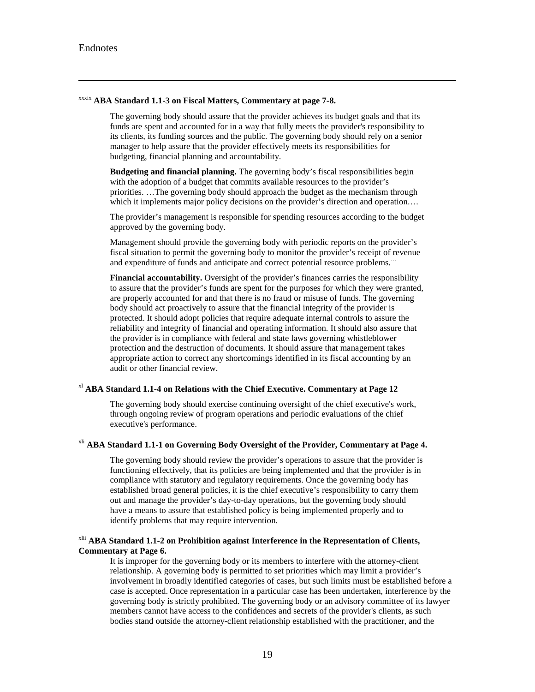#### <span id="page-64-0"></span>xxxix **ABA Standard 1.1-3 on Fiscal Matters, Commentary at page 7-8.**

The governing body should assure that the provider achieves its budget goals and that its funds are spent and accounted for in a way that fully meets the provider's responsibility to its clients, its funding sources and the public. The governing body should rely on a senior manager to help assure that the provider effectively meets its responsibilities for budgeting, financial planning and accountability.

**Budgeting and financial planning.** The governing body's fiscal responsibilities begin with the adoption of a budget that commits available resources to the provider's priorities. …The governing body should approach the budget as the mechanism through which it implements major policy decisions on the provider's direction and operation....

<span id="page-64-1"></span>The provider's management is responsible for spending resources according to the budget approved by the governing body.

Management should provide the governing body with periodic reports on the provider's fiscal situation to permit the governing body to monitor the provider's receipt of revenue and expenditure of funds and anticipate and correct potential resource problems.…

**Financial accountability.** Oversight of the provider's finances carries the responsibility to assure that the provider's funds are spent for the purposes for which they were granted, are properly accounted for and that there is no fraud or misuse of funds. The governing body should act proactively to assure that the financial integrity of the provider is protected. It should adopt policies that require adequate internal controls to assure the reliability and integrity of financial and operating information. It should also assure that the provider is in compliance with federal and state laws governing whistleblower protection and the destruction of documents. It should assure that management takes appropriate action to correct any shortcomings identified in its fiscal accounting by an audit or other financial review.

#### xl **ABA Standard 1.1-4 on Relations with the Chief Executive. Commentary at Page 12**

The governing body should exercise continuing oversight of the chief executive's work, through ongoing review of program operations and periodic evaluations of the chief executive's performance.

### <span id="page-64-2"></span><sup>xli</sup> ABA Standard 1.1-1 on Governing Body Oversight of the Provider, Commentary at Page 4.

The governing body should review the provider's operations to assure that the provider is functioning effectively, that its policies are being implemented and that the provider is in compliance with statutory and regulatory requirements. Once the governing body has established broad general policies, it is the chief executive's responsibility to carry them out and manage the provider's day-to-day operations, but the governing body should have a means to assure that established policy is being implemented properly and to identify problems that may require intervention.

#### xlii **ABA Standard 1.1-2 on Prohibition against Interference in the Representation of Clients, Commentary at Page 6.**

It is improper for the governing body or its members to interfere with the attorney-client relationship. A governing body is permitted to set priorities which may limit a provider's involvement in broadly identified categories of cases, but such limits must be established before a case is accepted. Once representation in a particular case has been undertaken, interference by the governing body is strictly prohibited. The governing body or an advisory committee of its lawyer members cannot have access to the confidences and secrets of the provider's clients, as such bodies stand outside the attorney-client relationship established with the practitioner, and the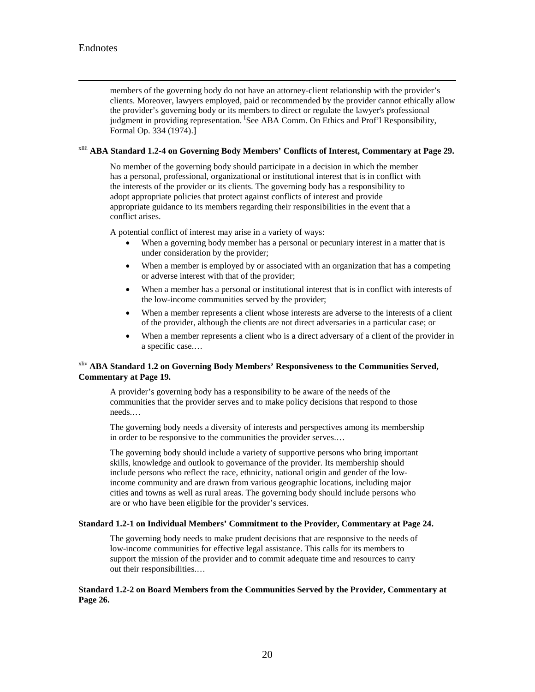members of the governing body do not have an attorney-client relationship with the provider's clients. Moreover, lawyers employed, paid or recommended by the provider cannot ethically allow the provider's governing body or its members to direct or regulate the lawyer's professional judgment in providing representation. <sup>[</sup>See ABA Comm. On Ethics and Prof'l Responsibility, Formal Op. 334 (1974).]

### xliii **ABA Standard 1.2-4 on Governing Body Members' Conflicts of Interest, Commentary at Page 29.**

No member of the governing body should participate in a decision in which the member has a personal, professional, organizational or institutional interest that is in conflict with the interests of the provider or its clients. The governing body has a responsibility to adopt appropriate policies that protect against conflicts of interest and provide appropriate guidance to its members regarding their responsibilities in the event that a conflict arises.

A potential conflict of interest may arise in a variety of ways:

- When a governing body member has a personal or pecuniary interest in a matter that is under consideration by the provider;
- When a member is employed by or associated with an organization that has a competing or adverse interest with that of the provider;
- When a member has a personal or institutional interest that is in conflict with interests of the low-income communities served by the provider;
- When a member represents a client whose interests are adverse to the interests of a client of the provider, although the clients are not direct adversaries in a particular case; or
- When a member represents a client who is a direct adversary of a client of the provider in a specific case.…

### xliv **ABA Standard 1.2 on Governing Body Members' Responsiveness to the Communities Served, Commentary at Page 19.**

A provider's governing body has a responsibility to be aware of the needs of the communities that the provider serves and to make policy decisions that respond to those needs.…

The governing body needs a diversity of interests and perspectives among its membership in order to be responsive to the communities the provider serves.…

The governing body should include a variety of supportive persons who bring important skills, knowledge and outlook to governance of the provider. Its membership should include persons who reflect the race, ethnicity, national origin and gender of the lowincome community and are drawn from various geographic locations, including major cities and towns as well as rural areas. The governing body should include persons who are or who have been eligible for the provider's services.

#### **Standard 1.2-1 on Individual Members' Commitment to the Provider, Commentary at Page 24.**

The governing body needs to make prudent decisions that are responsive to the needs of low-income communities for effective legal assistance. This calls for its members to support the mission of the provider and to commit adequate time and resources to carry out their responsibilities.…

**Standard 1.2-2 on Board Members from the Communities Served by the Provider, Commentary at Page 26.**